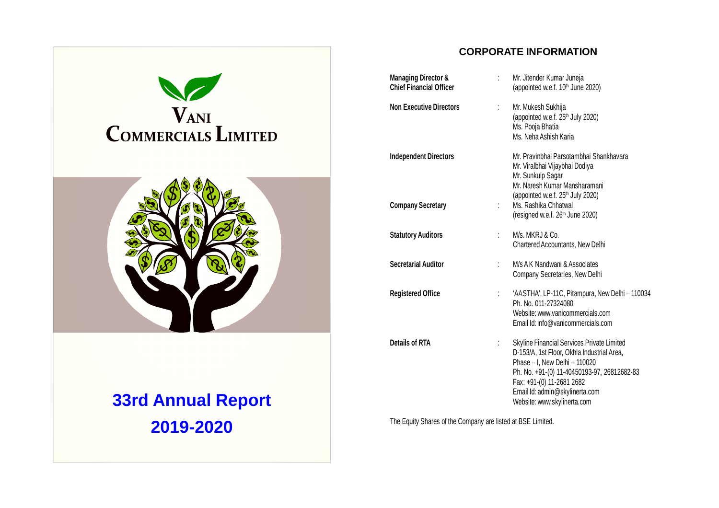

**2019-2020**

# **CORPORATE INFORMATION Managing Director & : Mr. Jitender Kumar Juneja**<br> **Chief Financial Officer** (appointed w.e.f. 10<sup>th</sup> June (appointed w.e.f. 10<sup>th</sup> June 2020) **Non Executive Directors** : Mr. Mukesh Sukhija (appointed w.e.f.  $25<sup>th</sup>$  July 2020) Ms. Pooja Bhatia Ms. Neha Ashish Karia **Independent Directors** Mr. Pravinbhai Parsotambhai Shankhavara Mr. Viralbhai Vijaybhai Dodiya Mr. Sunkulp Sagar Mr. Naresh Kumar Mansharamani (appointed w.e.f.  $25<sup>th</sup>$  July 2020) **Company Secretary 1988** : Ms. Rashika Chhatwal (resigned w.e.f.  $26<sup>th</sup>$  June 2020) **Statutory Auditors** : M/s. MKRJ & Co. Chartered Accountants, New Delhi **Secretarial Auditor** : M/s A K Nandwani & Associates Company Secretaries, New Delhi **Registered Office** : 'AASTHA', LP-11C, Pitampura, New Delhi – 110034 Ph. No. 011-27324080 Website: www.vanicommercials.com Email Id: info@vanicommercials.com **Details of RTA intervalled**  $\cdot$  Skyline Financial Services Private Limited D-153/A, 1st Floor, Okhla Industrial Area, Phase – I, New Delhi – 110020 Ph. No. +91-(0) 11-40450193-97, 26812682-83 Fax: +91-(0) 11-2681 2682 Email Id: admin@skylinerta.com Website: www.skylinerta.com

The Equity Shares of the Company are listed at BSE Limited.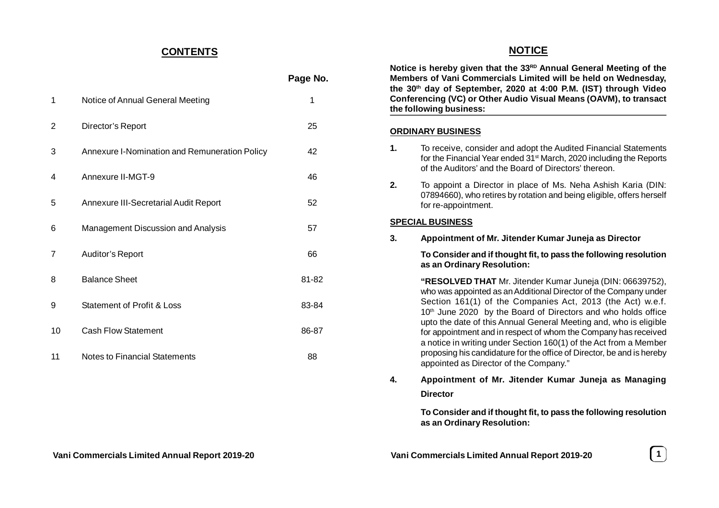# **CONTENTS**

|    |                                               | Page No. |
|----|-----------------------------------------------|----------|
| 1  | Notice of Annual General Meeting              | 1        |
| 2  | Director's Report                             | 25       |
| 3  | Annexure I-Nomination and Remuneration Policy | 42       |
| 4  | Annexure II-MGT-9                             | 46       |
| 5  | Annexure III-Secretarial Audit Report         | 52       |
| 6  | Management Discussion and Analysis            | 57       |
| 7  | Auditor's Report                              | 66       |
| 8  | <b>Balance Sheet</b>                          | 81-82    |
| 9  | Statement of Profit & Loss                    | 83-84    |
| 10 | <b>Cash Flow Statement</b>                    | 86-87    |
| 11 | Notes to Financial Statements                 | 88       |

# **NOTICE Notice is hereby given that the 33RD Annual General Meeting of the Members of Vani Commercials Limited will be held on Wednesday, the 30th day of September, 2020 at 4:00 P.M. (IST) through Video Conferencing (VC) or Other Audio Visual Means (OAVM), to transact the following business: ORDINARY BUSINESS 1.** To receive, consider and adopt the Audited Financial Statements for the Financial Year ended 31st March, 2020 including the Reports of the Auditors' and the Board of Directors' thereon. **2.** To appoint a Director in place of Ms. Neha Ashish Karia (DIN: 07894660), who retires by rotation and being eligible, offers herself for re-appointment. **SPECIAL BUSINESS 3. Appointment of Mr. Jitender Kumar Juneja as Director To Consider and if thought fit, to pass the following resolution as an Ordinary Resolution: "RESOLVED THAT** Mr. Jitender Kumar Juneja (DIN: 06639752), who was appointed as an Additional Director of the Company under Section 161(1) of the Companies Act, 2013 (the Act) w.e.f. 10<sup>th</sup> June 2020 by the Board of Directors and who holds office upto the date of this Annual General Meeting and, who is eligible

for appointment and in respect of whom the Company has received a notice in writing under Section 160(1) of the Act from a Member proposing his candidature for the office of Director, be and is hereby appointed as Director of the Company."

**4. Appointment of Mr. Jitender Kumar Juneja as Managing Director**

> **To Consider and if thought fit, to pass the following resolution as an Ordinary Resolution:**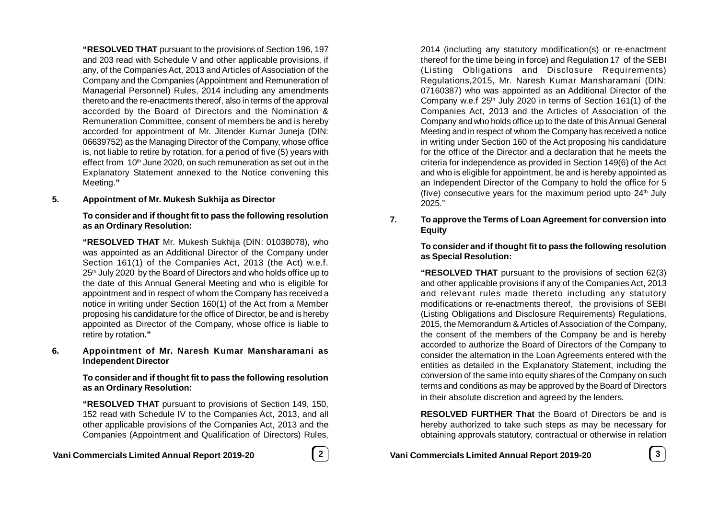**"RESOLVED THAT** pursuant to the provisions of Section 196, 197 and 203 read with Schedule V and other applicable provisions, if any, of the Companies Act, 2013 and Articles of Association of the Company and the Companies (Appointment and Remuneration of Managerial Personnel) Rules, 2014 including any amendments thereto and the re-enactments thereof, also in terms of the approval accorded by the Board of Directors and the Nomination & Remuneration Committee, consent of members be and is hereby accorded for appointment of Mr. Jitender Kumar Juneja (DIN: 06639752) as the Managing Director of the Company, whose office is, not liable to retire by rotation, for a period of five (5) years with effect from 10<sup>th</sup> June 2020, on such remuneration as set out in the Explanatory Statement annexed to the Notice convening this Meeting.**"**

### **5. Appointment of Mr. Mukesh Sukhija as Director**

### **To consider and if thought fit to pass the following resolution as an Ordinary Resolution:**

**"RESOLVED THAT** Mr. Mukesh Sukhija (DIN: 01038078), who was appointed as an Additional Director of the Company under Section 161(1) of the Companies Act, 2013 (the Act) w.e.f. 25<sup>th</sup> July 2020 by the Board of Directors and who holds office up to the date of this Annual General Meeting and who is eligible for appointment and in respect of whom the Company has received a notice in writing under Section 160(1) of the Act from a Member proposing his candidature for the office of Director, be and is hereby appointed as Director of the Company, whose office is liable to retire by rotation**."**

### **6. Appointment of Mr. Naresh Kumar Mansharamani as Independent Director**

### **To consider and if thought fit to pass the following resolution as an Ordinary Resolution:**

**"RESOLVED THAT** pursuant to provisions of Section 149, 150, 152 read with Schedule IV to the Companies Act, 2013, and all other applicable provisions of the Companies Act, 2013 and the Companies (Appointment and Qualification of Directors) Rules,

# **Vani Commercials Limited Annual Report 2019-20 2**

2014 (including any statutory modification(s) or re-enactment thereof for the time being in force) and Regulation 17 of the SEBI (Listing Obligations and Disclosure Requirements) Regulations,2015, Mr. Naresh Kumar Mansharamani (DIN: 07160387) who was appointed as an Additional Director of the Company w.e.f  $25<sup>th</sup>$  July 2020 in terms of Section 161(1) of the Companies Act, 2013 and the Articles of Association of the Company and who holds office up to the date of this Annual General Meeting and in respect of whom the Company has received a notice in writing under Section 160 of the Act proposing his candidature for the office of the Director and a declaration that he meets the criteria for independence as provided in Section 149(6) of the Act and who is eligible for appointment, be and is hereby appointed as an Independent Director of the Company to hold the office for 5 (five) consecutive years for the maximum period upto  $24<sup>th</sup>$  July 2025."

# **7. To approve the Terms of Loan Agreement for conversion into Equity**

## **To consider and if thought fit to pass the following resolution as Special Resolution:**

**"RESOLVED THAT** pursuant to the provisions of section 62(3) and other applicable provisions if any of the Companies Act, 2013 and relevant rules made thereto including any statutory modifications or re-enactments thereof, the provisions of SEBI (Listing Obligations and Disclosure Requirements) Regulations, 2015, the Memorandum & Articles of Association of the Company, the consent of the members of the Company be and is hereby accorded to authorize the Board of Directors of the Company to consider the alternation in the Loan Agreements entered with the entities as detailed in the Explanatory Statement, including the conversion of the same into equity shares of the Company on such terms and conditions as may be approved by the Board of Directors in their absolute discretion and agreed by the lenders.

**RESOLVED FURTHER That** the Board of Directors be and is hereby authorized to take such steps as may be necessary for obtaining approvals statutory, contractual or otherwise in relation

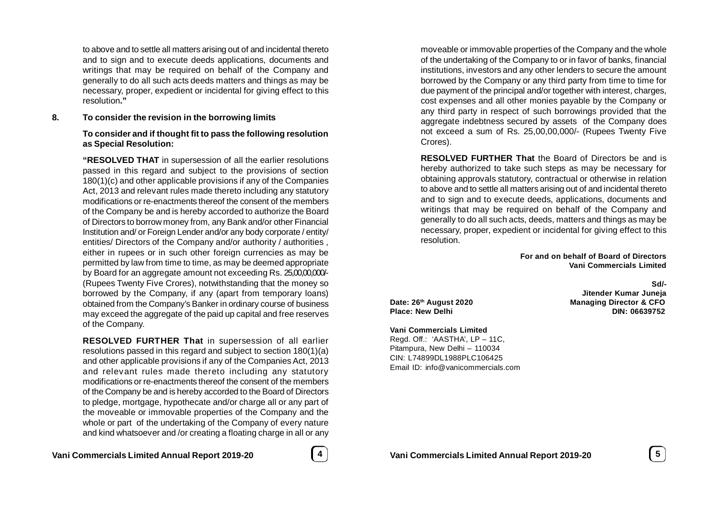to above and to settle all matters arising out of and incidental thereto and to sign and to execute deeds applications, documents and writings that may be required on behalf of the Company and generally to do all such acts deeds matters and things as may be necessary, proper, expedient or incidental for giving effect to this resolution**."**

### **8. To consider the revision in the borrowing limits**

### **To consider and if thought fit to pass the following resolution as Special Resolution:**

**"RESOLVED THAT** in supersession of all the earlier resolutions passed in this regard and subject to the provisions of section 180(1)(c) and other applicable provisions if any of the Companies Act, 2013 and relevant rules made thereto including any statutory modifications or re-enactments thereof the consent of the members of the Company be and is hereby accorded to authorize the Board of Directors to borrow money from, any Bank and/or other Financial Institution and/ or Foreign Lender and/or any body corporate / entity/ entities/ Directors of the Company and/or authority / authorities , either in rupees or in such other foreign currencies as may be permitted by law from time to time, as may be deemed appropriate by Board for an aggregate amount not exceeding Rs. 25,00,00,000/- (Rupees Twenty Five Crores), notwithstanding that the money so borrowed by the Company, if any (apart from temporary loans) obtained from the Company's Banker in ordinary course of business may exceed the aggregate of the paid up capital and free reserves of the Company.

**RESOLVED FURTHER That** in supersession of all earlier resolutions passed in this regard and subject to section 180(1)(a) and other applicable provisions if any of the Companies Act, 2013 and relevant rules made thereto including any statutory modifications or re-enactments thereof the consent of the members of the Company be and is hereby accorded to the Board of Directors to pledge, mortgage, hypothecate and/or charge all or any part of the moveable or immovable properties of the Company and the whole or part of the undertaking of the Company of every nature and kind whatsoever and /or creating a floating charge in all or any

**Vani Commercials Limited Annual Report 2019-20 4**

moveable or immovable properties of the Company and the whole of the undertaking of the Company to or in favor of banks, financial institutions, investors and any other lenders to secure the amount borrowed by the Company or any third party from time to time for due payment of the principal and/or together with interest, charges, cost expenses and all other monies payable by the Company or any third party in respect of such borrowings provided that the aggregate indebtness secured by assets of the Company does not exceed a sum of Rs. 25,00,00,000/- (Rupees Twenty Five Crores).

**RESOLVED FURTHER That** the Board of Directors be and is hereby authorized to take such steps as may be necessary for obtaining approvals statutory, contractual or otherwise in relation to above and to settle all matters arising out of and incidental thereto and to sign and to execute deeds, applications, documents and writings that may be required on behalf of the Company and generally to do all such acts, deeds, matters and things as may be necessary, proper, expedient or incidental for giving effect to this resolution.

> **For and on behalf of Board of Directors Vani Commercials Limited**

### **Vani Commercials Limited**

Regd. Off.: 'AASTHA', LP – 11C, Pitampura, New Delhi – 110034 CIN: L74899DL1988PLC106425 Email ID: info@vanicommercials.com

**Sd/- Jitender Kumar Juneja Date: 26th August 2020 Managing Director & CFO Place: New Delhi DIN: 06639752**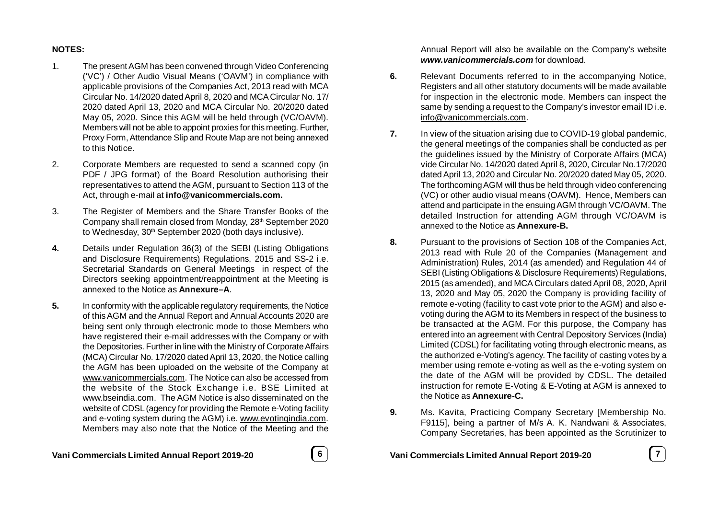# **NOTES:**

- 1. The present AGM has been convened through Video Conferencing ('VC') / Other Audio Visual Means ('OAVM') in compliance with applicable provisions of the Companies Act, 2013 read with MCA Circular No. 14/2020 dated April 8, 2020 and MCA Circular No. 17/ 2020 dated April 13, 2020 and MCA Circular No. 20/2020 dated May 05, 2020. Since this AGM will be held through (VC/OAVM). Members will not be able to appoint proxies for this meeting. Further, Proxy Form, Attendance Slip and Route Map are not being annexed to this Notice.
- 2. Corporate Members are requested to send a scanned copy (in PDF / JPG format) of the Board Resolution authorising their representatives to attend the AGM, pursuant to Section 113 of the Act, through e-mail at **info@vanicommercials.com.**
- 3. The Register of Members and the Share Transfer Books of the Company shall remain closed from Monday, 28<sup>th</sup> September 2020 to Wednesday, 30<sup>th</sup> September 2020 (both days inclusive).
- **4.** Details under Regulation 36(3) of the SEBI (Listing Obligations and Disclosure Requirements) Regulations, 2015 and SS-2 i.e. Secretarial Standards on General Meetings in respect of the Directors seeking appointment/reappointment at the Meeting is annexed to the Notice as **Annexure–A**.
- **5.** In conformity with the applicable regulatory requirements, the Notice of this AGM and the Annual Report and Annual Accounts 2020 are being sent only through electronic mode to those Members who have registered their e-mail addresses with the Company or with the Depositories. Further in line with the Ministry of Corporate Affairs (MCA) Circular No. 17/2020 dated April 13, 2020, the Notice calling the AGM has been uploaded on the website of the Company at www.vanicommercials.com. The Notice can also be accessed from the website of the Stock Exchange i.e. BSE Limited at www.bseindia.com. The AGM Notice is also disseminated on the website of CDSL (agency for providing the Remote e-Voting facility and e-voting system during the AGM) i.e. www.evotingindia.com. Members may also note that the Notice of the Meeting and the



Annual Report will also be available on the Company's website *www.vanicommercials.com* for download.

- **6.** Relevant Documents referred to in the accompanying Notice, Registers and all other statutory documents will be made available for inspection in the electronic mode. Members can inspect the same by sending a request to the Company's investor email ID i.e. info@vanicommercials.com.
- **7.** In view of the situation arising due to COVID-19 global pandemic, the general meetings of the companies shall be conducted as per the guidelines issued by the Ministry of Corporate Affairs (MCA) vide Circular No. 14/2020 dated April 8, 2020, Circular No.17/2020 dated April 13, 2020 and Circular No. 20/2020 dated May 05, 2020. The forthcoming AGM will thus be held through video conferencing (VC) or other audio visual means (OAVM). Hence, Members can attend and participate in the ensuing AGM through VC/OAVM. The detailed Instruction for attending AGM through VC/OAVM is annexed to the Notice as **Annexure-B.**
- **8.** Pursuant to the provisions of Section 108 of the Companies Act, 2013 read with Rule 20 of the Companies (Management and Administration) Rules, 2014 (as amended) and Regulation 44 of SEBI (Listing Obligations & Disclosure Requirements) Regulations, 2015 (as amended), and MCA Circulars dated April 08, 2020, April 13, 2020 and May 05, 2020 the Company is providing facility of remote e-voting (facility to cast vote prior to the AGM) and also evoting during the AGM to its Members in respect of the business to be transacted at the AGM. For this purpose, the Company has entered into an agreement with Central Depository Services (India) Limited (CDSL) for facilitating voting through electronic means, as the authorized e-Voting's agency. The facility of casting votes by a member using remote e-voting as well as the e-voting system on the date of the AGM will be provided by CDSL. The detailed instruction for remote E-Voting & E-Voting at AGM is annexed to the Notice as **Annexure-C.**
- **9.** Ms. Kavita, Practicing Company Secretary [Membership No. F9115], being a partner of M/s A. K. Nandwani & Associates, Company Secretaries, has been appointed as the Scrutinizer to

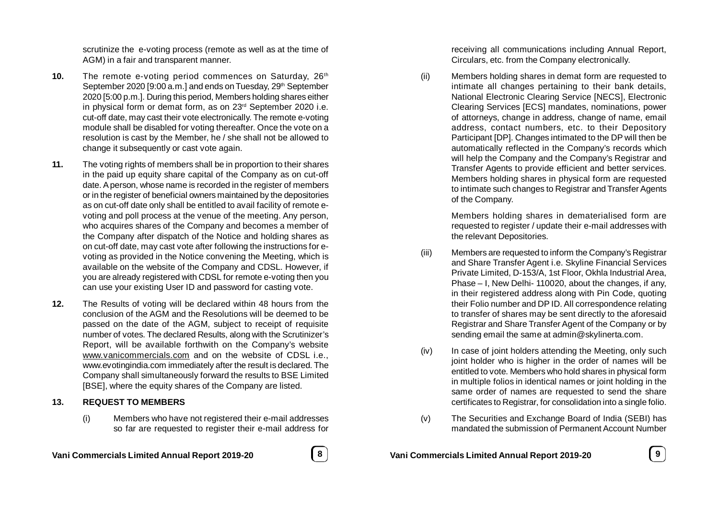scrutinize the e-voting process (remote as well as at the time of AGM) in a fair and transparent manner.

- **10.** The remote e-voting period commences on Saturday, 26<sup>th</sup> September 2020 [9:00 a.m.] and ends on Tuesday, 29<sup>th</sup> September 2020 [5:00 p.m.]. During this period, Members holding shares either in physical form or demat form, as on 23<sup>rd</sup> September 2020 i.e. cut-off date, may cast their vote electronically. The remote e-voting module shall be disabled for voting thereafter. Once the vote on a resolution is cast by the Member, he / she shall not be allowed to change it subsequently or cast vote again.
- **11.** The voting rights of members shall be in proportion to their shares in the paid up equity share capital of the Company as on cut-off date. A person, whose name is recorded in the register of members or in the register of beneficial owners maintained by the depositories as on cut-off date only shall be entitled to avail facility of remote evoting and poll process at the venue of the meeting. Any person, who acquires shares of the Company and becomes a member of the Company after dispatch of the Notice and holding shares as on cut-off date, may cast vote after following the instructions for evoting as provided in the Notice convening the Meeting, which is available on the website of the Company and CDSL. However, if you are already registered with CDSL for remote e-voting then you can use your existing User ID and password for casting vote.
- **12.** The Results of voting will be declared within 48 hours from the conclusion of the AGM and the Resolutions will be deemed to be passed on the date of the AGM, subject to receipt of requisite number of votes. The declared Results, along with the Scrutinizer's Report, will be available forthwith on the Company's website www.vanicommercials.com and on the website of CDSL i.e., www.evotingindia.com immediately after the result is declared. The Company shall simultaneously forward the results to BSE Limited [BSE], where the equity shares of the Company are listed.

### **13. REQUEST TO MEMBERS**

(i) Members who have not registered their e-mail addresses so far are requested to register their e-mail address for



receiving all communications including Annual Report, Circulars, etc. from the Company electronically.

(ii) Members holding shares in demat form are requested to intimate all changes pertaining to their bank details, National Electronic Clearing Service [NECS], Electronic Clearing Services [ECS] mandates, nominations, power of attorneys, change in address, change of name, email address, contact numbers, etc. to their Depository Participant [DP]. Changes intimated to the DP will then be automatically reflected in the Company's records which will help the Company and the Company's Registrar and Transfer Agents to provide efficient and better services. Members holding shares in physical form are requested to intimate such changes to Registrar and Transfer Agents of the Company.

> Members holding shares in dematerialised form are requested to register / update their e-mail addresses with the relevant Depositories.

- (iii) Members are requested to inform the Company's Registrar and Share Transfer Agent i.e. Skyline Financial Services Private Limited, D-153/A, 1st Floor, Okhla Industrial Area, Phase – I, New Delhi- 110020, about the changes, if any, in their registered address along with Pin Code, quoting their Folio number and DP ID. All correspondence relating to transfer of shares may be sent directly to the aforesaid Registrar and Share Transfer Agent of the Company or by sending email the same at admin@skylinerta.com.
- (iv) In case of joint holders attending the Meeting, only such joint holder who is higher in the order of names will be entitled to vote. Members who hold shares in physical form in multiple folios in identical names or joint holding in the same order of names are requested to send the share certificates to Registrar, for consolidation into a single folio.
- (v) The Securities and Exchange Board of India (SEBI) has mandated the submission of Permanent Account Number

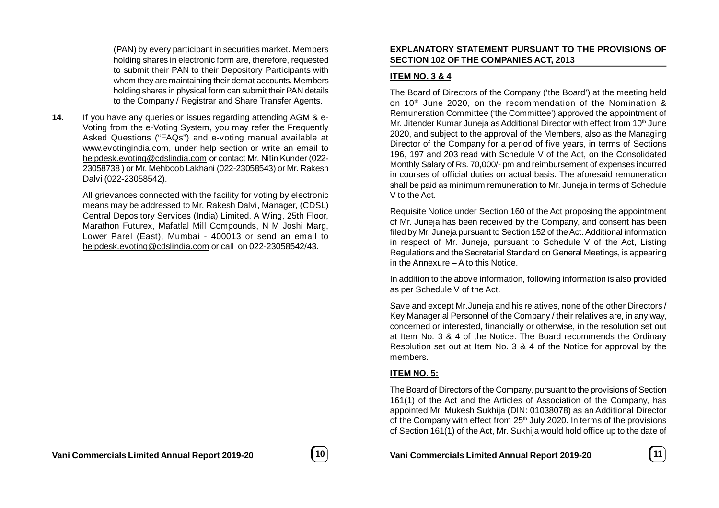(PAN) by every participant in securities market. Members holding shares in electronic form are, therefore, requested to submit their PAN to their Depository Participants with whom they are maintaining their demat accounts. Members holding shares in physical form can submit their PAN details to the Company / Registrar and Share Transfer Agents.

**14.** If you have any queries or issues regarding attending AGM & e-Voting from the e-Voting System, you may refer the Frequently Asked Questions ("FAQs") and e-voting manual available at www.evotingindia.com, under help section or write an email to helpdesk.evoting@cdslindia.com or contact Mr. Nitin Kunder (022- 23058738 ) or Mr. Mehboob Lakhani (022-23058543) or Mr. Rakesh Dalvi (022-23058542).

> All grievances connected with the facility for voting by electronic means may be addressed to Mr. Rakesh Dalvi, Manager, (CDSL) Central Depository Services (India) Limited, A Wing, 25th Floor, Marathon Futurex, Mafatlal Mill Compounds, N M Joshi Marg, Lower Parel (East), Mumbai - 400013 or send an email to helpdesk.evoting@cdslindia.com or call on 022-23058542/43.

### **EXPLANATORY STATEMENT PURSUANT TO THE PROVISIONS OF SECTION 102 OF THE COMPANIES ACT, 2013**

# **ITEM NO. 3 & 4**

The Board of Directors of the Company ('the Board') at the meeting held on 10<sup>th</sup> June 2020, on the recommendation of the Nomination & Remuneration Committee ('the Committee') approved the appointment of Mr. Jitender Kumar Juneja as Additional Director with effect from  $10<sup>th</sup>$  June 2020, and subject to the approval of the Members, also as the Managing Director of the Company for a period of five years, in terms of Sections 196, 197 and 203 read with Schedule V of the Act, on the Consolidated Monthly Salary of Rs. 70,000/- pm and reimbursement of expenses incurred in courses of official duties on actual basis. The aforesaid remuneration shall be paid as minimum remuneration to Mr. Juneja in terms of Schedule V to the Act.

Requisite Notice under Section 160 of the Act proposing the appointment of Mr. Juneja has been received by the Company, and consent has been filed by Mr. Juneja pursuant to Section 152 of the Act. Additional information in respect of Mr. Juneja, pursuant to Schedule V of the Act, Listing Regulations and the Secretarial Standard on General Meetings, is appearing in the Annexure – A to this Notice.

In addition to the above information, following information is also provided as per Schedule V of the Act.

Save and except Mr.Juneja and his relatives, none of the other Directors / Key Managerial Personnel of the Company / their relatives are, in any way, concerned or interested, financially or otherwise, in the resolution set out at Item No. 3 & 4 of the Notice. The Board recommends the Ordinary Resolution set out at Item No. 3 & 4 of the Notice for approval by the members.

# **ITEM NO. 5:**

The Board of Directors of the Company, pursuant to the provisions of Section 161(1) of the Act and the Articles of Association of the Company, has appointed Mr. Mukesh Sukhija (DIN: 01038078) as an Additional Director of the Company with effect from 25<sup>th</sup> July 2020. In terms of the provisions of Section 161(1) of the Act, Mr. Sukhija would hold office up to the date of



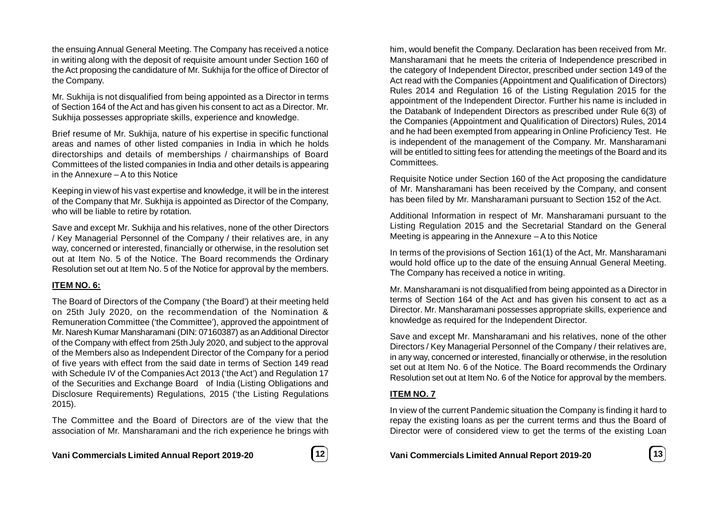the ensuing Annual General Meeting. The Company has received a notice in writing along with the deposit of requisite amount under Section 160 of the Act proposing the candidature of Mr. Sukhija for the office of Director of the Company.

Mr. Sukhija is not disqualified from being appointed as a Director in terms of Section 164 of the Act and has given his consent to act as a Director. Mr. Sukhija possesses appropriate skills, experience and knowledge.

Brief resume of Mr. Sukhija, nature of his expertise in specific functional areas and names of other listed companies in India in which he holds directorships and details of memberships / chairmanships of Board Committees of the listed companies in India and other details is appearing in the Annexure – A to this Notice

Keeping in view of his vast expertise and knowledge, it will be in the interest of the Company that Mr. Sukhija is appointed as Director of the Company, who will be liable to retire by rotation.

Save and except Mr. Sukhija and his relatives, none of the other Directors / Key Managerial Personnel of the Company / their relatives are, in any way, concerned or interested, financially or otherwise, in the resolution set out at Item No. 5 of the Notice. The Board recommends the Ordinary Resolution set out at Item No. 5 of the Notice for approval by the members.

### **ITEM NO. 6:**

The Board of Directors of the Company ('the Board') at their meeting held on 25th July 2020, on the recommendation of the Nomination & Remuneration Committee ('the Committee'), approved the appointment of Mr. Naresh Kumar Mansharamani (DIN: 07160387) as an Additional Director of the Company with effect from 25th July 2020, and subject to the approval of the Members also as Independent Director of the Company for a period of five years with effect from the said date in terms of Section 149 read with Schedule IV of the Companies Act 2013 ('the Act') and Regulation 17 of the Securities and Exchange Board of India (Listing Obligations and Disclosure Requirements) Regulations, 2015 ('the Listing Regulations 2015).

The Committee and the Board of Directors are of the view that the association of Mr. Mansharamani and the rich experience he brings with



him, would benefit the Company. Declaration has been received from Mr. Mansharamani that he meets the criteria of Independence prescribed in the category of Independent Director, prescribed under section 149 of the Act read with the Companies (Appointment and Qualification of Directors) Rules 2014 and Regulation 16 of the Listing Regulation 2015 for the appointment of the Independent Director. Further his name is included in the Databank of Independent Directors as prescribed under Rule 6(3) of the Companies (Appointment and Qualification of Directors) Rules, 2014 and he had been exempted from appearing in Online Proficiency Test. He is independent of the management of the Company. Mr. Mansharamani will be entitled to sitting fees for attending the meetings of the Board and its Committees.

Requisite Notice under Section 160 of the Act proposing the candidature of Mr. Mansharamani has been received by the Company, and consent has been filed by Mr. Mansharamani pursuant to Section 152 of the Act.

Additional Information in respect of Mr. Mansharamani pursuant to the Listing Regulation 2015 and the Secretarial Standard on the General Meeting is appearing in the Annexure – A to this Notice

In terms of the provisions of Section 161(1) of the Act, Mr. Mansharamani would hold office up to the date of the ensuing Annual General Meeting. The Company has received a notice in writing.

Mr. Mansharamani is not disqualified from being appointed as a Director in terms of Section 164 of the Act and has given his consent to act as a Director. Mr. Mansharamani possesses appropriate skills, experience and knowledge as required for the Independent Director.

Save and except Mr. Mansharamani and his relatives, none of the other Directors / Key Managerial Personnel of the Company / their relatives are, in any way, concerned or interested, financially or otherwise, in the resolution set out at Item No. 6 of the Notice. The Board recommends the Ordinary Resolution set out at Item No. 6 of the Notice for approval by the members.

# **ITEM NO. 7**

In view of the current Pandemic situation the Company is finding it hard to repay the existing loans as per the current terms and thus the Board of Director were of considered view to get the terms of the existing Loan

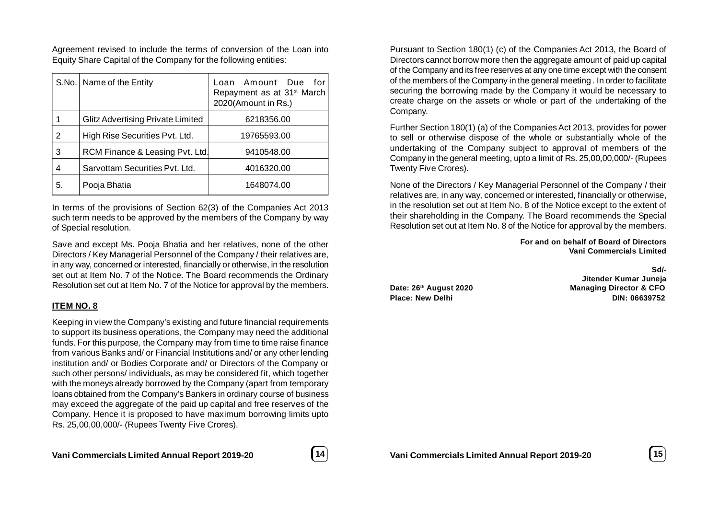Agreement revised to include the terms of conversion of the Loan into Equity Share Capital of the Company for the following entities:

|    | S.No.   Name of the Entity        | Loan Amount Due<br>for<br>Repayment as at 31 <sup>st</sup> March<br>2020(Amount in Rs.) |
|----|-----------------------------------|-----------------------------------------------------------------------------------------|
|    | Glitz Advertising Private Limited | 6218356.00                                                                              |
| 2  | High Rise Securities Pyt. Ltd.    | 19765593.00                                                                             |
| 3  | RCM Finance & Leasing Pvt. Ltd.   | 9410548.00                                                                              |
| 4  | Sarvottam Securities Pvt. Ltd.    | 4016320.00                                                                              |
| 5. | Pooja Bhatia                      | 1648074.00                                                                              |

In terms of the provisions of Section 62(3) of the Companies Act 2013 such term needs to be approved by the members of the Company by way of Special resolution.

Save and except Ms. Pooja Bhatia and her relatives, none of the other Directors / Key Managerial Personnel of the Company / their relatives are, in any way, concerned or interested, financially or otherwise, in the resolution set out at Item No. 7 of the Notice. The Board recommends the Ordinary Resolution set out at Item No. 7 of the Notice for approval by the members.

### **ITEM NO. 8**

Keeping in view the Company's existing and future financial requirements to support its business operations, the Company may need the additional funds. For this purpose, the Company may from time to time raise finance from various Banks and/ or Financial Institutions and/ or any other lending institution and/ or Bodies Corporate and/ or Directors of the Company or such other persons/ individuals, as may be considered fit, which together with the moneys already borrowed by the Company (apart from temporary loans obtained from the Company's Bankers in ordinary course of business may exceed the aggregate of the paid up capital and free reserves of the Company. Hence it is proposed to have maximum borrowing limits upto Rs. 25,00,00,000/- (Rupees Twenty Five Crores).



**Vani Commercials Limited Annual Report 2019-20 15**

**Sd/- Jitender Kumar Juneja Date: 26th August 2020 Managing Director & CFO Place: New Delhi DIN: 06639752**

**Vani Commercials Limited**

**For and on behalf of Board of Directors**

Pursuant to Section 180(1) (c) of the Companies Act 2013, the Board of Directors cannot borrow more then the aggregate amount of paid up capital of the Company and its free reserves at any one time except with the consent of the members of the Company in the general meeting . In order to facilitate securing the borrowing made by the Company it would be necessary to create charge on the assets or whole or part of the undertaking of the Company.

Further Section 180(1) (a) of the Companies Act 2013, provides for power to sell or otherwise dispose of the whole or substantially whole of the undertaking of the Company subject to approval of members of the Company in the general meeting, upto a limit of Rs. 25,00,00,000/- (Rupees Twenty Five Crores).

None of the Directors / Key Managerial Personnel of the Company / their relatives are, in any way, concerned or interested, financially or otherwise, in the resolution set out at Item No. 8 of the Notice except to the extent of their shareholding in the Company. The Board recommends the Special Resolution set out at Item No. 8 of the Notice for approval by the members.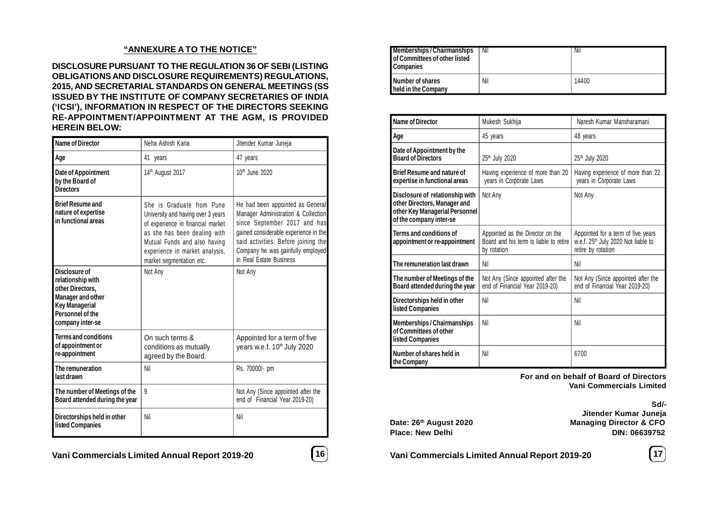### **"ANNEXURE A TO THE NOTICE"**

**DISCLOSURE PURSUANT TO THE REGULATION 36 OF SEBI (LISTING OBLIGATIONS AND DISCLOSURE REQUIREMENTS) REGULATIONS, 2015, AND SECRETARIAL STANDARDS ON GENERAL MEETINGS (SS ISSUED BY THE INSTITUTE OF COMPANY SECRETARIES OF INDIA ('ICSI'), INFORMATION IN RESPECT OF THE DIRECTORS SEEKING RE-APPOINTMENT/APPOINTMENT AT THE AGM, IS PROVIDED HEREIN BELOW:**

| <b>Name of Director</b>                                                                                                                             | Neha Ashish Karia                                                                                                                                                                                                                  | Jitender Kumar Juneja                                                                                                                                                                                                                                   |
|-----------------------------------------------------------------------------------------------------------------------------------------------------|------------------------------------------------------------------------------------------------------------------------------------------------------------------------------------------------------------------------------------|---------------------------------------------------------------------------------------------------------------------------------------------------------------------------------------------------------------------------------------------------------|
| Age                                                                                                                                                 | 41 years                                                                                                                                                                                                                           | 47 years                                                                                                                                                                                                                                                |
| Date of Appointment<br>by the Board of<br><b>Directors</b>                                                                                          | 14 <sup>th</sup> August 2017                                                                                                                                                                                                       | 10 <sup>th</sup> June 2020                                                                                                                                                                                                                              |
| <b>Brief Resume and</b><br>nature of expertise<br>in functional areas                                                                               | She is Graduate from Pune<br>University and having over 3 years<br>of experience in financial market<br>as she has been dealing with<br>Mutual Funds and also having<br>experience in market analysis,<br>market segmentation etc. | He had been appointed as General<br>Manager Administration & Collection<br>since September 2017 and has<br>gained considerable experience in the<br>said activities. Before joining the<br>Company he was gainfully employed<br>in Real Estate Business |
| <b>Disclosure of</b><br>relationship with<br>other Directors.<br><b>Manager and other</b><br>Key Managerial<br>Personnel of the<br>company inter-se | Not Any                                                                                                                                                                                                                            | Not Any                                                                                                                                                                                                                                                 |
| <b>Terms and conditions</b><br>of appointment or<br>re-appointment                                                                                  | On such terms &<br>conditions as mutually<br>agreed by the Board.                                                                                                                                                                  | Appointed for a term of five<br>years w.e.f. 10 <sup>th</sup> July 2020                                                                                                                                                                                 |
| The remuneration<br>last drawn                                                                                                                      | Nil                                                                                                                                                                                                                                | Rs. 70000/- pm                                                                                                                                                                                                                                          |
| The number of Meetings of the<br>Board attended during the year                                                                                     | $\mathsf{q}$                                                                                                                                                                                                                       | Not Any (Since appointed after the<br>end of Financial Year 2019-20)                                                                                                                                                                                    |
| Directorships held in other<br><b>listed Companies</b>                                                                                              | Nil                                                                                                                                                                                                                                | Nil                                                                                                                                                                                                                                                     |

| <b>Memberships/Chairmanships</b><br><b>I</b> of Committees of other listed<br><b>Companies</b> | Nil | Nii   |
|------------------------------------------------------------------------------------------------|-----|-------|
| <b>Number of shares</b><br><b>I</b> held in the Company                                        | Nil | 14400 |

| <b>Name of Director</b>                                                                                                      | Mukesh Sukhija                                                                            | Naresh Kumar Mansharamani                                                                                   |
|------------------------------------------------------------------------------------------------------------------------------|-------------------------------------------------------------------------------------------|-------------------------------------------------------------------------------------------------------------|
| Age                                                                                                                          | 45 years                                                                                  | 48 years                                                                                                    |
| Date of Appointment by the<br><b>Board of Directors</b>                                                                      | 25 <sup>th</sup> July 2020                                                                | 25 <sup>th</sup> July 2020                                                                                  |
| <b>Brief Resume and nature of</b><br>expertise in functional areas                                                           | Having experience of more than 20<br>years in Corporate Laws                              | Having experience of more than 22<br>years in Corporate Laws                                                |
| Disclosure of relationship with<br>other Directors, Manager and<br>other Key Managerial Personnel<br>of the company inter-se | Not Any                                                                                   | Not Any                                                                                                     |
| <b>Terms and conditions of</b><br>appointment or re-appointment                                                              | Appointed as the Director on the<br>Board and his term is liable to retire<br>by rotation | Appointed for a term of five years<br>w.e.f. 25 <sup>th</sup> July 2020 Not liable to<br>retire by rotation |
| The remuneration last drawn                                                                                                  | Nil                                                                                       | Nil                                                                                                         |
| The number of Meetings of the<br>Board attended during the year                                                              | Not Any (Since appointed after the<br>end of Financial Year 2019-20)                      | Not Any (Since appointed after the<br>end of Financial Year 2019-20)                                        |
| Directorships held in other<br><b>listed Companies</b>                                                                       | Nil                                                                                       | Nil                                                                                                         |
| <b>Memberships / Chairmanships</b><br>of Committees of other<br>listed Companies                                             | Nil                                                                                       | Nil                                                                                                         |
| Number of shares held in<br>the Company                                                                                      | Nil                                                                                       | 6700                                                                                                        |

**For and on behalf of Board of Directors Vani Commercials Limited**

**Sd/- Jitender Kumar Juneja Date: 26th August 2020 Managing Director & CFO Place: New Delhi DIN: 06639752**

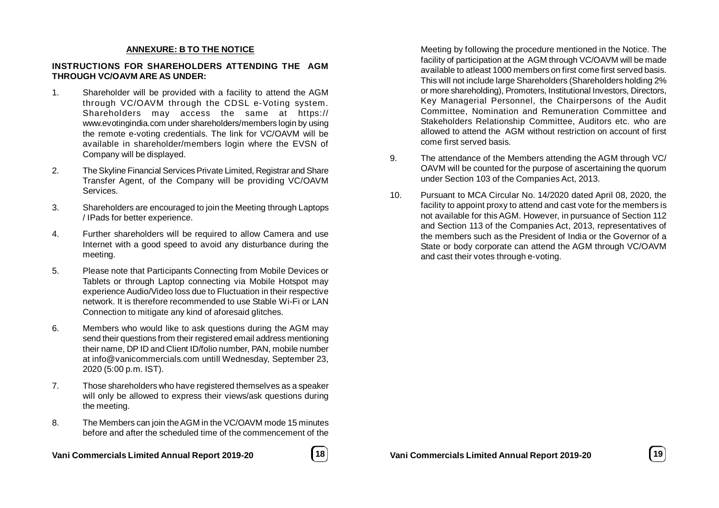### **ANNEXURE: B TO THE NOTICE**

### **INSTRUCTIONS FOR SHAREHOLDERS ATTENDING THE AGM THROUGH VC/OAVM ARE AS UNDER:**

- 1. Shareholder will be provided with a facility to attend the AGM through VC/OAVM through the CDSL e-Voting system. Shareholders may access the same at https:// www.evotingindia.com under shareholders/members login by using the remote e-voting credentials. The link for VC/OAVM will be available in shareholder/members login where the EVSN of Company will be displayed.
- 2. The Skyline Financial Services Private Limited, Registrar and Share Transfer Agent, of the Company will be providing VC/OAVM Services.
- 3. Shareholders are encouraged to join the Meeting through Laptops / IPads for better experience.
- 4. Further shareholders will be required to allow Camera and use Internet with a good speed to avoid any disturbance during the meeting.
- 5. Please note that Participants Connecting from Mobile Devices or Tablets or through Laptop connecting via Mobile Hotspot may experience Audio/Video loss due to Fluctuation in their respective network. It is therefore recommended to use Stable Wi-Fi or LAN Connection to mitigate any kind of aforesaid glitches.
- 6. Members who would like to ask questions during the AGM may send their questions from their registered email address mentioning their name, DP ID and Client ID/folio number, PAN, mobile number at info@vanicommercials.com untill Wednesday, September 23, 2020 (5:00 p.m. IST).
- 7. Those shareholders who have registered themselves as a speaker will only be allowed to express their views/ask questions during the meeting.
- 8. The Members can join the AGM in the VC/OAVM mode 15 minutes before and after the scheduled time of the commencement of the

**Vani Commercials Limited Annual Report 2019-20 18**



Meeting by following the procedure mentioned in the Notice. The facility of participation at the AGM through VC/OAVM will be made available to atleast 1000 members on first come first served basis. This will not include large Shareholders (Shareholders holding 2% or more shareholding), Promoters, Institutional Investors, Directors, Key Managerial Personnel, the Chairpersons of the Audit Committee, Nomination and Remuneration Committee and Stakeholders Relationship Committee, Auditors etc. who are allowed to attend the AGM without restriction on account of first come first served basis.

- 9. The attendance of the Members attending the AGM through VC/ OAVM will be counted for the purpose of ascertaining the quorum under Section 103 of the Companies Act, 2013.
- 10. Pursuant to MCA Circular No. 14/2020 dated April 08, 2020, the facility to appoint proxy to attend and cast vote for the members is not available for this AGM. However, in pursuance of Section 112 and Section 113 of the Companies Act, 2013, representatives of the members such as the President of India or the Governor of a State or body corporate can attend the AGM through VC/OAVM and cast their votes through e-voting.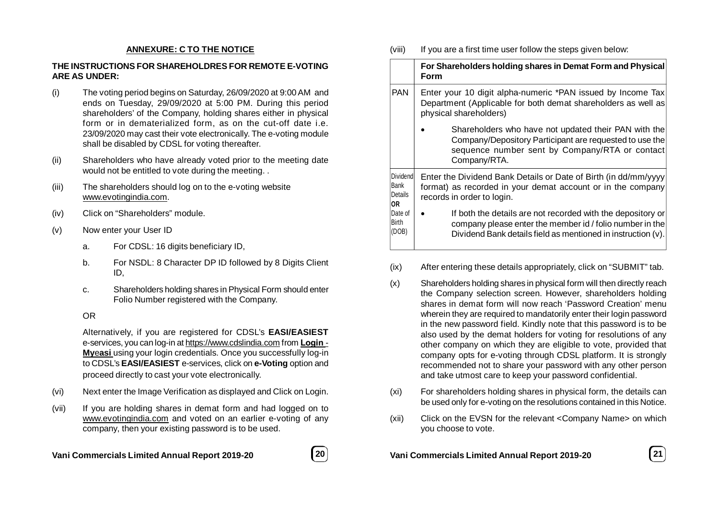### **ANNEXURE: C TO THE NOTICE**

### **THE INSTRUCTIONS FOR SHAREHOLDRES FOR REMOTE E-VOTING ARE AS UNDER:**

- (i) The voting period begins on Saturday, 26/09/2020 at 9:00 AM and ends on Tuesday, 29/09/2020 at 5:00 PM. During this period shareholders' of the Company, holding shares either in physical form or in dematerialized form, as on the cut-off date i.e. 23/09/2020 may cast their vote electronically. The e-voting module shall be disabled by CDSL for voting thereafter.
- (ii) Shareholders who have already voted prior to the meeting date would not be entitled to vote during the meeting. .
- (iii) The shareholders should log on to the e-voting website www.evotingindia.com.
- (iv) Click on "Shareholders" module.
- (v) Now enter your User ID
	- a. For CDSL: 16 digits beneficiary ID,
	- b. For NSDL: 8 Character DP ID followed by 8 Digits Client ID,
	- c. Shareholders holding shares in Physical Form should enter Folio Number registered with the Company.

### OR

Alternatively, if you are registered for CDSL's **EASI/EASIEST** e-services, you can log-in at https://www.cdslindia.com from **Login** - **My**e**asi** using your login credentials. Once you successfully log-in to CDSL's **EASI/EASIEST** e-services, click on **e-Voting** option and proceed directly to cast your vote electronically.

- (vi) Next enter the Image Verification as displayed and Click on Login.
- (vii) If you are holding shares in demat form and had logged on to www.evotingindia.com and voted on an earlier e-voting of any company, then your existing password is to be used.



(viii) If you are a first time user follow the steps given below:

|                                           | For Shareholders holding shares in Demat Form and Physical<br>Form                                                                                                                      |  |
|-------------------------------------------|-----------------------------------------------------------------------------------------------------------------------------------------------------------------------------------------|--|
| <b>PAN</b>                                | Enter your 10 digit alpha-numeric *PAN issued by Income Tax<br>Department (Applicable for both demat shareholders as well as<br>physical shareholders)                                  |  |
|                                           | Shareholders who have not updated their PAN with the<br>Company/Depository Participant are requested to use the<br>sequence number sent by Company/RTA or contact<br>Company/RTA.       |  |
| Dividendl<br>Bank<br><b>Details</b><br>OR | Enter the Dividend Bank Details or Date of Birth (in dd/mm/yyyy<br>format) as recorded in your demat account or in the company<br>records in order to login.                            |  |
| Date of<br>Birth<br>(DOB)                 | If both the details are not recorded with the depository or<br>company please enter the member id / folio number in the<br>Dividend Bank details field as mentioned in instruction (v). |  |

- (ix) After entering these details appropriately, click on "SUBMIT" tab.
- (x) Shareholders holding shares in physical form will then directly reach the Company selection screen. However, shareholders holding shares in demat form will now reach 'Password Creation' menu wherein they are required to mandatorily enter their login password in the new password field. Kindly note that this password is to be also used by the demat holders for voting for resolutions of any other company on which they are eligible to vote, provided that company opts for e-voting through CDSL platform. It is strongly recommended not to share your password with any other person and take utmost care to keep your password confidential.
- (xi) For shareholders holding shares in physical form, the details can be used only for e-voting on the resolutions contained in this Notice.
- (xii) Click on the EVSN for the relevant <Company Name> on which you choose to vote.

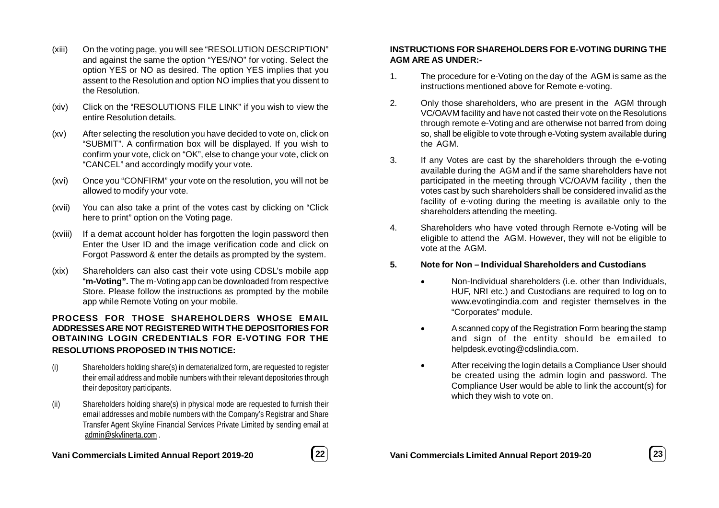- (xiii) On the voting page, you will see "RESOLUTION DESCRIPTION" and against the same the option "YES/NO" for voting. Select the option YES or NO as desired. The option YES implies that you assent to the Resolution and option NO implies that you dissent to the Resolution.
- (xiv) Click on the "RESOLUTIONS FILE LINK" if you wish to view the entire Resolution details.
- (xv) After selecting the resolution you have decided to vote on, click on "SUBMIT". A confirmation box will be displayed. If you wish to confirm your vote, click on "OK", else to change your vote, click on "CANCEL" and accordingly modify your vote.
- (xvi) Once you "CONFIRM" your vote on the resolution, you will not be allowed to modify your vote.
- (xvii) You can also take a print of the votes cast by clicking on "Click here to print" option on the Voting page.
- (xviii) If a demat account holder has forgotten the login password then Enter the User ID and the image verification code and click on Forgot Password & enter the details as prompted by the system.
- (xix) Shareholders can also cast their vote using CDSL's mobile app "**m-Voting".** The m-Voting app can be downloaded from respective Store. Please follow the instructions as prompted by the mobile app while Remote Voting on your mobile.

## **PROCESS FOR THOSE SHAREHOLDERS WHOSE EMAIL ADDRESSES ARE NOT REGISTERED WITH THE DEPOSITORIES FOR OBTAINING LOGIN CREDENTIALS FOR E-VOTING FOR THE RESOLUTIONS PROPOSED IN THIS NOTICE:**

- (i) Shareholders holding share(s) in dematerialized form, are requested to register their email address and mobile numbers with their relevant depositories through their depository participants.
- (ii) Shareholders holding share(s) in physical mode are requested to furnish their email addresses and mobile numbers with the Company's Registrar and Share Transfer Agent Skyline Financial Services Private Limited by sending email at admin@skylinerta.com .

# **Vani Commercials Limited Annual Report 2019-20 22**



# **INSTRUCTIONS FOR SHAREHOLDERS FOR E-VOTING DURING THE AGM ARE AS UNDER:-**

- 1. The procedure for e-Voting on the day of the AGM is same as the instructions mentioned above for Remote e-voting.
- 2. Only those shareholders, who are present in the AGM through VC/OAVM facility and have not casted their vote on the Resolutions through remote e-Voting and are otherwise not barred from doing so, shall be eligible to vote through e-Voting system available during the AGM.
- 3. If any Votes are cast by the shareholders through the e-voting available during the AGM and if the same shareholders have not participated in the meeting through VC/OAVM facility , then the votes cast by such shareholders shall be considered invalid as the facility of e-voting during the meeting is available only to the shareholders attending the meeting.
- 4. Shareholders who have voted through Remote e-Voting will be eligible to attend the AGM. However, they will not be eligible to vote at the AGM.
- **5. Note for Non Individual Shareholders and Custodians**
	- Non-Individual shareholders (i.e. other than Individuals, HUF, NRI etc.) and Custodians are required to log on to www.evotingindia.com and register themselves in the "Corporates" module.
	- A scanned copy of the Registration Form bearing the stamp and sign of the entity should be emailed to helpdesk.evoting@cdslindia.com.
	- After receiving the login details a Compliance User should be created using the admin login and password. The Compliance User would be able to link the account(s) for which they wish to vote on.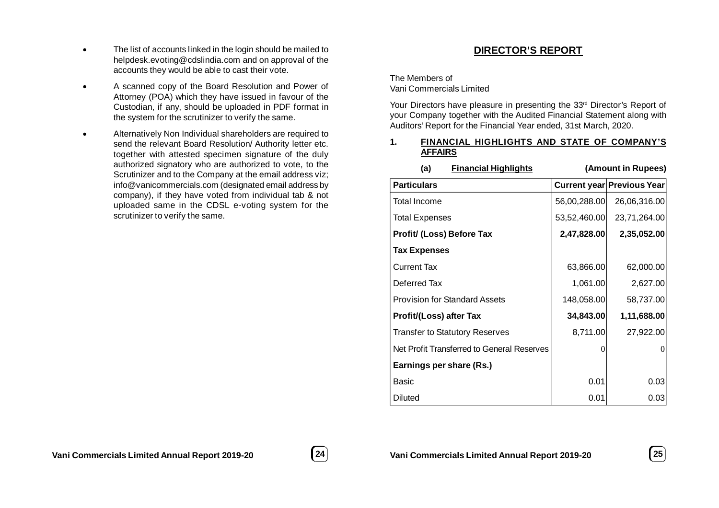- The list of accounts linked in the login should be mailed to helpdesk.evoting@cdslindia.com and on approval of the accounts they would be able to cast their vote.
- A scanned copy of the Board Resolution and Power of Attorney (POA) which they have issued in favour of the Custodian, if any, should be uploaded in PDF format in the system for the scrutinizer to verify the same.
- Alternatively Non Individual shareholders are required to send the relevant Board Resolution/ Authority letter etc. together with attested specimen signature of the duly authorized signatory who are authorized to vote, to the Scrutinizer and to the Company at the email address viz; info@vanicommercials.com (designated email address by company), if they have voted from individual tab & not uploaded same in the CDSL e-voting system for the scrutinizer to verify the same.

# **DIRECTOR'S REPORT**

The Members of Vani Commercials Limited

Your Directors have pleasure in presenting the 33<sup>rd</sup> Director's Report of your Company together with the Audited Financial Statement along with Auditors' Report for the Financial Year ended, 31st March, 2020.

### **1. FINANCIAL HIGHLIGHTS AND STATE OF COMPANY'S AFFAIRS**

| $m2 + m2 + m2 + m3$                        |               |                            |
|--------------------------------------------|---------------|----------------------------|
| <b>Particulars</b>                         |               | Current year Previous Year |
| <b>Total Income</b>                        | 56,00,288.00  | 26,06,316.00               |
| <b>Total Expenses</b>                      | 53,52,460.00  | 23,71,264.00               |
| Profit/ (Loss) Before Tax                  | 2,47,828.00   | 2,35,052.00                |
| <b>Tax Expenses</b>                        |               |                            |
| <b>Current Tax</b>                         | 63,866.00     | 62,000.00                  |
| Deferred Tax                               | 1,061.00      | 2,627.00                   |
| <b>Provision for Standard Assets</b>       | 148,058.00    | 58,737.00                  |
| <b>Profit/(Loss) after Tax</b>             | 34,843.00     | 1,11,688.00                |
| <b>Transfer to Statutory Reserves</b>      | 8,711.00      | 27,922.00                  |
| Net Profit Transferred to General Reserves | $\mathcal{L}$ | 0                          |
| Earnings per share (Rs.)                   |               |                            |
| Basic                                      | 0.01          | 0.03                       |
| Diluted                                    | 0.01          | 0.03                       |

# **(a) Financial Highlights (Amount in Rupees)**



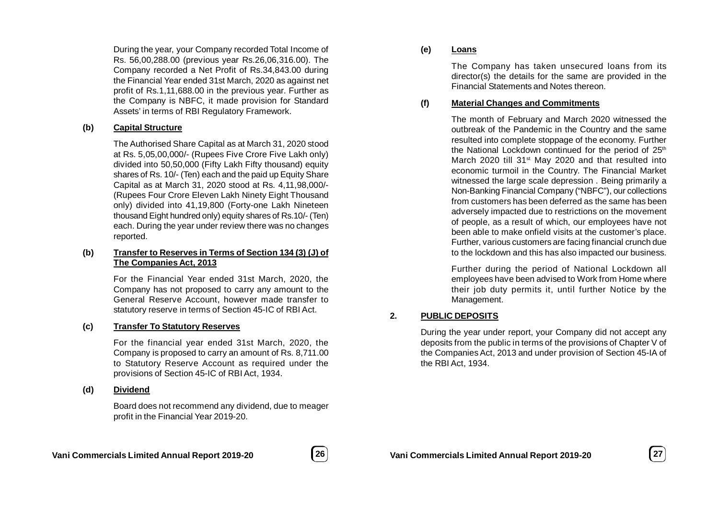During the year, your Company recorded Total Income of Rs. 56,00,288.00 (previous year Rs.26,06,316.00). The Company recorded a Net Profit of Rs.34,843.00 during the Financial Year ended 31st March, 2020 as against net profit of Rs.1,11,688.00 in the previous year. Further as the Company is NBFC, it made provision for Standard Assets' in terms of RBI Regulatory Framework.

### **(b) Capital Structure**

The Authorised Share Capital as at March 31, 2020 stood at Rs. 5,05,00,000/- (Rupees Five Crore Five Lakh only) divided into 50,50,000 (Fifty Lakh Fifty thousand) equity shares of Rs. 10/- (Ten) each and the paid up Equity Share Capital as at March 31, 2020 stood at Rs. 4,11,98,000/- (Rupees Four Crore Eleven Lakh Ninety Eight Thousand only) divided into 41,19,800 (Forty-one Lakh Nineteen thousand Eight hundred only) equity shares of Rs.10/- (Ten) each. During the year under review there was no changes reported.

### **(b) Transfer to Reserves in Terms of Section 134 (3) (J) of The Companies Act, 2013**

For the Financial Year ended 31st March, 2020, the Company has not proposed to carry any amount to the General Reserve Account, however made transfer to statutory reserve in terms of Section 45-IC of RBI Act.

### **(c) Transfer To Statutory Reserves**

For the financial year ended 31st March, 2020, the Company is proposed to carry an amount of Rs. 8,711.00 to Statutory Reserve Account as required under the provisions of Section 45-IC of RBI Act, 1934.

### **(d) Dividend**

Board does not recommend any dividend, due to meager profit in the Financial Year 2019-20.

## **(e) Loans**

The Company has taken unsecured loans from its director(s) the details for the same are provided in the Financial Statements and Notes thereon.

### **(f) Material Changes and Commitments**

The month of February and March 2020 witnessed the outbreak of the Pandemic in the Country and the same resulted into complete stoppage of the economy. Further the National Lockdown continued for the period of 25<sup>th</sup> March 2020 till 31<sup>st</sup> May 2020 and that resulted into economic turmoil in the Country. The Financial Market witnessed the large scale depression . Being primarily a Non-Banking Financial Company ("NBFC"), our collections from customers has been deferred as the same has been adversely impacted due to restrictions on the movement of people, as a result of which, our employees have not been able to make onfield visits at the customer's place. Further, various customers are facing financial crunch due to the lockdown and this has also impacted our business.

Further during the period of National Lockdown all employees have been advised to Work from Home where their job duty permits it, until further Notice by the Management.

# **2. PUBLIC DEPOSITS**

During the year under report, your Company did not accept any deposits from the public in terms of the provisions of Chapter V of the Companies Act, 2013 and under provision of Section 45-IA of the RBI Act, 1934.

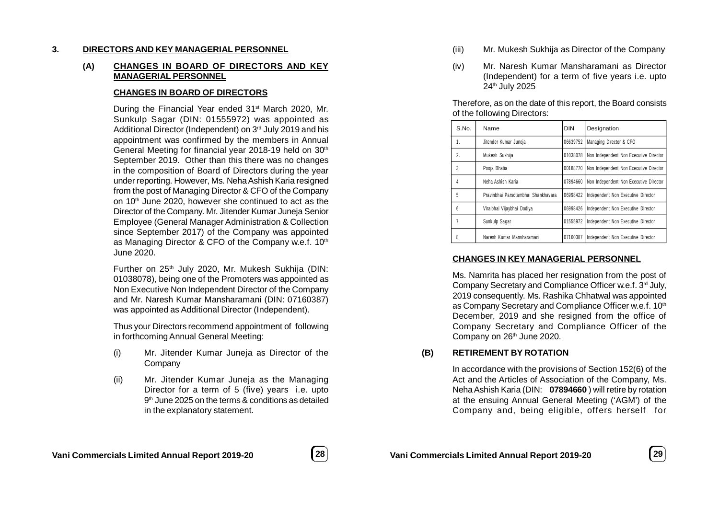### **3. DIRECTORS AND KEY MANAGERIAL PERSONNEL**

## **(A) CHANGES IN BOARD OF DIRECTORS AND KEY MANAGERIAL PERSONNEL**

### **CHANGES IN BOARD OF DIRECTORS**

During the Financial Year ended 31<sup>st</sup> March 2020, Mr. Sunkulp Sagar (DIN: 01555972) was appointed as Additional Director (Independent) on 3<sup>rd</sup> July 2019 and his appointment was confirmed by the members in Annual General Meeting for financial year 2018-19 held on 30<sup>th</sup> September 2019. Other than this there was no changes in the composition of Board of Directors during the year under reporting. However, Ms. Neha Ashish Karia resigned from the post of Managing Director & CFO of the Company on 10th June 2020, however she continued to act as the Director of the Company. Mr. Jitender Kumar Juneja Senior Employee (General Manager Administration & Collection since September 2017) of the Company was appointed as Managing Director & CFO of the Company w.e.f. 10<sup>th</sup> June 2020.

Further on 25<sup>th</sup> July 2020, Mr. Mukesh Sukhija (DIN: 01038078), being one of the Promoters was appointed as Non Executive Non Independent Director of the Company and Mr. Naresh Kumar Mansharamani (DIN: 07160387) was appointed as Additional Director (Independent).

Thus your Directors recommend appointment of following in forthcoming Annual General Meeting:

- (i) Mr. Jitender Kumar Juneja as Director of the Company
- (ii) Mr. Jitender Kumar Juneja as the Managing Director for a term of 5 (five) years i.e. upto 9 th June 2025 on the terms & conditions as detailed in the explanatory statement.
- (iii) Mr. Mukesh Sukhija as Director of the Company
- (iv) Mr. Naresh Kumar Mansharamani as Director (Independent) for a term of five years i.e. upto 24th July 2025

Therefore, as on the date of this report, the Board consists of the following Directors:

| S.No. | Name                                | <b>DIN</b> | Designation                            |
|-------|-------------------------------------|------------|----------------------------------------|
| 1.    | Jitender Kumar Juneja               | 06639752   | Managing Director & CFO                |
| 2.    | Mukesh Sukhija                      | 01038078   | Non Independent Non Executive Director |
| 3     | Pooja Bhatia                        | 00188770   | Non Independent Non Executive Director |
| 4     | Neha Ashish Karia                   | 07894660   | Non Independent Non Executive Director |
| 5     | Pravinbhai Parsotambhai Shankhavara | 06998422   | Independent Non Executive Director     |
| 6     | Viralbhai Vijaybhai Dodiya          | 06998426   | Independent Non Executive Director     |
|       | Sunkulp Sagar                       | 01555972   | Independent Non Executive Director     |
| 8     | Naresh Kumar Mansharamani           | 07160387   | Independent Non Executive Director     |

## **CHANGES IN KEY MANAGERIAL PERSONNEL**

Ms. Namrita has placed her resignation from the post of Company Secretary and Compliance Officer w.e.f. 3<sup>rd</sup> July, 2019 consequently. Ms. Rashika Chhatwal was appointed as Company Secretary and Compliance Officer w.e.f. 10<sup>th</sup> December, 2019 and she resigned from the office of Company Secretary and Compliance Officer of the Company on 26<sup>th</sup> June 2020.

### **(B) RETIREMENT BY ROTATION**

In accordance with the provisions of Section 152(6) of the Act and the Articles of Association of the Company, Ms. Neha Ashish Karia (DIN: **07894660** ) will retire by rotation at the ensuing Annual General Meeting ('AGM') of the Company and, being eligible, offers herself for

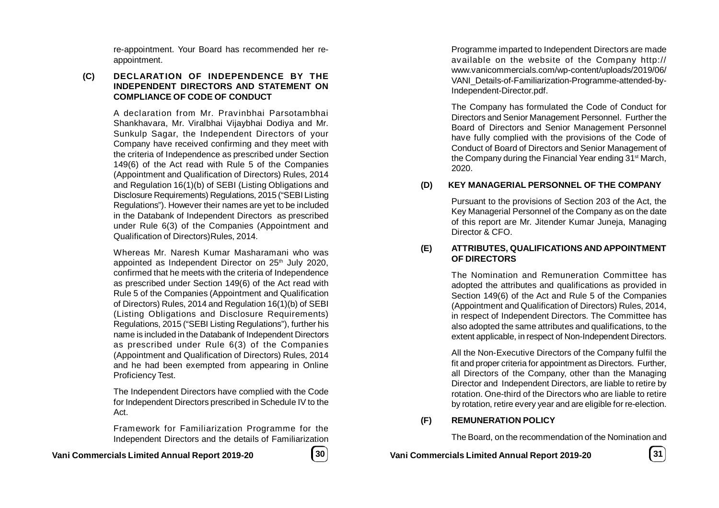re-appointment. Your Board has recommended her reappointment.

### **(C) DECLARATION OF INDEPENDENCE BY THE INDEPENDENT DIRECTORS AND STATEMENT ON COMPLIANCE OF CODE OF CONDUCT**

A declaration from Mr. Pravinbhai Parsotambhai Shankhavara, Mr. Viralbhai Vijaybhai Dodiya and Mr. Sunkulp Sagar, the Independent Directors of your Company have received confirming and they meet with the criteria of Independence as prescribed under Section 149(6) of the Act read with Rule 5 of the Companies (Appointment and Qualification of Directors) Rules, 2014 and Regulation 16(1)(b) of SEBI (Listing Obligations and Disclosure Requirements) Regulations, 2015 ("SEBI Listing Regulations"). However their names are yet to be included in the Databank of Independent Directors as prescribed under Rule 6(3) of the Companies (Appointment and Qualification of Directors)Rules, 2014.

Whereas Mr. Naresh Kumar Masharamani who was appointed as Independent Director on 25<sup>th</sup> July 2020, confirmed that he meets with the criteria of Independence as prescribed under Section 149(6) of the Act read with Rule 5 of the Companies (Appointment and Qualification of Directors) Rules, 2014 and Regulation 16(1)(b) of SEBI (Listing Obligations and Disclosure Requirements) Regulations, 2015 ("SEBI Listing Regulations"), further his name is included in the Databank of Independent Directors as prescribed under Rule 6(3) of the Companies (Appointment and Qualification of Directors) Rules, 2014 and he had been exempted from appearing in Online Proficiency Test.

The Independent Directors have complied with the Code for Independent Directors prescribed in Schedule IV to the Act.

Framework for Familiarization Programme for the Independent Directors and the details of Familiarization

**Vani Commercials Limited Annual Report 2019-20 30**

Programme imparted to Independent Directors are made available on the website of the Company http:// www.vanicommercials.com/wp-content/uploads/2019/06/ VANI\_Details-of-Familiarization-Programme-attended-by-Independent-Director.pdf.

The Company has formulated the Code of Conduct for Directors and Senior Management Personnel. Further the Board of Directors and Senior Management Personnel have fully complied with the provisions of the Code of Conduct of Board of Directors and Senior Management of the Company during the Financial Year ending 31<sup>st</sup> March, 2020.

# **(D) KEY MANAGERIAL PERSONNEL OF THE COMPANY**

Pursuant to the provisions of Section 203 of the Act, the Key Managerial Personnel of the Company as on the date of this report are Mr. Jitender Kumar Juneja, Managing Director & CFO.

### **(E) ATTRIBUTES, QUALIFICATIONS AND APPOINTMENT OF DIRECTORS**

The Nomination and Remuneration Committee has adopted the attributes and qualifications as provided in Section 149(6) of the Act and Rule 5 of the Companies (Appointment and Qualification of Directors) Rules, 2014, in respect of Independent Directors. The Committee has also adopted the same attributes and qualifications, to the extent applicable, in respect of Non-Independent Directors.

All the Non-Executive Directors of the Company fulfil the fit and proper criteria for appointment as Directors. Further, all Directors of the Company, other than the Managing Director and Independent Directors, are liable to retire by rotation. One-third of the Directors who are liable to retire by rotation, retire every year and are eligible for re-election.

# **(F) REMUNERATION POLICY**

The Board, on the recommendation of the Nomination and

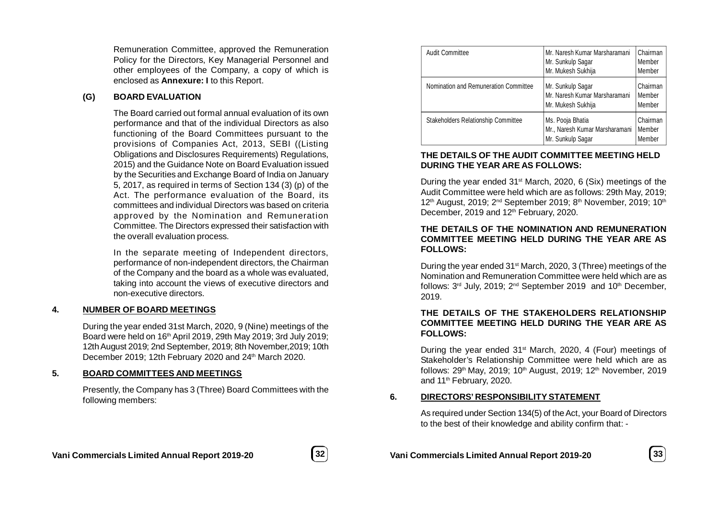Remuneration Committee, approved the Remuneration Policy for the Directors, Key Managerial Personnel and other employees of the Company, a copy of which is enclosed as **Annexure: I** to this Report.

### **(G) BOARD EVALUATION**

The Board carried out formal annual evaluation of its own performance and that of the individual Directors as also functioning of the Board Committees pursuant to the provisions of Companies Act, 2013, SEBI ((Listing Obligations and Disclosures Requirements) Regulations, 2015) and the Guidance Note on Board Evaluation issued by the Securities and Exchange Board of India on January 5, 2017, as required in terms of Section 134 (3) (p) of the Act. The performance evaluation of the Board, its committees and individual Directors was based on criteria approved by the Nomination and Remuneration Committee. The Directors expressed their satisfaction with the overall evaluation process.

In the separate meeting of Independent directors, performance of non-independent directors, the Chairman of the Company and the board as a whole was evaluated, taking into account the views of executive directors and non-executive directors.

### **4. NUMBER OF BOARD MEETINGS**

During the year ended 31st March, 2020, 9 (Nine) meetings of the Board were held on 16th April 2019, 29th May 2019; 3rd July 2019; 12th August 2019; 2nd September, 2019; 8th November,2019; 10th December 2019; 12th February 2020 and 24<sup>th</sup> March 2020.

# **5. BOARD COMMITTEES AND MEETINGS**

Presently, the Company has 3 (Three) Board Committees with the following members:

| <b>Audit Committee</b>                | Mr. Naresh Kumar Marsharamani<br>Mr. Sunkulp Sagar<br>Mr. Mukesh Sukhija | Chairman<br>Member<br>Member |
|---------------------------------------|--------------------------------------------------------------------------|------------------------------|
| Nomination and Remuneration Committee | Mr. Sunkulp Sagar<br>Mr. Naresh Kumar Marsharamani<br>Mr. Mukesh Sukhija | Chairman<br>Member<br>Member |
| Stakeholders Relationship Committee   | Ms. Pooja Bhatia<br>Mr., Naresh Kumar Marsharamani<br>Mr. Sunkulp Sagar  | Chairman<br>Member<br>Member |

## **THE DETAILS OF THE AUDIT COMMITTEE MEETING HELD DURING THE YEAR ARE AS FOLLOWS:**

During the year ended  $31<sup>st</sup>$  March, 2020, 6 (Six) meetings of the Audit Committee were held which are as follows: 29th May, 2019; 12<sup>th</sup> August, 2019; 2<sup>nd</sup> September 2019; 8<sup>th</sup> November, 2019; 10<sup>th</sup> December, 2019 and 12<sup>th</sup> February, 2020.

### **THE DETAILS OF THE NOMINATION AND REMUNERATION COMMITTEE MEETING HELD DURING THE YEAR ARE AS FOLLOWS:**

During the year ended 31st March, 2020, 3 (Three) meetings of the Nomination and Remuneration Committee were held which are as follows: 3<sup>rd</sup> July, 2019; 2<sup>nd</sup> September 2019 and 10<sup>th</sup> December, 2019.

### **THE DETAILS OF THE STAKEHOLDERS RELATIONSHIP COMMITTEE MEETING HELD DURING THE YEAR ARE AS FOLLOWS:**

During the year ended 31<sup>st</sup> March, 2020, 4 (Four) meetings of Stakeholder's Relationship Committee were held which are as follows: 29<sup>th</sup> May, 2019; 10<sup>th</sup> August, 2019; 12<sup>th</sup> November, 2019 and 11<sup>th</sup> February, 2020.

### **6. DIRECTORS' RESPONSIBILITY STATEMENT**

As required under Section 134(5) of the Act, your Board of Directors to the best of their knowledge and ability confirm that: -



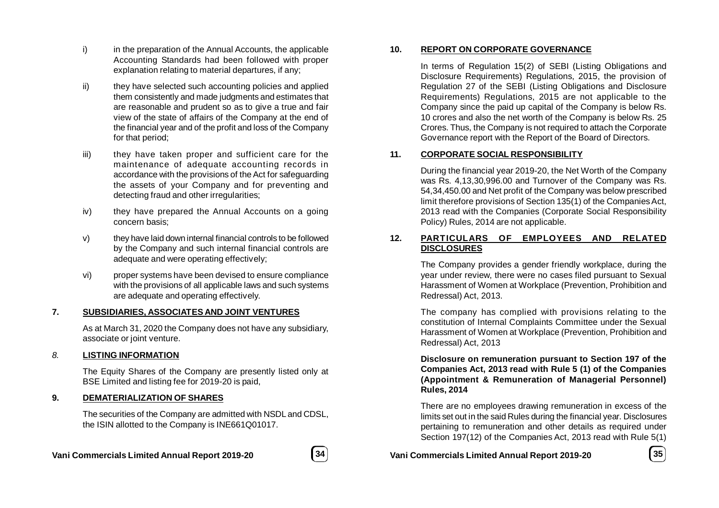- i) in the preparation of the Annual Accounts, the applicable Accounting Standards had been followed with proper explanation relating to material departures, if any;
- ii) they have selected such accounting policies and applied them consistently and made judgments and estimates that are reasonable and prudent so as to give a true and fair view of the state of affairs of the Company at the end of the financial year and of the profit and loss of the Company for that period;
- iii) they have taken proper and sufficient care for the maintenance of adequate accounting records in accordance with the provisions of the Act for safeguarding the assets of your Company and for preventing and detecting fraud and other irregularities;
- iv) they have prepared the Annual Accounts on a going concern basis;
- v) they have laid down internal financial controls to be followed by the Company and such internal financial controls are adequate and were operating effectively;
- vi) proper systems have been devised to ensure compliance with the provisions of all applicable laws and such systems are adequate and operating effectively.

# **7. SUBSIDIARIES, ASSOCIATES AND JOINT VENTURES**

As at March 31, 2020 the Company does not have any subsidiary, associate or joint venture.

# *8.* **LISTING INFORMATION**

The Equity Shares of the Company are presently listed only at BSE Limited and listing fee for 2019-20 is paid,

### **9. DEMATERIALIZATION OF SHARES**

The securities of the Company are admitted with NSDL and CDSL, the ISIN allotted to the Company is INE661Q01017.



### **10. REPORT ON CORPORATE GOVERNANCE**

In terms of Regulation 15(2) of SEBI (Listing Obligations and Disclosure Requirements) Regulations, 2015, the provision of Regulation 27 of the SEBI (Listing Obligations and Disclosure Requirements) Regulations, 2015 are not applicable to the Company since the paid up capital of the Company is below Rs. 10 crores and also the net worth of the Company is below Rs. 25 Crores. Thus, the Company is not required to attach the Corporate Governance report with the Report of the Board of Directors.

### **11. CORPORATE SOCIAL RESPONSIBILITY**

During the financial year 2019-20, the Net Worth of the Company was Rs. 4,13,30,996.00 and Turnover of the Company was Rs. 54,34,450.00 and Net profit of the Company was below prescribed limit therefore provisions of Section 135(1) of the Companies Act, 2013 read with the Companies (Corporate Social Responsibility Policy) Rules, 2014 are not applicable.

## **12. PARTICULARS OF EMPLOYEES AND RELATED DISCLOSURES**

The Company provides a gender friendly workplace, during the year under review, there were no cases filed pursuant to Sexual Harassment of Women at Workplace (Prevention, Prohibition and Redressal) Act, 2013.

The company has complied with provisions relating to the constitution of Internal Complaints Committee under the Sexual Harassment of Women at Workplace (Prevention, Prohibition and Redressal) Act, 2013

**Disclosure on remuneration pursuant to Section 197 of the Companies Act, 2013 read with Rule 5 (1) of the Companies (Appointment & Remuneration of Managerial Personnel) Rules, 2014**

There are no employees drawing remuneration in excess of the limits set out in the said Rules during the financial year. Disclosures pertaining to remuneration and other details as required under Section 197(12) of the Companies Act, 2013 read with Rule 5(1)

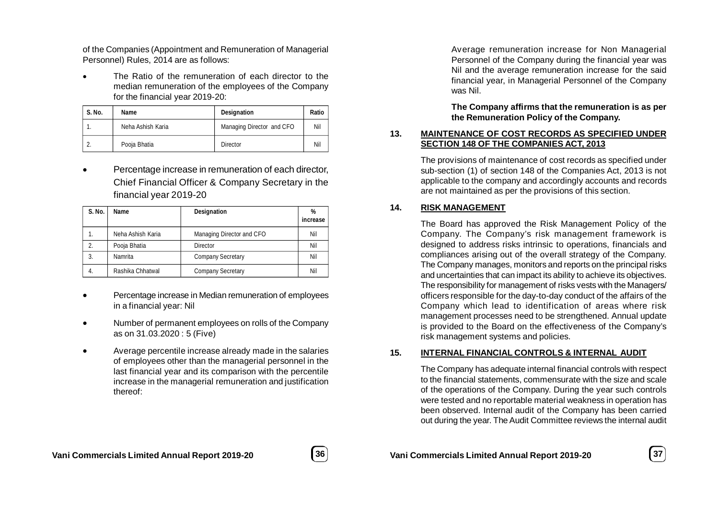of the Companies (Appointment and Remuneration of Managerial Personnel) Rules, 2014 are as follows:

 The Ratio of the remuneration of each director to the median remuneration of the employees of the Company for the financial year 2019-20:

| S. No. | Name              | Designation               | Ratio |
|--------|-------------------|---------------------------|-------|
|        | Neha Ashish Karia | Managing Director and CFO | Nil   |
|        | Pooja Bhatia      | Director                  | Nil   |

 Percentage increase in remuneration of each director, Chief Financial Officer & Company Secretary in the financial year 2019-20

| <b>S. No.</b> | Name              | Designation               | %<br>increase |
|---------------|-------------------|---------------------------|---------------|
| 1.            | Neha Ashish Karia | Managing Director and CFO | Nil           |
| 2.            | Pooja Bhatia      | Director                  | Nil           |
| 3.            | Namrita           | <b>Company Secretary</b>  | Nil           |
| 4.            | Rashika Chhatwal  | <b>Company Secretary</b>  | Nil           |

- Percentage increase in Median remuneration of employees in a financial year: Nil
- Number of permanent employees on rolls of the Company as on 31.03.2020 : 5 (Five)
- Average percentile increase already made in the salaries of employees other than the managerial personnel in the last financial year and its comparison with the percentile increase in the managerial remuneration and justification thereof:

Average remuneration increase for Non Managerial Personnel of the Company during the financial year was Nil and the average remuneration increase for the said financial year, in Managerial Personnel of the Company was Nil.

**The Company affirms that the remuneration is as per the Remuneration Policy of the Company.**

# **13. MAINTENANCE OF COST RECORDS AS SPECIFIED UNDER SECTION 148 OF THE COMPANIES ACT, 2013**

The provisions of maintenance of cost records as specified under sub-section (1) of section 148 of the Companies Act, 2013 is not applicable to the company and accordingly accounts and records are not maintained as per the provisions of this section.

# **14. RISK MANAGEMENT**

The Board has approved the Risk Management Policy of the Company. The Company's risk management framework is designed to address risks intrinsic to operations, financials and compliances arising out of the overall strategy of the Company. The Company manages, monitors and reports on the principal risks and uncertainties that can impact its ability to achieve its objectives. The responsibility for management of risks vests with the Managers/ officers responsible for the day-to-day conduct of the affairs of the Company which lead to identification of areas where risk management processes need to be strengthened. Annual update is provided to the Board on the effectiveness of the Company's risk management systems and policies.

### **15. INTERNAL FINANCIAL CONTROLS & INTERNAL AUDIT**

The Company has adequate internal financial controls with respect to the financial statements, commensurate with the size and scale of the operations of the Company. During the year such controls were tested and no reportable material weakness in operation has been observed. Internal audit of the Company has been carried out during the year. The Audit Committee reviews the internal audit



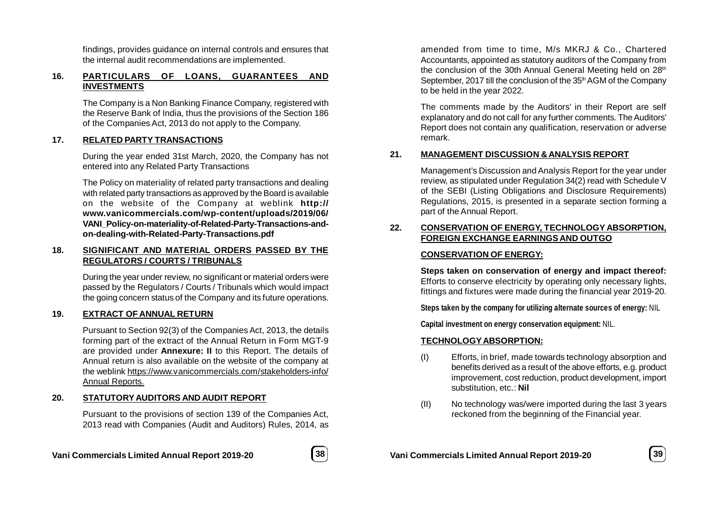findings, provides guidance on internal controls and ensures that the internal audit recommendations are implemented.

# **16. PARTICULARS OF LOANS, GUARANTEES AND INVESTMENTS**

The Company is a Non Banking Finance Company, registered with the Reserve Bank of India, thus the provisions of the Section 186 of the Companies Act, 2013 do not apply to the Company.

### **17. RELATED PARTY TRANSACTIONS**

During the year ended 31st March, 2020, the Company has not entered into any Related Party Transactions

The Policy on materiality of related party transactions and dealing with related party transactions as approved by the Board is available on the website of the Company at weblink **http:// www.vanicommercials.com/wp-content/uploads/2019/06/ VANI\_Policy-on-materiality-of-Related-Party-Transactions-andon-dealing-with-Related-Party-Transactions.pdf**

### **18. SIGNIFICANT AND MATERIAL ORDERS PASSED BY THE REGULATORS / COURTS / TRIBUNALS**

During the year under review, no significant or material orders were passed by the Regulators / Courts / Tribunals which would impact the going concern status of the Company and its future operations.

# **19. EXTRACT OF ANNUAL RETURN**

Pursuant to Section 92(3) of the Companies Act, 2013, the details forming part of the extract of the Annual Return in Form MGT-9 are provided under **Annexure: II** to this Report. The details of Annual return is also available on the website of the company at the weblink https://www.vanicommercials.com/stakeholders-info/ Annual Reports.

# **20. STATUTORYAUDITORS AND AUDIT REPORT**

Pursuant to the provisions of section 139 of the Companies Act, 2013 read with Companies (Audit and Auditors) Rules, 2014, as



amended from time to time, M/s MKRJ & Co., Chartered Accountants, appointed as statutory auditors of the Company from the conclusion of the 30th Annual General Meeting held on 28<sup>th</sup> September, 2017 till the conclusion of the 35<sup>th</sup> AGM of the Company to be held in the year 2022.

The comments made by the Auditors' in their Report are self explanatory and do not call for any further comments. The Auditors' Report does not contain any qualification, reservation or adverse remark.

### **21. MANAGEMENT DISCUSSION & ANALYSIS REPORT**

Management's Discussion and Analysis Report for the year under review, as stipulated under Regulation 34(2) read with Schedule V of the SEBI (Listing Obligations and Disclosure Requirements) Regulations, 2015, is presented in a separate section forming a part of the Annual Report.

## **22. CONSERVATION OF ENERGY, TECHNOLOGY ABSORPTION, FOREIGN EXCHANGE EARNINGS AND OUTGO**

### **CONSERVATION OF ENERGY:**

**Steps taken on conservation of energy and impact thereof:** Efforts to conserve electricity by operating only necessary lights, fittings and fixtures were made during the financial year 2019-20.

**Steps taken by the company for utilizing alternate sources of energy:** NIL

**Capital investment on energy conservation equipment:** NIL.

# **TECHNOLOGYABSORPTION:**

- (I) Efforts, in brief, made towards technology absorption and benefits derived as a result of the above efforts, e.g. product improvement, cost reduction, product development, import substitution, etc.: **Nil**
- (II) No technology was/were imported during the last 3 years reckoned from the beginning of the Financial year.

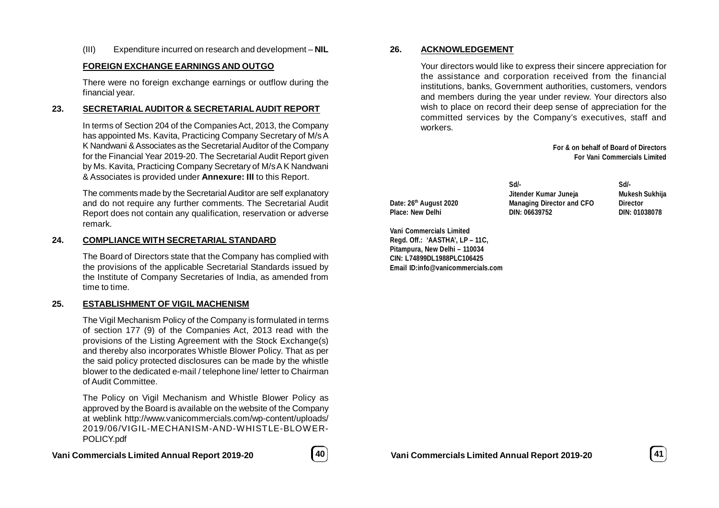(III) Expenditure incurred on research and development – **NIL**

### **FOREIGN EXCHANGE EARNINGS AND OUTGO**

There were no foreign exchange earnings or outflow during the financial year.

### **23. SECRETARIAL AUDITOR & SECRETARIAL AUDIT REPORT**

In terms of Section 204 of the Companies Act, 2013, the Company has appointed Ms. Kavita, Practicing Company Secretary of M/s A K Nandwani & Associates as the Secretarial Auditor of the Company for the Financial Year 2019-20. The Secretarial Audit Report given by Ms. Kavita, Practicing Company Secretary of M/s A K Nandwani & Associates is provided under **Annexure: III** to this Report.

The comments made by the Secretarial Auditor are self explanatory and do not require any further comments. The Secretarial Audit Report does not contain any qualification, reservation or adverse remark.

### **24. COMPLIANCE WITH SECRETARIAL STANDARD**

The Board of Directors state that the Company has complied with the provisions of the applicable Secretarial Standards issued by the Institute of Company Secretaries of India, as amended from time to time.

### **25. ESTABLISHMENT OF VIGIL MACHENISM**

The Vigil Mechanism Policy of the Company is formulated in terms of section 177 (9) of the Companies Act, 2013 read with the provisions of the Listing Agreement with the Stock Exchange(s) and thereby also incorporates Whistle Blower Policy. That as per the said policy protected disclosures can be made by the whistle blower to the dedicated e-mail / telephone line/ letter to Chairman of Audit Committee.

The Policy on Vigil Mechanism and Whistle Blower Policy as approved by the Board is available on the website of the Company at weblink http://www.vanicommercials.com/wp-content/uploads/ 2019/06/VIGIL-MECHANISM-AND-WHISTLE-BLOWER-POLICY.pdf

# **Vani Commercials Limited Annual Report 2019-20 40**



### **26. ACKNOWLEDGEMENT**

Your directors would like to express their sincere appreciation for the assistance and corporation received from the financial institutions, banks, Government authorities, customers, vendors and members during the year under review. Your directors also wish to place on record their deep sense of appreciation for the committed services by the Company's executives, staff and workers.

> **For & on behalf of Board of Directors For Vani Commercials Limited**

**Date: 26th August 2020 Managing Director and CFO Director Place: New Delhi DIN: 06639752 DIN: 01038078**

**Vani Commercials Limited Regd. Off.: 'AASTHA', LP – 11C, Pitampura, New Delhi – 110034 CIN: L74899DL1988PLC106425 Email ID:info@vanicommercials.com**

**Sd/- Sd/- Jitender Kumar Juneja Mukesh Sukhija**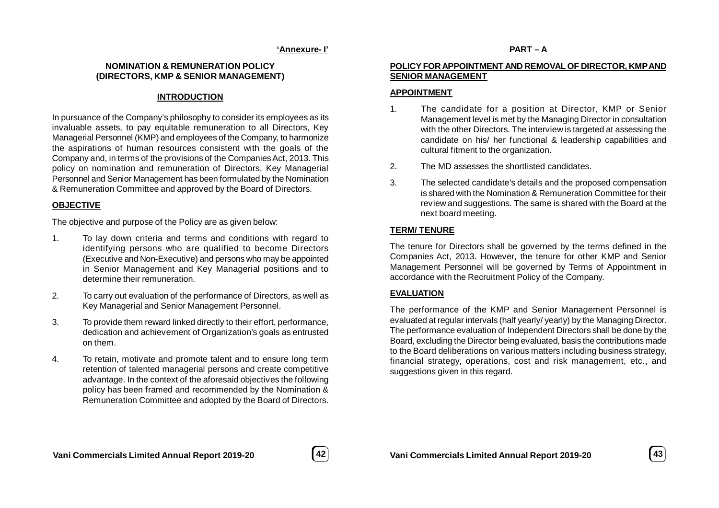### **'Annexure- I'**

# **NOMINATION & REMUNERATION POLICY (DIRECTORS, KMP & SENIOR MANAGEMENT)**

# **INTRODUCTION**

In pursuance of the Company's philosophy to consider its employees as its invaluable assets, to pay equitable remuneration to all Directors, Key Managerial Personnel (KMP) and employees of the Company, to harmonize the aspirations of human resources consistent with the goals of the Company and, in terms of the provisions of the Companies Act, 2013. This policy on nomination and remuneration of Directors, Key Managerial Personnel and Senior Management has been formulated by the Nomination & Remuneration Committee and approved by the Board of Directors.

# **OBJECTIVE**

The objective and purpose of the Policy are as given below:

- 1. To lay down criteria and terms and conditions with regard to identifying persons who are qualified to become Directors (Executive and Non-Executive) and persons who may be appointed in Senior Management and Key Managerial positions and to determine their remuneration.
- 2. To carry out evaluation of the performance of Directors, as well as Key Managerial and Senior Management Personnel.
- 3. To provide them reward linked directly to their effort, performance, dedication and achievement of Organization's goals as entrusted on them.
- 4. To retain, motivate and promote talent and to ensure long term retention of talented managerial persons and create competitive advantage. In the context of the aforesaid objectives the following policy has been framed and recommended by the Nomination & Remuneration Committee and adopted by the Board of Directors.

## **PART – A**

## **POLICY FOR APPOINTMENT AND REMOVAL OF DIRECTOR, KMP AND SENIOR MANAGEMENT**

# **APPOINTMENT**

- 1. The candidate for a position at Director, KMP or Senior Management level is met by the Managing Director in consultation with the other Directors. The interview is targeted at assessing the candidate on his/ her functional & leadership capabilities and cultural fitment to the organization.
- 2. The MD assesses the shortlisted candidates.
- 3. The selected candidate's details and the proposed compensation is shared with the Nomination & Remuneration Committee for their review and suggestions. The same is shared with the Board at the next board meeting.

# **TERM/ TENURE**

The tenure for Directors shall be governed by the terms defined in the Companies Act, 2013. However, the tenure for other KMP and Senior Management Personnel will be governed by Terms of Appointment in accordance with the Recruitment Policy of the Company.

# **EVALUATION**

The performance of the KMP and Senior Management Personnel is evaluated at regular intervals (half yearly/ yearly) by the Managing Director. The performance evaluation of Independent Directors shall be done by the Board, excluding the Director being evaluated, basis the contributions made to the Board deliberations on various matters including business strategy, financial strategy, operations, cost and risk management, etc., and suggestions given in this regard.

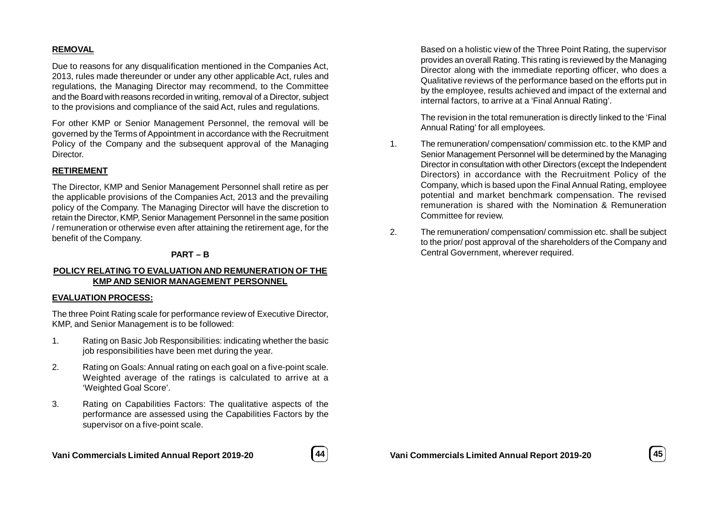### **REMOVAL**

Due to reasons for any disqualification mentioned in the Companies Act, 2013, rules made thereunder or under any other applicable Act, rules and regulations, the Managing Director may recommend, to the Committee and the Board with reasons recorded in writing, removal of a Director, subject to the provisions and compliance of the said Act, rules and regulations.

For other KMP or Senior Management Personnel, the removal will be governed by the Terms of Appointment in accordance with the Recruitment Policy of the Company and the subsequent approval of the Managing Director.

### **RETIREMENT**

The Director, KMP and Senior Management Personnel shall retire as per the applicable provisions of the Companies Act, 2013 and the prevailing policy of the Company. The Managing Director will have the discretion to retain the Director, KMP, Senior Management Personnel in the same position / remuneration or otherwise even after attaining the retirement age, for the benefit of the Company.

### **PART – B**

### **POLICY RELATING TO EVALUATION AND REMUNERATION OF THE KMP AND SENIOR MANAGEMENT PERSONNEL**

### **EVALUATION PROCESS:**

The three Point Rating scale for performance review of Executive Director, KMP, and Senior Management is to be followed:

- 1. Rating on Basic Job Responsibilities: indicating whether the basic job responsibilities have been met during the year.
- 2. Rating on Goals: Annual rating on each goal on a five-point scale. Weighted average of the ratings is calculated to arrive at a 'Weighted Goal Score'.
- 3. Rating on Capabilities Factors: The qualitative aspects of the performance are assessed using the Capabilities Factors by the supervisor on a five-point scale.



**Vani Commercials Limited Annual Report 2019-20 45**

Based on a holistic view of the Three Point Rating, the supervisor provides an overall Rating. This rating is reviewed by the Managing Director along with the immediate reporting officer, who does a Qualitative reviews of the performance based on the efforts put in by the employee, results achieved and impact of the external and internal factors, to arrive at a 'Final Annual Rating'.

The revision in the total remuneration is directly linked to the 'Final Annual Rating' for all employees.

- 1. The remuneration/ compensation/ commission etc. to the KMP and Senior Management Personnel will be determined by the Managing Director in consultation with other Directors (except the Independent Directors) in accordance with the Recruitment Policy of the Company, which is based upon the Final Annual Rating, employee potential and market benchmark compensation. The revised remuneration is shared with the Nomination & Remuneration Committee for review.
- 2. The remuneration/ compensation/ commission etc. shall be subject to the prior/ post approval of the shareholders of the Company and Central Government, wherever required.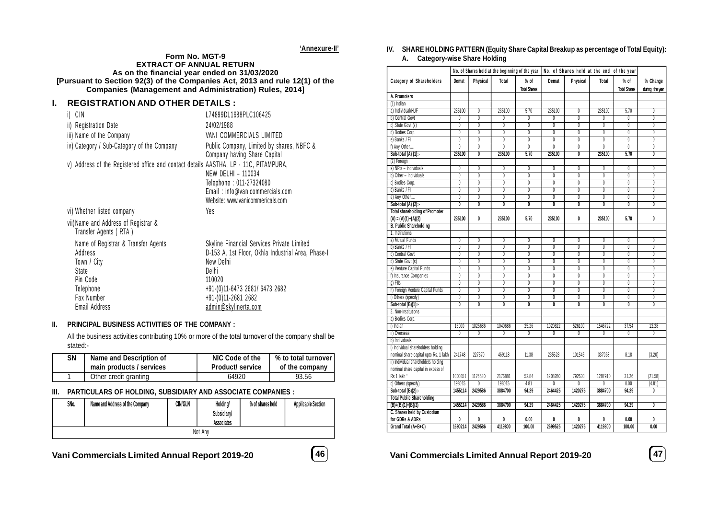**'Annexure-II'**

#### **Form No. MGT-9 EXTRACT OF ANNUAL RETURN As on the financial year ended on 31/03/2020 [Pursuant to Section 92(3) of the Companies Act, 2013 and rule 12(1) of the Companies (Management and Administration) Rules, 2014]**

## **I. REGISTRATION AND OTHER DETAILS :**

| CIN<br>İ)                                                                                                                      | L74899DL1988PLC106425                                                                                                                                                                                             |
|--------------------------------------------------------------------------------------------------------------------------------|-------------------------------------------------------------------------------------------------------------------------------------------------------------------------------------------------------------------|
| ii) Registration Date                                                                                                          | 24/02/1988                                                                                                                                                                                                        |
| iii) Name of the Company                                                                                                       | VANI COMMERCIALS LIMITED                                                                                                                                                                                          |
| iv) Category / Sub-Category of the Company                                                                                     | Public Company, Limited by shares, NBFC &<br>Company having Share Capital                                                                                                                                         |
| v) Address of the Registered office and contact details AASTHA, LP - 11C, PITAMPURA,                                           | NEW DELHI - 110034<br>Telephone: 011-27324080<br>Email: info@vanicommercials.com<br>Website: www.vanicommericals.com                                                                                              |
| vi) Whether listed company                                                                                                     | Yes                                                                                                                                                                                                               |
| vii)Name and Address of Registrar &<br>Transfer Agents (RTA)                                                                   |                                                                                                                                                                                                                   |
| Name of Registrar & Transfer Agents<br>Address<br>Town / City<br>State<br>Pin Code<br>Telephone<br>Fax Number<br>Email Address | Skyline Financial Services Private Limited<br>D-153 A, 1st Floor, Okhla Industrial Area, Phase-I<br>New Delhi<br>Delhi<br>110020<br>+91-(0)11-6473 2681/ 6473 2682<br>+91-(0)11-2681 2682<br>admin@skylinerta.com |

### **II. PRINCIPAL BUSINESS ACTIVITIES OF THE COMPANY :**

All the business activities contributing 10% or more of the total turnover of the company shall be stated:-

| SΝ | Name and Description of  | NIC Code of the         | % to total turnover |
|----|--------------------------|-------------------------|---------------------|
|    | main products / services | <b>Product/ service</b> | of the company      |
|    | Other credit granting    | 64920                   | 93.56               |

### **III. PARTICULARS OF HOLDING, SUBSIDIARY AND ASSOCIATE COMPANIES :**

| SNo.    | Name and Address of the Company | <b>CIN/GLN</b> | <b>Holding/</b><br><b>Subsidiary/</b><br><b>Associates</b> | % of shares held | <b>Applicable Section</b> |  |  |  |  |  |
|---------|---------------------------------|----------------|------------------------------------------------------------|------------------|---------------------------|--|--|--|--|--|
| Not Any |                                 |                |                                                            |                  |                           |  |  |  |  |  |

# **IV. SHARE HOLDING PATTERN (Equity Share Capital Breakup as percentage of Total Equity):**

# **A. Category-wise Share Holding**

|                                       |                         |                         | No. of Shares held at the beginning of the year |                           |                         | No. of Shares held at the end of the year |                           |                         |                         |
|---------------------------------------|-------------------------|-------------------------|-------------------------------------------------|---------------------------|-------------------------|-------------------------------------------|---------------------------|-------------------------|-------------------------|
| Category of Shareholders              | Demat                   | Physical                | Total                                           | % of                      | Demat                   | Physical                                  | Total                     | $%$ of                  | % Change                |
|                                       |                         |                         |                                                 | <b>Total Shares</b>       |                         |                                           |                           | <b>Total Shares</b>     | during the year         |
| A. Promoters                          |                         |                         |                                                 |                           |                         |                                           |                           |                         |                         |
| $(1)$ Indian                          |                         |                         |                                                 |                           |                         |                                           |                           |                         |                         |
| a) Individual/HUF                     | 235100                  | 0                       | 235100                                          | 5.70                      | 235100                  | 0                                         | 235100                    | 5.70                    | $\overline{0}$          |
| b) Central Govt                       | $\overline{0}$          | $\overline{0}$          | $\overline{0}$                                  | $\overline{0}$            | $\overline{0}$          | $\overline{0}$                            | $\overline{0}$            | $\overline{0}$          | $\overline{0}$          |
| c) State Govt (s)                     | $\overline{0}$          | $\overline{0}$          | $\overline{0}$                                  | $\overline{0}$            | $\overline{0}$          | 0                                         | $\overline{0}$            | $\overline{0}$          | $\overline{0}$          |
| d) Bodies Corp.                       | $\overline{0}$          | $\overline{0}$          | $\overline{0}$                                  | $\overline{0}$            | $\overline{0}$          | $\overline{0}$                            | $\overline{0}$            | $\overline{0}$          | $\overline{0}$          |
| e) Banks / Fl                         | $\overline{0}$          | $\overline{0}$          | $\overline{\mathbb{0}}$                         | $\overline{\mathbf{0}}$   | 0                       | $\overline{0}$                            | $\overline{\mathbf{0}}$   | $\overline{0}$          | $\overline{\mathbb{0}}$ |
| f) Any Other                          | 0                       | $\overline{0}$          | $\overline{0}$                                  | $\overline{0}$            | 0                       | 0                                         | $\overline{0}$            | $\overline{0}$          | 0                       |
| Sub-total (A) (1):-                   | 235100                  | $\overline{\mathbf{0}}$ | 235100                                          | 5.70                      | 235100                  | $\overline{0}$                            | 235100                    | 5.70                    | $\overline{0}$          |
| (2) Foreign                           |                         |                         |                                                 |                           |                         |                                           |                           |                         |                         |
| a) NRIs - Individuals                 | 0                       | $\overline{0}$          | 0                                               | 0                         | $\overline{0}$          | 0                                         | $\overline{0}$            | $\overline{0}$          | $\overline{0}$          |
| b) Other - Individuals                | $\overline{0}$          | $\overline{0}$          | $\overline{\mathbb{0}}$                         | $\overline{0}$            | 0                       | $\overline{0}$                            | 0                         | $\overline{0}$          | $\overline{0}$          |
| c) Bodies Corp.                       | 0                       | $\overline{0}$          | $\overline{0}$                                  | 0                         | $\overline{0}$          | 0                                         | 0                         | 0                       | $\overline{0}$          |
| d) Banks / FI                         | $\overline{0}$          | $\overline{0}$          | $\overline{0}$                                  | $\overline{0}$            | $\overline{0}$          | $\overline{0}$                            | $\overline{0}$            | $\overline{0}$          | $\overline{0}$          |
| e) Any Other                          | 0                       | $\overline{0}$          | 0                                               | 0                         | $\overline{0}$          | 0                                         | 0                         | 0                       | $\overline{0}$          |
| Sub-total $(A)$ $(2)$ :-              | $\overline{\mathbf{0}}$ | $\overline{\mathbf{0}}$ | $\overline{\mathbf{0}}$                         | $\overline{\mathfrak{0}}$ | $\overline{\mathbf{0}}$ | $\overline{0}$                            | $\overline{\mathfrak{o}}$ | $\overline{\mathbf{0}}$ | $\overline{0}$          |
| <b>Total shareholding of Promoter</b> |                         |                         |                                                 |                           |                         |                                           |                           |                         |                         |
| $(A) = (A)(1)+(A)(2)$                 | 235100                  | 0                       | 235100                                          | 5.70                      | 235100                  | 0                                         | 235100                    | 5.70                    | 0                       |
| <b>B. Public Shareholding</b>         |                         |                         |                                                 |                           |                         |                                           |                           |                         |                         |
| 1. Institutions                       |                         |                         |                                                 |                           |                         |                                           |                           |                         |                         |
| a) Mutual Funds                       | $\overline{0}$          | $\overline{0}$          | $\overline{0}$                                  | $\overline{0}$            | $\overline{0}$          | $\overline{0}$                            | $\overline{0}$            | 0                       | $\overline{0}$          |
| b) Banks / Fl                         | $\overline{0}$          | $\overline{0}$          | $\overline{0}$                                  | $\overline{0}$            | $\overline{0}$          | $\overline{0}$                            | $\overline{0}$            | $\overline{0}$          | $\overline{0}$          |
| c) Central Govt                       | $\overline{0}$          | 0                       | $\overline{0}$                                  | Ō                         | $\overline{0}$          | $\overline{0}$                            | $\overline{0}$            | $\overline{0}$          | $\overline{0}$          |
| d) State Govt (s)                     | $\overline{0}$          | $\overline{0}$          | $\overline{0}$                                  | $\overline{0}$            | $\overline{0}$          | $\overline{0}$                            | $\overline{0}$            | $\overline{0}$          | $\overline{0}$          |
| e) Venture Capital Funds              | $\overline{0}$          | $\overline{0}$          | $\overline{0}$                                  | $\overline{0}$            | $\overline{0}$          | $\overline{0}$                            | $\overline{0}$            | $\overline{0}$          | $\overline{0}$          |
| f) Insurance Companies                | $\overline{0}$          | $\overline{0}$          | $\overline{0}$                                  | Ō                         | $\overline{0}$          | 0                                         | $\overline{\mathbf{0}}$   | $\overline{0}$          | $\overline{0}$          |
| $q$ ) Flls                            | $\overline{0}$          | $\overline{0}$          | $\overline{0}$                                  | $\overline{0}$            | $\overline{0}$          | $\overline{0}$                            | $\overline{0}$            | $\overline{0}$          | $\overline{0}$          |
| h) Foreign Venture Capital Funds      | $\overline{0}$          | $\overline{0}$          | $\overline{0}$                                  | 0                         | $\overline{0}$          | $\overline{0}$                            | 0                         | $\overline{0}$          | $\overline{0}$          |
| i) Others (specify)                   | $\overline{0}$          | $\overline{0}$          | $\overline{0}$                                  | $\overline{0}$            | $\overline{0}$          | $\overline{0}$                            | $\overline{0}$            | $\overline{0}$          | $\overline{0}$          |
| Sub-total (B)(1):-                    | $\overline{0}$          | $\overline{\mathbf{0}}$ | $\overline{\mathbf{0}}$                         | $\overline{\mathbf{0}}$   | $\overline{0}$          | 0                                         | 0                         | Ō                       | $\overline{0}$          |
| 2. Non-Institutions                   |                         |                         |                                                 |                           |                         |                                           |                           |                         |                         |
| a) Bodies Corp.                       |                         |                         |                                                 |                           |                         |                                           |                           |                         |                         |
| i) Indian                             | 15000                   | 1025686                 | 1040686                                         | 25.26                     | 1020622                 | 526100                                    | 1546722                   | 37.54                   | 12.28                   |
| ii) Overseas                          | $\overline{0}$          | $\overline{0}$          | $\overline{0}$                                  | $\overline{0}$            | $\overline{0}$          | $\overline{0}$                            | $\overline{0}$            | $\overline{0}$          | $\overline{0}$          |
| b) Individuals                        |                         |                         |                                                 |                           |                         |                                           |                           |                         |                         |
| i) Individual shareholders holding    |                         |                         |                                                 |                           |                         |                                           |                           |                         |                         |
| nominal share capital upto Rs. 1 lakh | 241748                  | 227370                  | 469118                                          | 11.38                     | 235523                  | 101545                                    | 337068                    | 8.18                    | (3.20)                  |
| ii) Individual shareholders holding   |                         |                         |                                                 |                           |                         |                                           |                           |                         |                         |
| nominal share capital in excess of    |                         |                         |                                                 |                           |                         |                                           |                           |                         |                         |
| Rs 1 lakh *                           | 1000351                 | 1176530                 | 2176881                                         | 52.84                     | 1208280                 | 792630                                    | 1287910                   | 31.26                   | (21.58)                 |
| c) Others (specify)                   | 198015                  | $\overline{0}$          | 198015                                          | 4.81                      | $\overline{0}$          | $\overline{0}$                            | $\overline{0}$            | 0.00                    | (4.81)                  |
| Sub-total (B)(2):-                    | 1455114                 | 2429586                 | 3884700                                         | 94.29                     | 2464425                 | 1420275                                   | 3884700                   | 94.29                   | $\overline{0}$          |
| <b>Total Public Shareholding</b>      |                         |                         |                                                 |                           |                         |                                           |                           |                         |                         |
| $(B)=(B)(1)+(B)(2)$                   | 1455114                 | 2429586                 | 3884700                                         | 94.29                     | 2464425                 | 1420275                                   | 3884700                   | 94.29                   | $\overline{0}$          |
| C. Shares held by Custodian           |                         |                         |                                                 |                           |                         |                                           |                           |                         |                         |
| for GDRs & ADRs                       | 0                       | 0                       | 0                                               | 0.00                      | 0                       | 0                                         | 0                         | 0.00                    | 0                       |
| Grand Total (A+B+C)                   | 1690214                 | 2429586                 | 4119800                                         | 100.00                    | 2699525                 | 1420275                                   | 4119800                   | 100.00                  | 0.00                    |

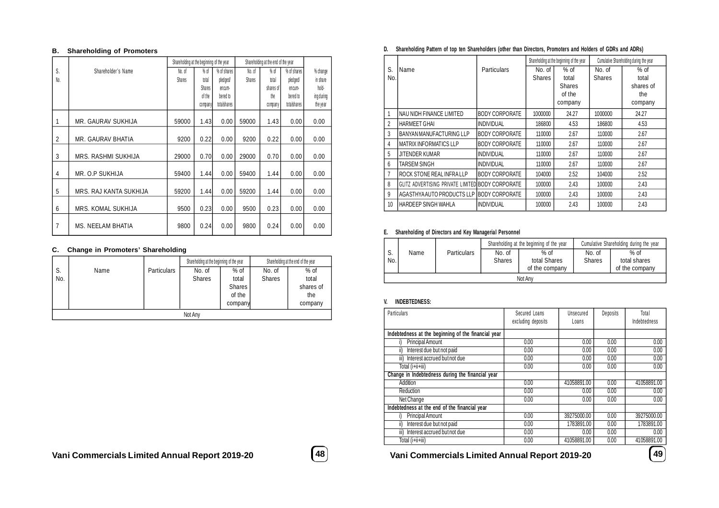#### **B. Shareholding of Promoters**

|                |                        | Shareholding at the beginning of the year |               |             | Shareholding at the end of the year |           |             |            |
|----------------|------------------------|-------------------------------------------|---------------|-------------|-------------------------------------|-----------|-------------|------------|
| S.             | Shareholder's Name     | No. of                                    | $%$ of        | % of shares | No. of                              | $%$ of    | % of shares | % change   |
| No.            |                        | <b>Shares</b>                             | total         | pledged     | Shares                              | total     | pledged/    | in share   |
|                |                        |                                           | <b>Shares</b> | encum-      |                                     | shares of | encum-      | hold-      |
|                |                        |                                           | of the        | bered to    |                                     | the       | bered to    | ing during |
|                |                        |                                           | company       | totalshares |                                     | company   | totalshares | the year   |
|                |                        |                                           |               |             |                                     |           |             |            |
| 1              | MR. GAURAV SUKHIJA     | 59000                                     | 1.43          | 0.00        | 59000                               | 1.43      | 0.00        | 0.00       |
|                |                        |                                           |               |             |                                     |           |             |            |
| $\overline{2}$ | MR. GAURAV BHATIA      | 9200                                      | 0.22          | 0.00        | 9200                                | 0.22      | 0.00        | 0.00       |
|                |                        |                                           |               |             |                                     |           |             |            |
| 3              | MRS. RASHMI SUKHIJA    | 29000                                     | 0.70          | 0.00        | 29000                               | 0.70      | 0.00        | 0.00       |
|                |                        |                                           |               |             |                                     |           |             |            |
| 4              | MR. O.P SUKHIJA        | 59400                                     | 1.44          | 0.00        | 59400                               | 1.44      | 0.00        | 0.00       |
|                |                        |                                           |               |             |                                     |           |             |            |
| 5              | MRS. RAJ KANTA SUKHIJA | 59200                                     | 1.44          | 0.00        | 59200                               | 1.44      | 0.00        | 0.00       |
|                |                        |                                           |               |             |                                     |           |             |            |
| 6              | MRS. KOMAL SUKHIJA     | 9500                                      | 0.23          | 0.00        | 9500                                | 0.23      | 0.00        | 0.00       |
|                |                        |                                           |               |             |                                     |           |             |            |
| 7              | MS. NEELAM BHATIA      | 9800                                      | 0.24          | 0.00        | 9800                                | 0.24      | 0.00        | 0.00       |

### **C. Change in Promoters' Shareholding**

|     |         |                    | Shareholding at the beginning of the year |               |               | Shareholding at the end of the year |  |  |  |  |
|-----|---------|--------------------|-------------------------------------------|---------------|---------------|-------------------------------------|--|--|--|--|
| S.  | Name    | <b>Particulars</b> | No. of                                    | $%$ of        | No. of        | $%$ of                              |  |  |  |  |
| No. |         |                    | <b>Shares</b>                             | total         | <b>Shares</b> | total                               |  |  |  |  |
|     |         |                    |                                           | <b>Shares</b> |               | shares of                           |  |  |  |  |
|     |         |                    |                                           | of the        |               | the                                 |  |  |  |  |
|     |         |                    |                                           | company       |               | company                             |  |  |  |  |
|     | Not Any |                    |                                           |               |               |                                     |  |  |  |  |

### **D. Shareholding Pattern of top ten Shareholders (other than Directors, Promoters and Holders of GDRs and ADRs)**

|     |                                                  |                        |               | Shareholding at the beginning of the year |               | Cumulative Shareholding during the year |
|-----|--------------------------------------------------|------------------------|---------------|-------------------------------------------|---------------|-----------------------------------------|
| S   | Name                                             | Particulars            | No. of        | $%$ of                                    | No. of        | $%$ of                                  |
| No. |                                                  |                        | <b>Shares</b> | total                                     | <b>Shares</b> | total                                   |
|     |                                                  |                        |               | <b>Shares</b>                             |               | shares of                               |
|     |                                                  |                        |               | of the                                    |               | the                                     |
|     |                                                  |                        |               | company                                   |               | company                                 |
|     | NAU NIDH FINANCE LIMITED                         | <b>BODY CORPORATE</b>  | 1000000       | 24.27                                     | 1000000       | 24.27                                   |
| 2   | <b>HARMEET GHAI</b>                              | <b>INDIVIDUAL</b>      | 186800        | 4.53                                      | 186800        | 4.53                                    |
| 3   | BANYAN MANUFACTURING LLP                         | <b>BODY CORPORATE</b>  | 110000        | 2.67                                      | 110000        | 2.67                                    |
| 4   | <b>MATRIX INFORMATICS LLP</b>                    | <b>BODY CORPORATE</b>  | 110000        | 2.67                                      | 110000        | 2.67                                    |
| 5   | JITENDER KUMAR                                   | INDIVIDUAL             | 110000        | 2.67                                      | 110000        | 2.67                                    |
| 6   | <b>TARSEM SINGH</b>                              | <b>INDIVIDUAL</b>      | 110000        | 2.67                                      | 110000        | 2.67                                    |
| 7   | ROCK STONE REAL INFRALLP                         | <b>BODY CORPORATE</b>  | 104000        | 2.52                                      | 104000        | 2.52                                    |
| 8   | GLITZ ADVERTISING PRIVATE LIMITEDIBODY CORPORATE |                        | 100000        | 2.43                                      | 100000        | 2.43                                    |
| 9   | AGASTHYA AUTO PRODUCTS LLP                       | <b>IBODY CORPORATE</b> | 100000        | 2.43                                      | 100000        | 2.43                                    |
| 10  | HARDEEP SINGH WAHLA                              | <b>INDIVIDUAL</b>      | 100000        | 2.43                                      | 100000        | 2.43                                    |

### **E. Shareholding of Directors and Key Managerial Personnel**

|           |         |                    |                         | Shareholding at the beginning of the year | Cumulative Shareholding during the year |                        |  |  |  |
|-----------|---------|--------------------|-------------------------|-------------------------------------------|-----------------------------------------|------------------------|--|--|--|
| S.<br>No. | Name    | <b>Particulars</b> | No. of<br><b>Shares</b> | $%$ of<br>total Shares                    | No. of<br><b>Shares</b>                 | $%$ of<br>total shares |  |  |  |
|           |         |                    |                         | of the company                            |                                         | of the company         |  |  |  |
|           | Not Any |                    |                         |                                           |                                         |                        |  |  |  |

### **V. INDEBTEDNESS:**

| <b>Particulars</b>                                  | Secured Loans<br>excluding deposits | Unsecured<br>Loans | Deposits | Total<br>Indebtedness |
|-----------------------------------------------------|-------------------------------------|--------------------|----------|-----------------------|
| Indebtedness at the beginning of the financial year |                                     |                    |          |                       |
| <b>Principal Amount</b>                             | 0.00                                | 0.00               | 0.00     | 0.00                  |
| Interest due but not paid<br>ii)                    | 0.00                                | 0.00               | 0.00     | 0.00                  |
| Interest accrued but not due<br>iii)                | 0.00                                | 0.00               | 0.00     | 0.00                  |
| Total (i+ii+iii)                                    | 0.00                                | 0.00               | 0.00     | 0.00                  |
| Change in Indebtedness during the financial year    |                                     |                    |          |                       |
| Addition                                            | 0.00                                | 41058891.00        | 0.00     | 41058891.00           |
| Reduction                                           | 0.00                                | 0.00               | 0.00     | 0.00                  |
| Net Change                                          | 0.00                                | 0.00               | 0.00     | 0.00                  |
| Indebtedness at the end of the financial year       |                                     |                    |          |                       |
| <b>Principal Amount</b>                             | 0.00                                | 39275000.00        | 0.00     | 39275000.00           |
| Interest due but not paid<br>ii)                    | 0.00                                | 1783891.00         | 0.00     | 1783891.00            |
| Interest accrued but not due<br>iii)                | 0.00                                | 0.00               | 0.00     | 0.00                  |
| Total (i+ii+iii)                                    | 0.00                                | 41058891.00        | 0.00     | 41058891.00           |

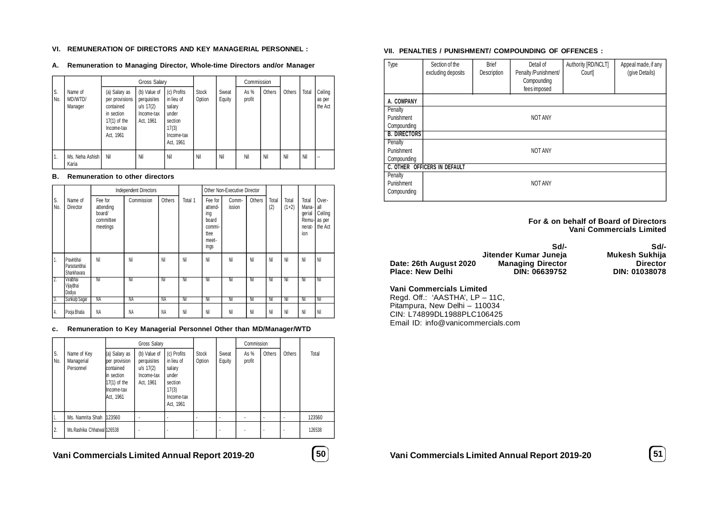#### **VI. REMUNERATION OF DIRECTORS AND KEY MANAGERIAL PERSONNEL :**

**A. Remuneration to Managing Director, Whole-time Directors and/or Manager**

|           |                               |                                                                                                         | <b>Gross Salary</b>                                                   |                                                                                             |                        |                 | Commission       |        |        |       |                              |
|-----------|-------------------------------|---------------------------------------------------------------------------------------------------------|-----------------------------------------------------------------------|---------------------------------------------------------------------------------------------|------------------------|-----------------|------------------|--------|--------|-------|------------------------------|
| S.<br>No. | Name of<br>MD/WTD/<br>Manager | (a) Salary as<br>per provisions<br>contained<br>in section<br>$17(1)$ of the<br>Income-tax<br>Act, 1961 | (b) Value of<br>perquisites<br>$u/s$ 17(2)<br>Income-tax<br>Act, 1961 | (c) Profits<br>in lieu of<br>salary<br>under<br>section<br>17(3)<br>Income-tax<br>Act, 1961 | <b>Stock</b><br>Option | Sweat<br>Equity | As $%$<br>profit | Others | Others | Total | Ceiling<br>as per<br>the Act |
| ່ 1.      | Ms. Neha Ashish I<br>Karia    | Nil                                                                                                     | Nil                                                                   | Nil                                                                                         | Nil                    | Nil             | Nil              | Nil    | Nil    | Nil   |                              |

#### **B. Remuneration to other directors**

|            |                                           |                                                         | <b>Independent Directors</b> |        |         |                                                                       | Other Non-Executive Director |        |              |                  |                                                    |                                              |
|------------|-------------------------------------------|---------------------------------------------------------|------------------------------|--------|---------|-----------------------------------------------------------------------|------------------------------|--------|--------------|------------------|----------------------------------------------------|----------------------------------------------|
| S.<br>INo. | Name of<br>Director                       | Fee for<br>attending<br>board/<br>committee<br>meetings | Commission                   | Others | Total 1 | Fee for<br>attend-<br>ing<br>board<br>commi-<br>ttee<br>meet-<br>ings | Comm-<br>ission              | Others | Total<br>(2) | Total<br>$(1+2)$ | Total<br>Mana-<br>qerial<br>Remu-<br>nerat-<br>ion | Over-<br>all<br>Ceiling<br>as per<br>the Act |
| 1.         | Pravinbhai<br>Parsotambhai<br>Shankhavara | Nil                                                     | Nil                          | Nil    | Nil     | Nil                                                                   | Nil                          | Nil    | Nil          | Nil              | Nil                                                | Nil                                          |
| 7.         | Viralbhai<br>Vijaybhai<br>Dodiya          | Nil                                                     | Nil                          | Nil    | Nil     | Nil                                                                   | Nil                          | Nil    | Nil          | Nil              | Nil                                                | Nil                                          |
| 3.         | <b>Sunkulp Sagar</b>                      | NA                                                      | NA                           | NA     | Nil     | Nil                                                                   | Nil                          | Nil    | Nil          | Nil              | Nil                                                | Nil                                          |
| 14.        | Pooja Bhatia                              | NA                                                      | NA                           | NA     | Nil     | Nil                                                                   | Nil                          | Nil    | Nil          | Nil              | Nil                                                | Nil                                          |

#### **c. Remuneration to Key Managerial Personnel Other than MD/Manager/WTD**

|                |                                        |                                                                                                        | <b>Gross Salary</b>                                                   |                                                                                             |                        |                 | Commission       |        |        |        |
|----------------|----------------------------------------|--------------------------------------------------------------------------------------------------------|-----------------------------------------------------------------------|---------------------------------------------------------------------------------------------|------------------------|-----------------|------------------|--------|--------|--------|
| S.<br>No.      | Name of Key<br>Managerial<br>Personnel | (a) Salary as<br>per provision<br>contained<br>in section<br>$17(1)$ of the<br>Income-tax<br>Act, 1961 | (b) Value of<br>perquisites<br>$u/s$ 17(2)<br>Income-tax<br>Act, 1961 | (c) Profits<br>in lieu of<br>salary<br>under<br>section<br>17(3)<br>Income-tax<br>Act, 1961 | <b>Stock</b><br>Option | Sweat<br>Equity | As $%$<br>profit | Others | Others | Total  |
|                | Ms. Namrita Shah 123560                |                                                                                                        |                                                                       |                                                                                             |                        |                 |                  |        |        | 123560 |
| $^{\prime}$ 2. | Ms. Rashika Chhatwal 126538            |                                                                                                        |                                                                       |                                                                                             |                        |                 |                  |        |        | 126538 |

# **Vani Commercials Limited Annual Report 2019-20 50**



#### **VII. PENALTIES / PUNISHMENT/ COMPOUNDING OF OFFENCES :**

| Type                | Section of the<br>excluding deposits | <b>Brief</b><br>Description | Detail of<br>Penalty /Punishment/<br>Compounding<br>fees imposed | Authority [RD/NCLT]<br>Court | Appeal made, if any<br>(give Details) |
|---------------------|--------------------------------------|-----------------------------|------------------------------------------------------------------|------------------------------|---------------------------------------|
| A. COMPANY          |                                      |                             |                                                                  |                              |                                       |
| Penalty             |                                      |                             |                                                                  |                              |                                       |
| Punishment          |                                      |                             | <b>NOT ANY</b>                                                   |                              |                                       |
| Compounding         |                                      |                             |                                                                  |                              |                                       |
| <b>B. DIRECTORS</b> |                                      |                             |                                                                  |                              |                                       |
| Penalty             |                                      |                             |                                                                  |                              |                                       |
| Punishment          |                                      |                             | <b>NOT ANY</b>                                                   |                              |                                       |
| Compounding         |                                      |                             |                                                                  |                              |                                       |
|                     | C. OTHER OFFICERS IN DEFAULT         |                             |                                                                  |                              |                                       |
| Penalty             |                                      |                             |                                                                  |                              |                                       |
| Punishment          |                                      |                             | <b>NOT ANY</b>                                                   |                              |                                       |
| Compounding         |                                      |                             |                                                                  |                              |                                       |

**For & on behalf of Board of Directors Vani Commercials Limited**

|                        | Sd/-<br>Jitender Kumar Juneja | Sd/-<br>Mukesh Sukhija |
|------------------------|-------------------------------|------------------------|
| Date: 26th August 2020 | <b>Managing Director</b>      | <b>Director</b>        |
| Place: New Delhi       | DIN: 06639752                 | <b>DIN: 01038078</b>   |

### **Vani Commercials Limited**

Regd. Off.: 'AASTHA', LP – 11C, Pitampura, New Delhi – 110034 CIN: L74899DL1988PLC106425 Email ID: info@vanicommercials.com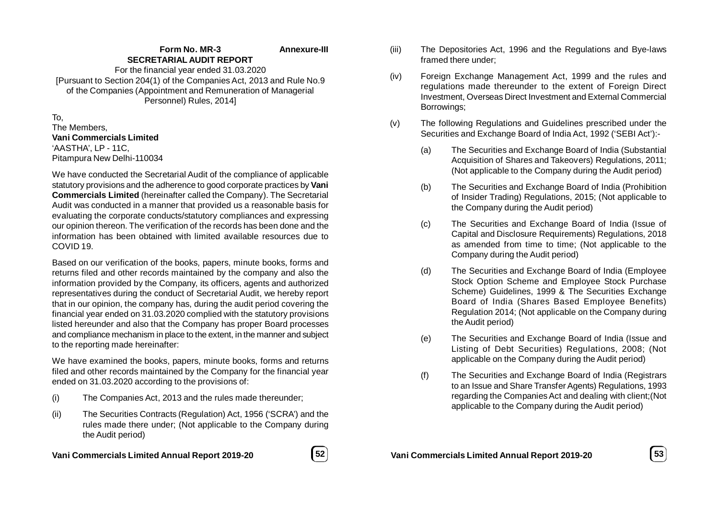#### **Form No. MR-3 SECRETARIAL AUDIT REPORT Annexure-III**

For the financial year ended 31.03.2020 [Pursuant to Section 204(1) of the Companies Act, 2013 and Rule No.9 of the Companies (Appointment and Remuneration of Managerial Personnel) Rules, 2014]

To, The Members, **Vani Commercials Limited** 'AASTHA', LP - 11C,

Pitampura New Delhi-110034

We have conducted the Secretarial Audit of the compliance of applicable statutory provisions and the adherence to good corporate practices by **Vani Commercials Limited** (hereinafter called the Company). The Secretarial Audit was conducted in a manner that provided us a reasonable basis for evaluating the corporate conducts/statutory compliances and expressing our opinion thereon. The verification of the records has been done and the information has been obtained with limited available resources due to COVID 19.

Based on our verification of the books, papers, minute books, forms and returns filed and other records maintained by the company and also the information provided by the Company, its officers, agents and authorized representatives during the conduct of Secretarial Audit, we hereby report that in our opinion, the company has, during the audit period covering the financial year ended on 31.03.2020 complied with the statutory provisions listed hereunder and also that the Company has proper Board processes and compliance mechanism in place to the extent, in the manner and subject to the reporting made hereinafter:

We have examined the books, papers, minute books, forms and returns filed and other records maintained by the Company for the financial year ended on 31.03.2020 according to the provisions of:

- (i) The Companies Act, 2013 and the rules made thereunder;
- (ii) The Securities Contracts (Regulation) Act, 1956 ('SCRA') and the rules made there under; (Not applicable to the Company during the Audit period)



- (iii) The Depositories Act, 1996 and the Regulations and Bye-laws framed there under;
- (iv) Foreign Exchange Management Act, 1999 and the rules and regulations made thereunder to the extent of Foreign Direct Investment, Overseas Direct Investment and External Commercial Borrowings;
- (v) The following Regulations and Guidelines prescribed under the Securities and Exchange Board of India Act, 1992 ('SEBI Act'):-
	- (a) The Securities and Exchange Board of India (Substantial Acquisition of Shares and Takeovers) Regulations, 2011; (Not applicable to the Company during the Audit period)
	- (b) The Securities and Exchange Board of India (Prohibition of Insider Trading) Regulations, 2015; (Not applicable to the Company during the Audit period)
	- (c) The Securities and Exchange Board of India (Issue of Capital and Disclosure Requirements) Regulations, 2018 as amended from time to time; (Not applicable to the Company during the Audit period)
	- (d) The Securities and Exchange Board of India (Employee Stock Option Scheme and Employee Stock Purchase Scheme) Guidelines, 1999 & The Securities Exchange Board of India (Shares Based Employee Benefits) Regulation 2014; (Not applicable on the Company during the Audit period)
	- (e) The Securities and Exchange Board of India (Issue and Listing of Debt Securities) Regulations, 2008; (Not applicable on the Company during the Audit period)
	- (f) The Securities and Exchange Board of India (Registrars to an Issue and Share Transfer Agents) Regulations, 1993 regarding the Companies Act and dealing with client;(Not applicable to the Company during the Audit period)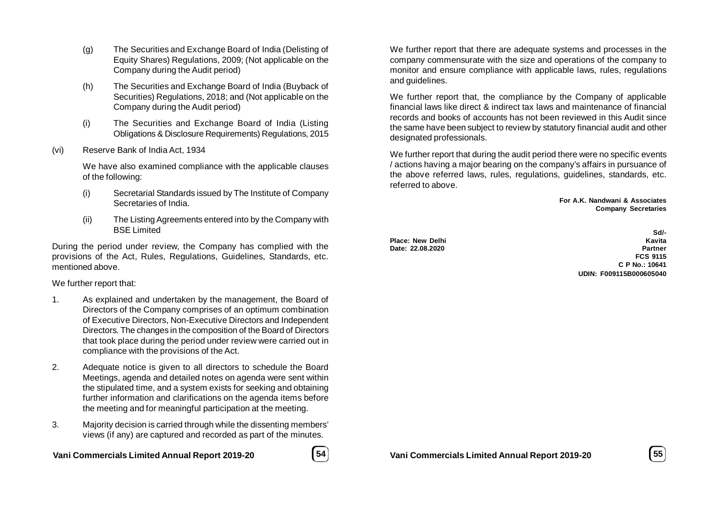- (g) The Securities and Exchange Board of India (Delisting of Equity Shares) Regulations, 2009; (Not applicable on the Company during the Audit period)
- (h) The Securities and Exchange Board of India (Buyback of Securities) Regulations, 2018; and (Not applicable on the Company during the Audit period)
- (i) The Securities and Exchange Board of India (Listing Obligations & Disclosure Requirements) Regulations, 2015
- (vi) Reserve Bank of India Act, 1934

We have also examined compliance with the applicable clauses of the following:

- (i) Secretarial Standards issued by The Institute of Company Secretaries of India.
- (ii) The Listing Agreements entered into by the Company with BSE Limited

During the period under review, the Company has complied with the provisions of the Act, Rules, Regulations, Guidelines, Standards, etc. mentioned above.

We further report that:

- 1. As explained and undertaken by the management, the Board of Directors of the Company comprises of an optimum combination of Executive Directors, Non-Executive Directors and Independent Directors. The changes in the composition of the Board of Directors that took place during the period under review were carried out in compliance with the provisions of the Act.
- 2. Adequate notice is given to all directors to schedule the Board Meetings, agenda and detailed notes on agenda were sent within the stipulated time, and a system exists for seeking and obtaining further information and clarifications on the agenda items before the meeting and for meaningful participation at the meeting.
- 3. Majority decision is carried through while the dissenting members' views (if any) are captured and recorded as part of the minutes.

**Vani Commercials Limited Annual Report 2019-20 54**



We further report that there are adequate systems and processes in the company commensurate with the size and operations of the company to monitor and ensure compliance with applicable laws, rules, regulations and guidelines.

We further report that, the compliance by the Company of applicable financial laws like direct & indirect tax laws and maintenance of financial records and books of accounts has not been reviewed in this Audit since the same have been subject to review by statutory financial audit and other designated professionals.

We further report that during the audit period there were no specific events / actions having a major bearing on the company's affairs in pursuance of the above referred laws, rules, regulations, guidelines, standards, etc. referred to above.

> **For A.K. Nandwani & Associates Company Secretaries**

Date: 22.08.2020

**Sd/- Place: New Delhi Kavita FCS 9115 C P No.: 10641 UDIN: F009115B000605040**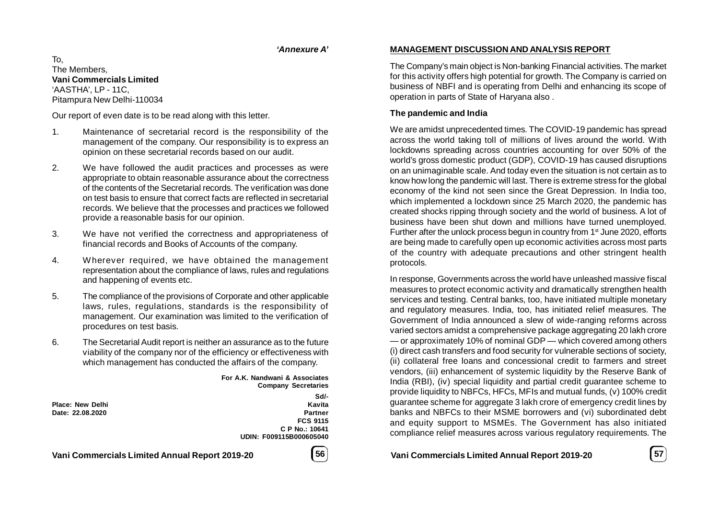### *'Annexure A'*

To, The Members, **Vani Commercials Limited** 'AASTHA', LP - 11C, Pitampura New Delhi-110034

Our report of even date is to be read along with this letter.

- 1. Maintenance of secretarial record is the responsibility of the management of the company. Our responsibility is to express an opinion on these secretarial records based on our audit.
- 2. We have followed the audit practices and processes as were appropriate to obtain reasonable assurance about the correctness of the contents of the Secretarial records. The verification was done on test basis to ensure that correct facts are reflected in secretarial records. We believe that the processes and practices we followed provide a reasonable basis for our opinion.
- 3. We have not verified the correctness and appropriateness of financial records and Books of Accounts of the company.
- 4. Wherever required, we have obtained the management representation about the compliance of laws, rules and regulations and happening of events etc.
- 5. The compliance of the provisions of Corporate and other applicable laws, rules, regulations, standards is the responsibility of management. Our examination was limited to the verification of procedures on test basis.
- 6. The Secretarial Audit report is neither an assurance as to the future viability of the company nor of the efficiency or effectiveness with which management has conducted the affairs of the company.

**For A.K. Nandwani & Associates Company Secretaries**

**Place: New Delhi** 

**Sd/- Date: 22.08.2020 Partner FCS 9115 C P No.: 10641 UDIN: F009115B000605040**

# **Vani Commercials Limited Annual Report 2019-20 56**



### **MANAGEMENT DISCUSSION AND ANALYSIS REPORT**

The Company's main object is Non-banking Financial activities. The market for this activity offers high potential for growth. The Company is carried on business of NBFI and is operating from Delhi and enhancing its scope of operation in parts of State of Haryana also .

### **The pandemic and India**

We are amidst unprecedented times. The COVID-19 pandemic has spread across the world taking toll of millions of lives around the world. With lockdowns spreading across countries accounting for over 50% of the world's gross domestic product (GDP), COVID-19 has caused disruptions on an unimaginable scale. And today even the situation is not certain as to know how long the pandemic will last. There is extreme stress for the global economy of the kind not seen since the Great Depression. In India too, which implemented a lockdown since 25 March 2020, the pandemic has created shocks ripping through society and the world of business. A lot of business have been shut down and millions have turned unemployed. Further after the unlock process begun in country from 1<sup>st</sup> June 2020, efforts are being made to carefully open up economic activities across most parts of the country with adequate precautions and other stringent health protocols.

In response, Governments across the world have unleashed massive fiscal measures to protect economic activity and dramatically strengthen health services and testing. Central banks, too, have initiated multiple monetary and regulatory measures. India, too, has initiated relief measures. The Government of India announced a slew of wide-ranging reforms across varied sectors amidst a comprehensive package aggregating 20 lakh crore — or approximately 10% of nominal GDP — which covered among others (i) direct cash transfers and food security for vulnerable sections of society, (ii) collateral free loans and concessional credit to farmers and street vendors, (iii) enhancement of systemic liquidity by the Reserve Bank of India (RBI), (iv) special liquidity and partial credit guarantee scheme to provide liquidity to NBFCs, HFCs, MFIs and mutual funds, (v) 100% credit guarantee scheme for aggregate 3 lakh crore of emergency credit lines by banks and NBFCs to their MSME borrowers and (vi) subordinated debt and equity support to MSMEs. The Government has also initiated compliance relief measures across various regulatory requirements. The

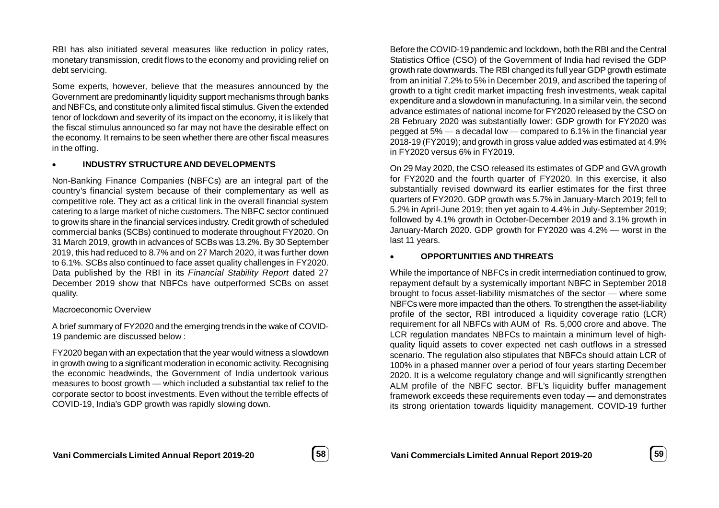RBI has also initiated several measures like reduction in policy rates, monetary transmission, credit flows to the economy and providing relief on debt servicing.

Some experts, however, believe that the measures announced by the Government are predominantly liquidity support mechanisms through banks and NBFCs, and constitute only a limited fiscal stimulus. Given the extended tenor of lockdown and severity of its impact on the economy, it is likely that the fiscal stimulus announced so far may not have the desirable effect on the economy. It remains to be seen whether there are other fiscal measures in the offing.

### **INDUSTRY STRUCTURE AND DEVELOPMENTS**

Non-Banking Finance Companies (NBFCs) are an integral part of the country's financial system because of their complementary as well as competitive role. They act as a critical link in the overall financial system catering to a large market of niche customers. The NBFC sector continued to grow its share in the financial services industry. Credit growth of scheduled commercial banks (SCBs) continued to moderate throughout FY2020. On 31 March 2019, growth in advances of SCBs was 13.2%. By 30 September 2019, this had reduced to 8.7% and on 27 March 2020, it was further down to 6.1%. SCBs also continued to face asset quality challenges in FY2020. Data published by the RBI in its *Financial Stability Report* dated 27 December 2019 show that NBFCs have outperformed SCBs on asset quality.

### Macroeconomic Overview

A brief summary of FY2020 and the emerging trends in the wake of COVID-19 pandemic are discussed below :

FY2020 began with an expectation that the year would witness a slowdown in growth owing to a significant moderation in economic activity. Recognising the economic headwinds, the Government of India undertook various measures to boost growth — which included a substantial tax relief to the corporate sector to boost investments. Even without the terrible effects of COVID-19, India's GDP growth was rapidly slowing down.

Before the COVID-19 pandemic and lockdown, both the RBI and the Central Statistics Office (CSO) of the Government of India had revised the GDP growth rate downwards. The RBI changed its full year GDP growth estimate from an initial 7.2% to 5% in December 2019, and ascribed the tapering of growth to a tight credit market impacting fresh investments, weak capital expenditure and a slowdown in manufacturing. In a similar vein, the second advance estimates of national income for FY2020 released by the CSO on 28 February 2020 was substantially lower: GDP growth for FY2020 was pegged at 5% — a decadal low — compared to 6.1% in the financial year 2018-19 (FY2019); and growth in gross value added was estimated at 4.9% in FY2020 versus 6% in FY2019.

On 29 May 2020, the CSO released its estimates of GDP and GVA growth for FY2020 and the fourth quarter of FY2020. In this exercise, it also substantially revised downward its earlier estimates for the first three quarters of FY2020. GDP growth was 5.7% in January-March 2019; fell to 5.2% in April-June 2019; then yet again to 4.4% in July-September 2019; followed by 4.1% growth in October-December 2019 and 3.1% growth in January-March 2020. GDP growth for FY2020 was 4.2% — worst in the last 11 years.

## **OPPORTUNITIES AND THREATS**

While the importance of NBFCs in credit intermediation continued to grow, repayment default by a systemically important NBFC in September 2018 brought to focus asset-liability mismatches of the sector — where some NBFCs were more impacted than the others. To strengthen the asset-liability profile of the sector, RBI introduced a liquidity coverage ratio (LCR) requirement for all NBFCs with AUM of Rs. 5,000 crore and above. The LCR regulation mandates NBFCs to maintain a minimum level of highquality liquid assets to cover expected net cash outflows in a stressed scenario. The regulation also stipulates that NBFCs should attain LCR of 100% in a phased manner over a period of four years starting December 2020. It is a welcome regulatory change and will significantly strengthen ALM profile of the NBFC sector. BFL's liquidity buffer management framework exceeds these requirements even today — and demonstrates its strong orientation towards liquidity management. COVID-19 further

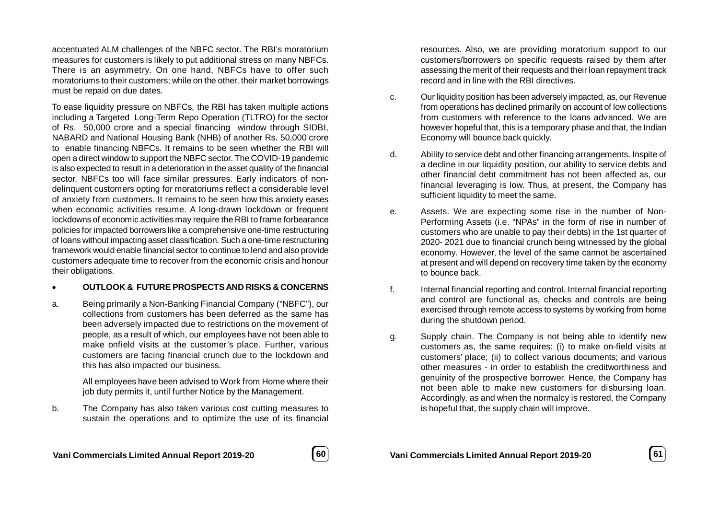accentuated ALM challenges of the NBFC sector. The RBI's moratorium measures for customers is likely to put additional stress on many NBFCs. There is an asymmetry. On one hand, NBFCs have to offer such moratoriums to their customers; while on the other, their market borrowings must be repaid on due dates.

To ease liquidity pressure on NBFCs, the RBI has taken multiple actions including a Targeted Long-Term Repo Operation (TLTRO) for the sector of Rs. 50,000 crore and a special financing window through SIDBI, NABARD and National Housing Bank (NHB) of another Rs. 50,000 crore to enable financing NBFCs. It remains to be seen whether the RBI will open a direct window to support the NBFC sector. The COVID-19 pandemic is also expected to result in a deterioration in the asset quality of the financial sector. NBFCs too will face similar pressures. Early indicators of nondelinquent customers opting for moratoriums reflect a considerable level of anxiety from customers. It remains to be seen how this anxiety eases when economic activities resume. A long-drawn lockdown or frequent lockdowns of economic activities may require the RBI to frame forbearance policies for impacted borrowers like a comprehensive one-time restructuring of loans without impacting asset classification. Such a one-time restructuring framework would enable financial sector to continue to lend and also provide customers adequate time to recover from the economic crisis and honour their obligations.

### **OUTLOOK & FUTURE PROSPECTS AND RISKS & CONCERNS**

a. Being primarily a Non-Banking Financial Company ("NBFC"), our collections from customers has been deferred as the same has been adversely impacted due to restrictions on the movement of people, as a result of which, our employees have not been able to make onfield visits at the customer's place. Further, various customers are facing financial crunch due to the lockdown and this has also impacted our business.

> All employees have been advised to Work from Home where their job duty permits it, until further Notice by the Management.

b. The Company has also taken various cost cutting measures to sustain the operations and to optimize the use of its financial

resources. Also, we are providing moratorium support to our customers/borrowers on specific requests raised by them after assessing the merit of their requests and their loan repayment track record and in line with the RBI directives.

- c. Our liquidity position has been adversely impacted, as, our Revenue from operations has declined primarily on account of low collections from customers with reference to the loans advanced. We are however hopeful that, this is a temporary phase and that, the Indian Economy will bounce back quickly.
- d. Ability to service debt and other financing arrangements. Inspite of a decline in our liquidity position, our ability to service debts and other financial debt commitment has not been affected as, our financial leveraging is low. Thus, at present, the Company has sufficient liquidity to meet the same.
- e. Assets. We are expecting some rise in the number of Non-Performing Assets (i.e. "NPAs" in the form of rise in number of customers who are unable to pay their debts) in the 1st quarter of 2020- 2021 due to financial crunch being witnessed by the global economy. However, the level of the same cannot be ascertained at present and will depend on recovery time taken by the economy to bounce back.
- f. Internal financial reporting and control. Internal financial reporting and control are functional as, checks and controls are being exercised through remote access to systems by working from home during the shutdown period.
- g. Supply chain. The Company is not being able to identify new customers as, the same requires: (i) to make on-field visits at customers' place; (ii) to collect various documents; and various other measures - in order to establish the creditworthiness and genuinity of the prospective borrower. Hence, the Company has not been able to make new customers for disbursing loan. Accordingly, as and when the normalcy is restored, the Company is hopeful that, the supply chain will improve.

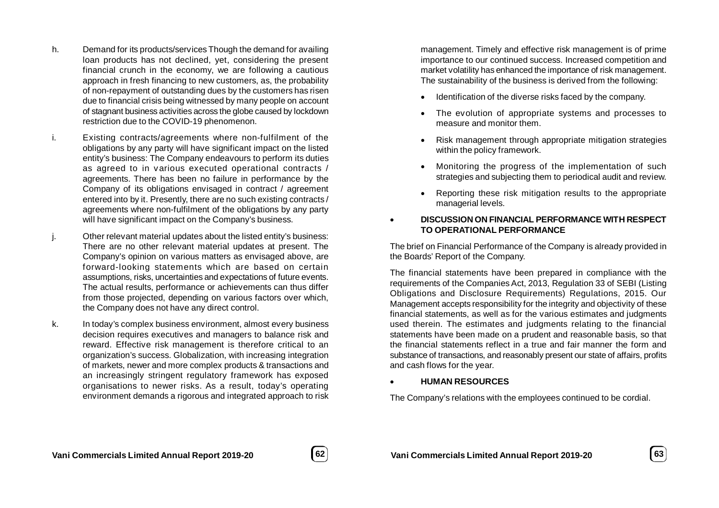- h. Demand for its products/services Though the demand for availing loan products has not declined, yet, considering the present financial crunch in the economy, we are following a cautious approach in fresh financing to new customers, as, the probability of non-repayment of outstanding dues by the customers has risen due to financial crisis being witnessed by many people on account of stagnant business activities across the globe caused by lockdown restriction due to the COVID-19 phenomenon.
- i. Existing contracts/agreements where non-fulfilment of the obligations by any party will have significant impact on the listed entity's business: The Company endeavours to perform its duties as agreed to in various executed operational contracts / agreements. There has been no failure in performance by the Company of its obligations envisaged in contract / agreement entered into by it. Presently, there are no such existing contracts / agreements where non-fulfilment of the obligations by any party will have significant impact on the Company's business.
- j. Other relevant material updates about the listed entity's business: There are no other relevant material updates at present. The Company's opinion on various matters as envisaged above, are forward-looking statements which are based on certain assumptions, risks, uncertainties and expectations of future events. The actual results, performance or achievements can thus differ from those projected, depending on various factors over which, the Company does not have any direct control.
- k. In today's complex business environment, almost every business decision requires executives and managers to balance risk and reward. Effective risk management is therefore critical to an organization's success. Globalization, with increasing integration of markets, newer and more complex products & transactions and an increasingly stringent regulatory framework has exposed organisations to newer risks. As a result, today's operating environment demands a rigorous and integrated approach to risk

management. Timely and effective risk management is of prime importance to our continued success. Increased competition and market volatility has enhanced the importance of risk management. The sustainability of the business is derived from the following:

- Identification of the diverse risks faced by the company.
- The evolution of appropriate systems and processes to measure and monitor them.
- Risk management through appropriate mitigation strategies within the policy framework.
- Monitoring the progress of the implementation of such strategies and subjecting them to periodical audit and review.
- Reporting these risk mitigation results to the appropriate managerial levels.

# **DISCUSSION ON FINANCIAL PERFORMANCE WITH RESPECT TO OPERATIONAL PERFORMANCE**

The brief on Financial Performance of the Company is already provided in the Boards' Report of the Company.

The financial statements have been prepared in compliance with the requirements of the Companies Act, 2013, Regulation 33 of SEBI (Listing Obligations and Disclosure Requirements) Regulations, 2015. Our Management accepts responsibility for the integrity and objectivity of these financial statements, as well as for the various estimates and judgments used therein. The estimates and judgments relating to the financial statements have been made on a prudent and reasonable basis, so that the financial statements reflect in a true and fair manner the form and substance of transactions, and reasonably present our state of affairs, profits and cash flows for the year.

### **HUMAN RESOURCES**

The Company's relations with the employees continued to be cordial.

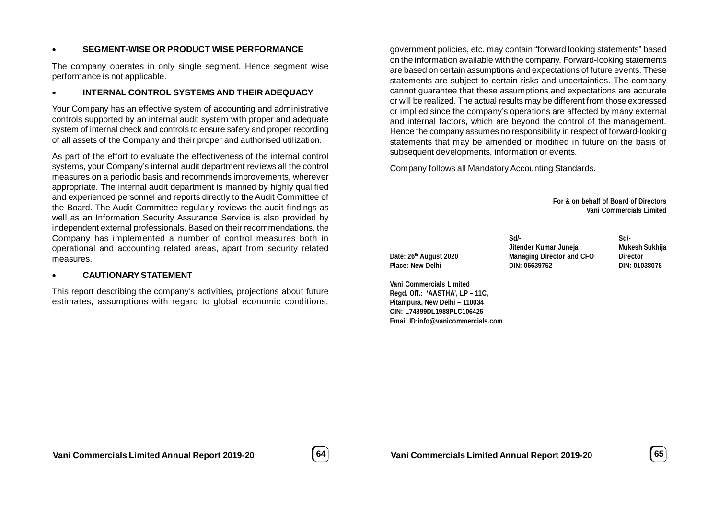### **SEGMENT-WISE OR PRODUCT WISE PERFORMANCE**

The company operates in only single segment. Hence segment wise performance is not applicable.

### **INTERNAL CONTROL SYSTEMS AND THEIR ADEQUACY**

Your Company has an effective system of accounting and administrative controls supported by an internal audit system with proper and adequate system of internal check and controls to ensure safety and proper recording of all assets of the Company and their proper and authorised utilization.

As part of the effort to evaluate the effectiveness of the internal control systems, your Company's internal audit department reviews all the control measures on a periodic basis and recommends improvements, wherever appropriate. The internal audit department is manned by highly qualified and experienced personnel and reports directly to the Audit Committee of the Board. The Audit Committee regularly reviews the audit findings as well as an Information Security Assurance Service is also provided by independent external professionals. Based on their recommendations, the Company has implemented a number of control measures both in operational and accounting related areas, apart from security related measures.

### **CAUTIONARY STATEMENT**

This report describing the company's activities, projections about future estimates, assumptions with regard to global economic conditions,

government policies, etc. may contain "forward looking statements" based on the information available with the company. Forward-looking statements are based on certain assumptions and expectations of future events. These statements are subject to certain risks and uncertainties. The company cannot guarantee that these assumptions and expectations are accurate or will be realized. The actual results may be different from those expressed or implied since the company's operations are affected by many external and internal factors, which are beyond the control of the management. Hence the company assumes no responsibility in respect of forward-looking statements that may be amended or modified in future on the basis of subsequent developments, information or events.

Company follows all Mandatory Accounting Standards.

**For & on behalf of Board of Directors Vani Commercials Limited**

**Date: 26<sup>th</sup> August 2020 Managing Director and CFO Director**<br> **Place: New Delhi Director DIN: 06639752 DIN: 010 DIN: 010 Place: New Delhi DIN: 06639752 DIN: 01038078**

**Vani Commercials Limited Regd. Off.: 'AASTHA', LP – 11C, Pitampura, New Delhi – 110034 CIN: L74899DL1988PLC106425 Email ID:info@vanicommercials.com**

**Sd/- Sd/- Jitender Kumar Juneja Mukesh Sukhija**

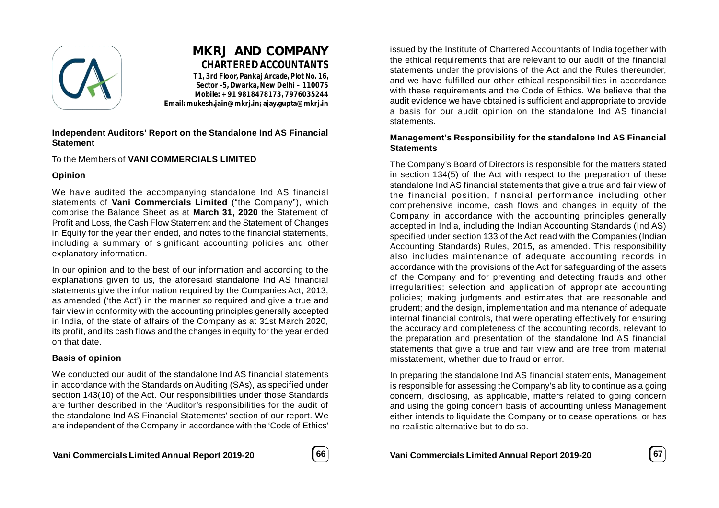

# **MKRJ AND COMPANY CHARTERED ACCOUNTANTS**

**T1, 3rd Floor, Pankaj Arcade, Plot No. 16, Sector -5, Dwarka, New Delhi – 110075 Mobile: +91 9818478173, 7976035244 Email: mukesh.jain@mkrj.in; ajay.gupta@mkrj.in**

### **Independent Auditors' Report on the Standalone Ind AS Financial Statement**

To the Members of **VANI COMMERCIALS LIMITED**

### **Opinion**

We have audited the accompanying standalone Ind AS financial statements of **Vani Commercials Limited** ("the Company"), which comprise the Balance Sheet as at **March 31, 2020** the Statement of Profit and Loss, the Cash Flow Statement and the Statement of Changes in Equity for the year then ended, and notes to the financial statements, including a summary of significant accounting policies and other explanatory information.

In our opinion and to the best of our information and according to the explanations given to us, the aforesaid standalone Ind AS financial statements give the information required by the Companies Act, 2013, as amended ('the Act') in the manner so required and give a true and fair view in conformity with the accounting principles generally accepted in India, of the state of affairs of the Company as at 31st March 2020, its profit, and its cash flows and the changes in equity for the year ended on that date.

# **Basis of opinion**

We conducted our audit of the standalone Ind AS financial statements in accordance with the Standards on Auditing (SAs), as specified under section 143(10) of the Act. Our responsibilities under those Standards are further described in the 'Auditor's responsibilities for the audit of the standalone Ind AS Financial Statements' section of our report. We are independent of the Company in accordance with the 'Code of Ethics'



issued by the Institute of Chartered Accountants of India together with the ethical requirements that are relevant to our audit of the financial statements under the provisions of the Act and the Rules thereunder, and we have fulfilled our other ethical responsibilities in accordance with these requirements and the Code of Ethics. We believe that the audit evidence we have obtained is sufficient and appropriate to provide a basis for our audit opinion on the standalone Ind AS financial statements.

### **Management's Responsibility for the standalone Ind AS Financial Statements**

The Company's Board of Directors is responsible for the matters stated in section 134(5) of the Act with respect to the preparation of these standalone Ind AS financial statements that give a true and fair view of the financial position, financial performance including other comprehensive income, cash flows and changes in equity of the Company in accordance with the accounting principles generally accepted in India, including the Indian Accounting Standards (Ind AS) specified under section 133 of the Act read with the Companies (Indian Accounting Standards) Rules, 2015, as amended. This responsibility also includes maintenance of adequate accounting records in accordance with the provisions of the Act for safeguarding of the assets of the Company and for preventing and detecting frauds and other irregularities; selection and application of appropriate accounting policies; making judgments and estimates that are reasonable and prudent; and the design, implementation and maintenance of adequate internal financial controls, that were operating effectively for ensuring the accuracy and completeness of the accounting records, relevant to the preparation and presentation of the standalone Ind AS financial statements that give a true and fair view and are free from material misstatement, whether due to fraud or error.

In preparing the standalone Ind AS financial statements, Management is responsible for assessing the Company's ability to continue as a going concern, disclosing, as applicable, matters related to going concern and using the going concern basis of accounting unless Management either intends to liquidate the Company or to cease operations, or has no realistic alternative but to do so.

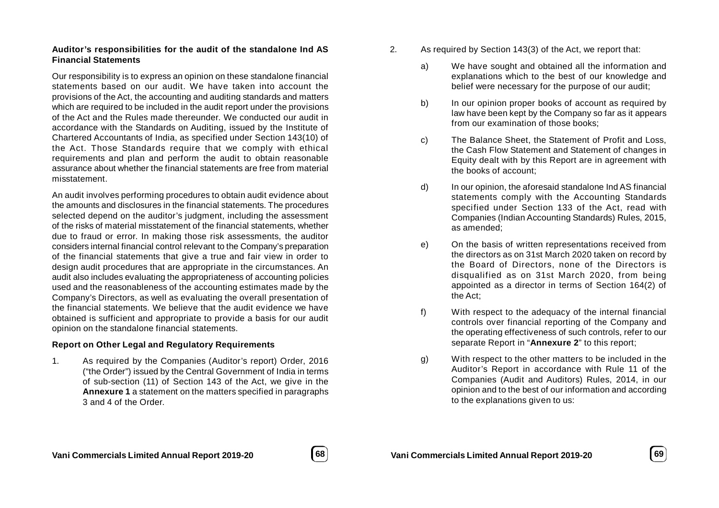### **Auditor's responsibilities for the audit of the standalone Ind AS Financial Statements**

Our responsibility is to express an opinion on these standalone financial statements based on our audit. We have taken into account the provisions of the Act, the accounting and auditing standards and matters which are required to be included in the audit report under the provisions of the Act and the Rules made thereunder. We conducted our audit in accordance with the Standards on Auditing, issued by the Institute of Chartered Accountants of India, as specified under Section 143(10) of the Act. Those Standards require that we comply with ethical requirements and plan and perform the audit to obtain reasonable assurance about whether the financial statements are free from material misstatement.

An audit involves performing procedures to obtain audit evidence about the amounts and disclosures in the financial statements. The procedures selected depend on the auditor's judgment, including the assessment of the risks of material misstatement of the financial statements, whether due to fraud or error. In making those risk assessments, the auditor considers internal financial control relevant to the Company's preparation of the financial statements that give a true and fair view in order to design audit procedures that are appropriate in the circumstances. An audit also includes evaluating the appropriateness of accounting policies used and the reasonableness of the accounting estimates made by the Company's Directors, as well as evaluating the overall presentation of the financial statements. We believe that the audit evidence we have obtained is sufficient and appropriate to provide a basis for our audit opinion on the standalone financial statements.

### **Report on Other Legal and Regulatory Requirements**

1. As required by the Companies (Auditor's report) Order, 2016 ("the Order") issued by the Central Government of India in terms of sub-section (11) of Section 143 of the Act, we give in the **Annexure 1** a statement on the matters specified in paragraphs 3 and 4 of the Order.

- 2. As required by Section 143(3) of the Act, we report that:
	- a) We have sought and obtained all the information and explanations which to the best of our knowledge and belief were necessary for the purpose of our audit;
	- b) In our opinion proper books of account as required by law have been kept by the Company so far as it appears from our examination of those books;
	- c) The Balance Sheet, the Statement of Profit and Loss, the Cash Flow Statement and Statement of changes in Equity dealt with by this Report are in agreement with the books of account;
	- d) In our opinion, the aforesaid standalone Ind AS financial statements comply with the Accounting Standards specified under Section 133 of the Act, read with Companies (Indian Accounting Standards) Rules, 2015, as amended;
	- e) On the basis of written representations received from the directors as on 31st March 2020 taken on record by the Board of Directors, none of the Directors is disqualified as on 31st March 2020, from being appointed as a director in terms of Section 164(2) of the Act;
	- f) With respect to the adequacy of the internal financial controls over financial reporting of the Company and the operating effectiveness of such controls, refer to our separate Report in "**Annexure 2**" to this report;
	- g) With respect to the other matters to be included in the Auditor's Report in accordance with Rule 11 of the Companies (Audit and Auditors) Rules, 2014, in our opinion and to the best of our information and according to the explanations given to us:

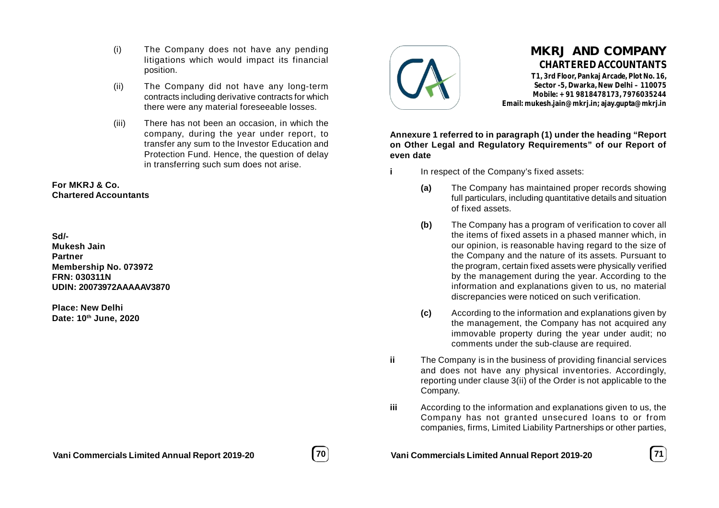- (i) The Company does not have any pending litigations which would impact its financial position.
- (ii) The Company did not have any long-term contracts including derivative contracts for which there were any material foreseeable losses.
- (iii) There has not been an occasion, in which the company, during the year under report, to transfer any sum to the Investor Education and Protection Fund. Hence, the question of delay in transferring such sum does not arise.

### **For MKRJ & Co. Chartered Accountants**

# **Sd/-**

**Mukesh Jain Partner Membership No. 073972 FRN: 030311N UDIN: 20073972AAAAAV3870**

**Place: New Delhi Date: 10th June, 2020**



# **MKRJ AND COMPANY CHARTERED ACCOUNTANTS**

**T1, 3rd Floor, Pankaj Arcade, Plot No. 16, Sector -5, Dwarka, New Delhi – 110075 Mobile: +91 9818478173, 7976035244 Email: mukesh.jain@mkrj.in; ajay.gupta@mkrj.in**

**Annexure 1 referred to in paragraph (1) under the heading "Report on Other Legal and Regulatory Requirements" of our Report of even date**

- **i** In respect of the Company's fixed assets:
	- **(a)** The Company has maintained proper records showing full particulars, including quantitative details and situation of fixed assets.
	- **(b)** The Company has a program of verification to cover all the items of fixed assets in a phased manner which, in our opinion, is reasonable having regard to the size of the Company and the nature of its assets. Pursuant to the program, certain fixed assets were physically verified by the management during the year. According to the information and explanations given to us, no material discrepancies were noticed on such verification.
	- **(c)** According to the information and explanations given by the management, the Company has not acquired any immovable property during the year under audit; no comments under the sub-clause are required.
- **ii** The Company is in the business of providing financial services and does not have any physical inventories. Accordingly, reporting under clause 3(ii) of the Order is not applicable to the Company.
- **iii** According to the information and explanations given to us, the Company has not granted unsecured loans to or from companies, firms, Limited Liability Partnerships or other parties,

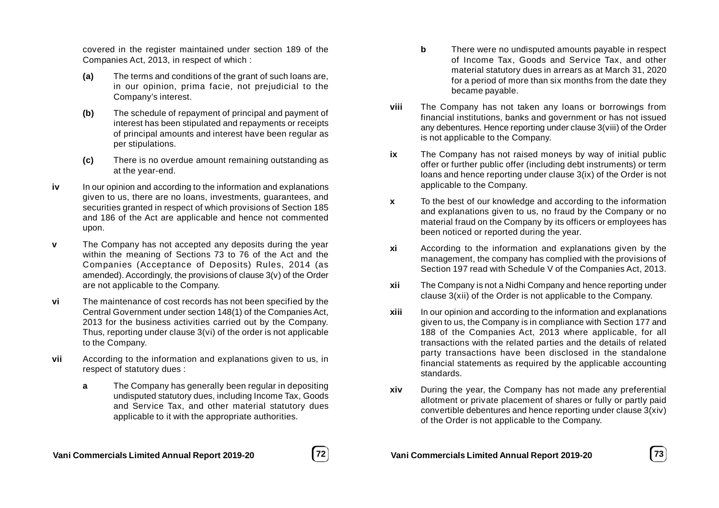covered in the register maintained under section 189 of the Companies Act, 2013, in respect of which :

- **(a)** The terms and conditions of the grant of such loans are, in our opinion, prima facie, not prejudicial to the Company's interest.
- **(b)** The schedule of repayment of principal and payment of interest has been stipulated and repayments or receipts of principal amounts and interest have been regular as per stipulations.
- **(c)** There is no overdue amount remaining outstanding as at the year-end.
- **iv** In our opinion and according to the information and explanations given to us, there are no loans, investments, guarantees, and securities granted in respect of which provisions of Section 185 and 186 of the Act are applicable and hence not commented upon.
- **v** The Company has not accepted any deposits during the year within the meaning of Sections 73 to 76 of the Act and the Companies (Acceptance of Deposits) Rules, 2014 (as amended). Accordingly, the provisions of clause 3(v) of the Order are not applicable to the Company.
- **vi** The maintenance of cost records has not been specified by the Central Government under section 148(1) of the Companies Act, 2013 for the business activities carried out by the Company. Thus, reporting under clause 3(vi) of the order is not applicable to the Company.
- **vii** According to the information and explanations given to us, in respect of statutory dues :
	- **a** The Company has generally been regular in depositing undisputed statutory dues, including Income Tax, Goods and Service Tax, and other material statutory dues applicable to it with the appropriate authorities.
- **b** There were no undisputed amounts payable in respect of Income Tax, Goods and Service Tax, and other material statutory dues in arrears as at March 31, 2020 for a period of more than six months from the date they became payable.
- **viii** The Company has not taken any loans or borrowings from financial institutions, banks and government or has not issued any debentures. Hence reporting under clause 3(viii) of the Order is not applicable to the Company.
- **ix** The Company has not raised moneys by way of initial public offer or further public offer (including debt instruments) or term loans and hence reporting under clause 3(ix) of the Order is not applicable to the Company.
- **x** To the best of our knowledge and according to the information and explanations given to us, no fraud by the Company or no material fraud on the Company by its officers or employees has been noticed or reported during the year.
- **xi** According to the information and explanations given by the management, the company has complied with the provisions of Section 197 read with Schedule V of the Companies Act, 2013.
- **xii** The Company is not a Nidhi Company and hence reporting under clause 3(xii) of the Order is not applicable to the Company.
- **xiii** In our opinion and according to the information and explanations given to us, the Company is in compliance with Section 177 and 188 of the Companies Act, 2013 where applicable, for all transactions with the related parties and the details of related party transactions have been disclosed in the standalone financial statements as required by the applicable accounting standards.
- **xiv** During the year, the Company has not made any preferential allotment or private placement of shares or fully or partly paid convertible debentures and hence reporting under clause 3(xiv) of the Order is not applicable to the Company.

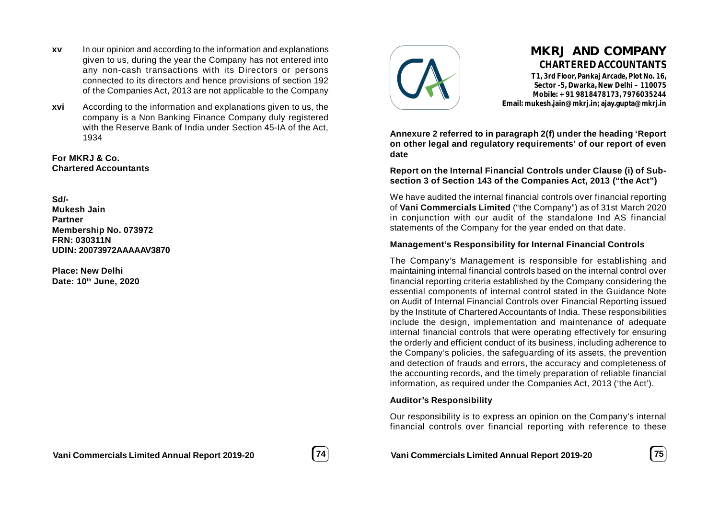- **xv** In our opinion and according to the information and explanations given to us, during the year the Company has not entered into any non-cash transactions with its Directors or persons connected to its directors and hence provisions of section 192 of the Companies Act, 2013 are not applicable to the Company
- **xvi** According to the information and explanations given to us, the company is a Non Banking Finance Company duly registered with the Reserve Bank of India under Section 45-IA of the Act, 1934

**For MKRJ & Co. Chartered Accountants**

**Sd/- Mukesh Jain Partner Membership No. 073972 FRN: 030311N UDIN: 20073972AAAAAV3870**

**Place: New Delhi Date: 10th June, 2020**



# **MKRJ AND COMPANY CHARTERED ACCOUNTANTS**

**T1, 3rd Floor, Pankaj Arcade, Plot No. 16, Sector -5, Dwarka, New Delhi – 110075 Mobile: +91 9818478173, 7976035244 Email: mukesh.jain@mkrj.in; ajay.gupta@mkrj.in**

**Annexure 2 referred to in paragraph 2(f) under the heading 'Report on other legal and regulatory requirements' of our report of even date**

**Report on the Internal Financial Controls under Clause (i) of Subsection 3 of Section 143 of the Companies Act, 2013 ("the Act")**

We have audited the internal financial controls over financial reporting of **Vani Commercials Limited** ("the Company") as of 31st March 2020 in conjunction with our audit of the standalone Ind AS financial statements of the Company for the year ended on that date.

### **Management's Responsibility for Internal Financial Controls**

The Company's Management is responsible for establishing and maintaining internal financial controls based on the internal control over financial reporting criteria established by the Company considering the essential components of internal control stated in the Guidance Note on Audit of Internal Financial Controls over Financial Reporting issued by the Institute of Chartered Accountants of India. These responsibilities include the design, implementation and maintenance of adequate internal financial controls that were operating effectively for ensuring the orderly and efficient conduct of its business, including adherence to the Company's policies, the safeguarding of its assets, the prevention and detection of frauds and errors, the accuracy and completeness of the accounting records, and the timely preparation of reliable financial information, as required under the Companies Act, 2013 ('the Act').

### **Auditor's Responsibility**

Our responsibility is to express an opinion on the Company's internal financial controls over financial reporting with reference to these

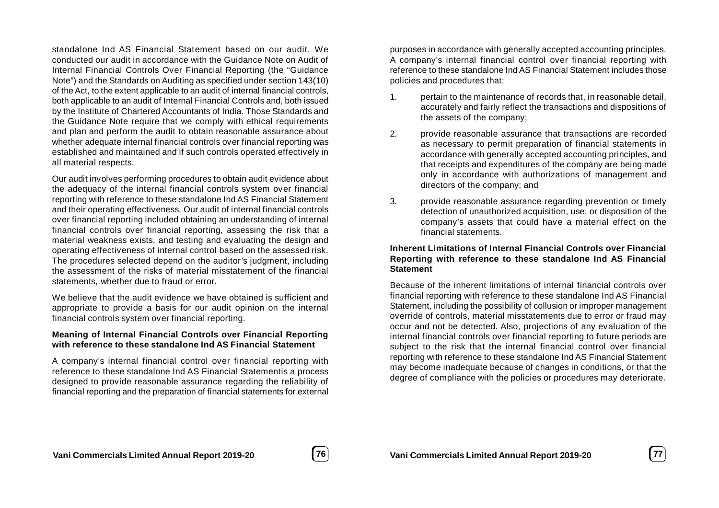standalone Ind AS Financial Statement based on our audit. We conducted our audit in accordance with the Guidance Note on Audit of Internal Financial Controls Over Financial Reporting (the "Guidance Note") and the Standards on Auditing as specified under section 143(10) of the Act, to the extent applicable to an audit of internal financial controls, both applicable to an audit of Internal Financial Controls and, both issued by the Institute of Chartered Accountants of India. Those Standards and the Guidance Note require that we comply with ethical requirements and plan and perform the audit to obtain reasonable assurance about whether adequate internal financial controls over financial reporting was established and maintained and if such controls operated effectively in all material respects.

Our audit involves performing procedures to obtain audit evidence about the adequacy of the internal financial controls system over financial reporting with reference to these standalone Ind AS Financial Statement and their operating effectiveness. Our audit of internal financial controls over financial reporting included obtaining an understanding of internal financial controls over financial reporting, assessing the risk that a material weakness exists, and testing and evaluating the design and operating effectiveness of internal control based on the assessed risk. The procedures selected depend on the auditor's judgment, including the assessment of the risks of material misstatement of the financial statements, whether due to fraud or error.

We believe that the audit evidence we have obtained is sufficient and appropriate to provide a basis for our audit opinion on the internal financial controls system over financial reporting.

### **Meaning of Internal Financial Controls over Financial Reporting with reference to these standalone Ind AS Financial Statement**

A company's internal financial control over financial reporting with reference to these standalone Ind AS Financial Statementis a process designed to provide reasonable assurance regarding the reliability of financial reporting and the preparation of financial statements for external

purposes in accordance with generally accepted accounting principles. A company's internal financial control over financial reporting with reference to these standalone Ind AS Financial Statement includes those policies and procedures that:

- 1. pertain to the maintenance of records that, in reasonable detail, accurately and fairly reflect the transactions and dispositions of the assets of the company;
- 2. provide reasonable assurance that transactions are recorded as necessary to permit preparation of financial statements in accordance with generally accepted accounting principles, and that receipts and expenditures of the company are being made only in accordance with authorizations of management and directors of the company; and
- 3. provide reasonable assurance regarding prevention or timely detection of unauthorized acquisition, use, or disposition of the company's assets that could have a material effect on the financial statements.

### **Inherent Limitations of Internal Financial Controls over Financial Reporting with reference to these standalone Ind AS Financial Statement**

Because of the inherent limitations of internal financial controls over financial reporting with reference to these standalone Ind AS Financial Statement, including the possibility of collusion or improper management override of controls, material misstatements due to error or fraud may occur and not be detected. Also, projections of any evaluation of the internal financial controls over financial reporting to future periods are subject to the risk that the internal financial control over financial reporting with reference to these standalone Ind AS Financial Statement may become inadequate because of changes in conditions, or that the degree of compliance with the policies or procedures may deteriorate.

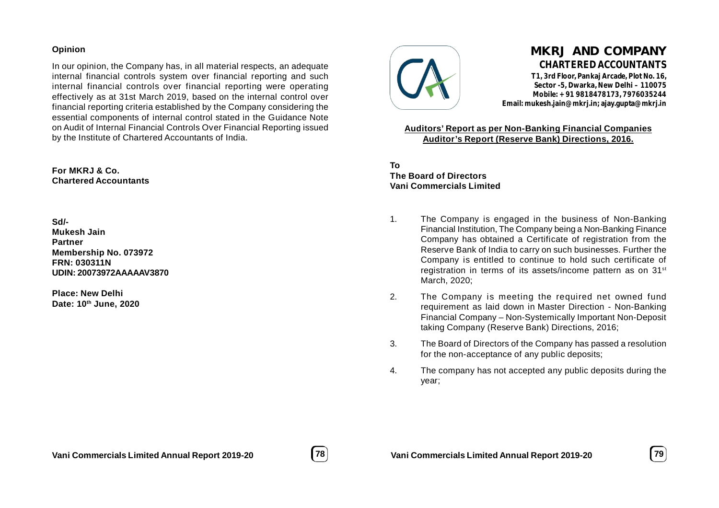### **Opinion**

In our opinion, the Company has, in all material respects, an adequate internal financial controls system over financial reporting and such internal financial controls over financial reporting were operating effectively as at 31st March 2019, based on the internal control over financial reporting criteria established by the Company considering the essential components of internal control stated in the Guidance Note on Audit of Internal Financial Controls Over Financial Reporting issued by the Institute of Chartered Accountants of India.

### **For MKRJ & Co. Chartered Accountants**

### **Sd/- Mukesh Jain Partner Membership No. 073972 FRN: 030311N**

**Place: New Delhi Date: 10th June, 2020**

**UDIN: 20073972AAAAAV3870**



# **MKRJ AND COMPANY CHARTERED ACCOUNTANTS**

**T1, 3rd Floor, Pankaj Arcade, Plot No. 16, Sector -5, Dwarka, New Delhi – 110075 Mobile: +91 9818478173, 7976035244 Email: mukesh.jain@mkrj.in; ajay.gupta@mkrj.in**

**Auditors' Report as per Non-Banking Financial Companies Auditor's Report (Reserve Bank) Directions, 2016.**

**To The Board of Directors Vani Commercials Limited**

- 1. The Company is engaged in the business of Non-Banking Financial Institution, The Company being a Non-Banking Finance Company has obtained a Certificate of registration from the Reserve Bank of India to carry on such businesses. Further the Company is entitled to continue to hold such certificate of registration in terms of its assets/income pattern as on 31<sup>st</sup> March, 2020;
- 2. The Company is meeting the required net owned fund requirement as laid down in Master Direction - Non-Banking Financial Company – Non-Systemically Important Non-Deposit taking Company (Reserve Bank) Directions, 2016;
- 3. The Board of Directors of the Company has passed a resolution for the non-acceptance of any public deposits;
- 4. The company has not accepted any public deposits during the year;



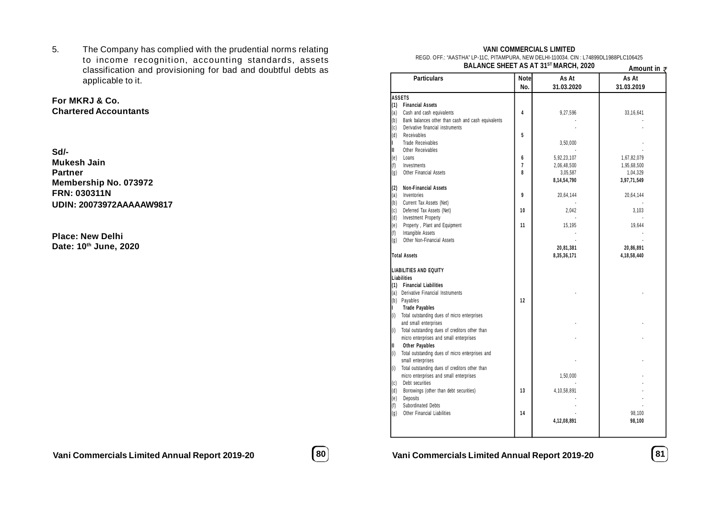5. The Company has complied with the prudential norms relating to income recognition, accounting standards, assets classification and provisioning for bad and doubtful debts as applicable to it.

# **For MKRJ & Co. Chartered Accountants**

| Sd/-                     |
|--------------------------|
| Mukesh Jain              |
| <b>Partner</b>           |
| Membership No. 073972    |
| <b>FRN: 030311N</b>      |
| UDIN: 20073972AAAAAW9817 |

**Place: New Delhi Date: 10th June, 2020**

### **VANI COMMERCIALS LIMITED**

REGD. OFF.: "AASTHA" LP-11C, PITAMPURA, NEW DELHI-110034. CIN : L74899DL1988PLC106425 **BALANCE SHEET AS AT 31ST MARCH, 2020**

|                     |                                                    | BALANGE SHEET AS AT SI" MARGH, 2020 | Amount in $\bar{z}$ |                     |
|---------------------|----------------------------------------------------|-------------------------------------|---------------------|---------------------|
|                     | <b>Particulars</b>                                 | <b>Note</b><br>No.                  | As At<br>31.03.2020 | As At<br>31.03.2019 |
|                     | <b>ASSETS</b>                                      |                                     |                     |                     |
| (1)                 | <b>Financial Assets</b>                            |                                     |                     |                     |
| (a)                 | Cash and cash equivalents                          | 4                                   | 9,27,596            | 33,16,641           |
| (b)                 | Bank balances other than cash and cash equivalents |                                     |                     |                     |
| (c)                 | Derivative financial instruments                   |                                     |                     |                     |
| (d)                 | Receivables                                        | 5                                   |                     |                     |
| L                   | <b>Trade Receivables</b>                           |                                     | 3,50,000            |                     |
| Ш                   | Other Receivables                                  |                                     |                     |                     |
| (e)                 | Loans                                              | 6                                   | 5,92,23,107         | 1,67,82,079         |
| (f)                 | Investments                                        | $\overline{1}$                      | 2,06,48,500         | 1,95,68,500         |
| $\left(  g \right)$ | Other Financial Assets                             | 8                                   | 3,05,587            | 1,04,329            |
|                     |                                                    |                                     | 8,14,54,790         | 3,97,71,549         |
| (2)                 | <b>Non-Financial Assets</b>                        |                                     |                     |                     |
| (a)                 | Inventories                                        | 9                                   | 20,64,144           | 20,64,144           |
| $(\mathfrak{b})$    | Current Tax Assets (Net)                           |                                     |                     |                     |
| (c)                 | Deferred Tax Assets (Net)                          | 10                                  | 2,042               | 3,103               |
| $(\mathsf{d})$      | <b>Investment Property</b>                         |                                     |                     |                     |
| (e)                 | Property, Plant and Equipment                      | 11                                  | 15,195              | 19,644              |
| (f)                 | Intangible Assets                                  |                                     |                     |                     |
| (g)                 | Other Non-Financial Assets                         |                                     |                     |                     |
|                     |                                                    |                                     | 20,81,381           | 20,86,891           |
|                     | <b>Total Assets</b>                                |                                     | 8,35,36,171         | 4,18,58,440         |
|                     | <b>LIABILITIES AND EQUITY</b>                      |                                     |                     |                     |
|                     | <b>Liabilities</b>                                 |                                     |                     |                     |
| (1)                 | <b>Financial Liabilities</b>                       |                                     |                     |                     |
| (a)                 | Derivative Financial Instruments                   |                                     |                     |                     |
|                     | (b) Payables                                       | 12                                  |                     |                     |
| Г                   | <b>Trade Payables</b>                              |                                     |                     |                     |
| (i)                 | Total outstanding dues of micro enterprises        |                                     |                     |                     |
|                     | and small enterprises                              |                                     |                     |                     |
| (i)                 | Total outstanding dues of creditors other than     |                                     |                     |                     |
|                     | micro enterprises and small enterprises            |                                     |                     |                     |
| Ш                   | <b>Other Payables</b>                              |                                     |                     |                     |
| (i)                 | Total outstanding dues of micro enterprises and    |                                     |                     |                     |
|                     | small enterprises                                  |                                     |                     |                     |
| (i)                 | Total outstanding dues of creditors other than     |                                     |                     |                     |
|                     | micro enterprises and small enterprises            |                                     | 1,50,000            |                     |
| (c)                 | Debt securities                                    |                                     |                     |                     |
| (d)                 | Borrowings (other than debt securities)            | 13                                  | 4, 10, 58, 891      |                     |
| (e)                 | Deposits                                           |                                     |                     |                     |
| (f)                 | Subordinated Debts                                 |                                     |                     |                     |
| (g)                 | Other Financial Liabilities                        | 14                                  |                     | 98,100              |
|                     |                                                    |                                     | 4,12,08,891         | 98,100              |
|                     |                                                    |                                     |                     |                     |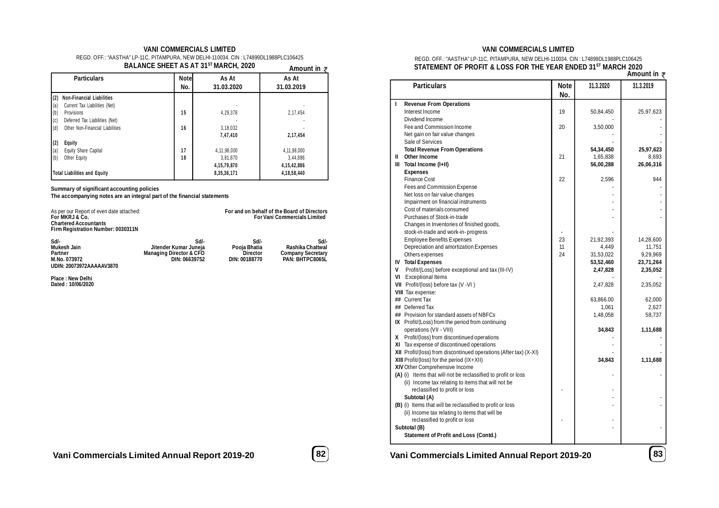#### **VANI COMMERCIALS LIMITED**

| REGD. OFF.: "AASTHA" LP-11C. PITAMPURA. NEW DELHI-110034. CIN : L74899DL1988PLC106425 |              |
|---------------------------------------------------------------------------------------|--------------|
| BALANCE SHEET AS AT 31 <sup>ST</sup> MARCH. 2020                                      | $\mathbf{A}$ |

| <b>Notel</b><br>No. | As At<br>31.03.2020 | As At<br>31.03.2019 |  |  |
|---------------------|---------------------|---------------------|--|--|
|                     |                     |                     |  |  |
|                     |                     |                     |  |  |
| 15                  | 4,29,378            | 2,17,454            |  |  |
|                     |                     |                     |  |  |
| 16                  | 3,18,032            |                     |  |  |
|                     | 7,47,410            | 2,17,454            |  |  |
|                     |                     |                     |  |  |
| 17                  | 4,11,98,000         | 4,11,98,000         |  |  |
| 18                  | 3.81.870            | 3.44.886            |  |  |
|                     | 4, 15, 79, 870      | 4, 15, 42, 886      |  |  |
|                     | 8,35,36,171         | 4, 18, 58, 440      |  |  |
|                     |                     |                     |  |  |

**Summary of significant accounting policies**

**The accompanying notes are an integral part of the financial statements**

| As per our Report of even date attached:<br>For MKRJ & Co.<br><b>Chartered Accountants</b><br>Firm Registration Number: 0030311N |                                                                                      | For and on behalf of the Board of Directors<br><b>For Vani Commercials Limited</b> |                                                                         |
|----------------------------------------------------------------------------------------------------------------------------------|--------------------------------------------------------------------------------------|------------------------------------------------------------------------------------|-------------------------------------------------------------------------|
| Sd/-<br>Mukesh Jain<br>Partner<br>M.No. 073972<br>UDIN: 20073972AAAAAV3870                                                       | Sd/-<br>Jitender Kumar Juneja<br><b>Managing Director &amp; CFO</b><br>DIN: 06639752 | Sd/-<br>Pooja Bhatia<br><b>Director</b><br>DIN: 00188770                           | Sd/-<br>Rashika Chattwal<br><b>Company Secretary</b><br>PAN: BHTPC8065L |

**Place : New Delhi Dated : 10/06/2020**

# **Amount in**

### **VANI COMMERCIALS LIMITED**

#### REGD. OFF.: "AASTHA" LP-11C, PITAMPURA, NEW DELHI-110034. CIN : L74899DL1988PLC106425 **STATEMENT OF PROFIT & LOSS FOR THE YEAR ENDED 31ST MARCH 2020**

|   |                                                                   |          |           | א ווו טעוונה ל |
|---|-------------------------------------------------------------------|----------|-----------|----------------|
|   | <b>Particulars</b>                                                | Note     | 31.3.2020 | 31.3.2019      |
|   |                                                                   | No.      |           |                |
| п | <b>Revenue From Operations</b>                                    |          |           |                |
|   | Interest Income                                                   | 19       | 50,84,450 | 25,97,623      |
|   | Dividend Income                                                   |          |           |                |
|   | Fee and Commission Income                                         | 20       | 3,50,000  |                |
|   | Net gain on fair value changes                                    |          |           |                |
|   | Sale of Services                                                  |          |           |                |
|   | <b>Total Revenue From Operations</b>                              |          | 54,34,450 | 25,97,623      |
|   | II Other Income                                                   | 21       | 1,65,838  | 8,693          |
|   | III Total Income (I+II)                                           |          | 56,00,288 | 26,06,316      |
|   | <b>Expenses</b>                                                   |          |           |                |
|   | <b>Finance Cost</b>                                               | 22       | 2,596     | 944            |
|   | Fees and Commission Expense                                       |          |           |                |
|   | Net loss on fair value changes                                    |          |           |                |
|   | Impairment on financial instruments                               |          |           |                |
|   | Cost of materials consumed                                        |          |           |                |
|   | Purchases of Stock-in-trade                                       |          |           |                |
|   |                                                                   |          |           |                |
|   | Changes in Inventories of finished goods,                         |          |           |                |
|   | stock-in-trade and work-in-progress                               | 23       |           |                |
|   | <b>Employee Benefits Expenses</b>                                 |          | 21,92,393 | 14,28,600      |
|   | Depreciation and amortization Expenses                            | 11<br>24 | 4,449     | 11,751         |
|   | Others expenses                                                   |          | 31,53,022 | 9,29,969       |
|   | <b>IV Total Expenses</b>                                          |          | 53,52,460 | 23,71,264      |
| V | Profit/(Loss) before exceptional and tax (III-IV)                 |          | 2,47,828  | 2,35,052       |
|   | VI Exceptional Items                                              |          |           |                |
|   | VII Profit/(loss) before tax (V -VI)                              |          | 2,47,828  | 2,35,052       |
|   | <b>VIII</b> Tax expense:                                          |          |           |                |
|   | ## Current Tax                                                    |          | 63,866.00 | 62,000         |
|   | ## Deferred Tax                                                   |          | 1,061     | 2,627          |
|   | ## Provision for standard assets of NBFCs                         |          | 1,48,058  | 58,737         |
|   | IX Profit/(Loss) from the period from continuing                  |          |           |                |
|   | operations (VII - VIII)                                           |          | 34,843    | 1,11,688       |
|   | X Profit/(loss) from discontinued operations                      |          |           |                |
|   | XI Tax expense of discontinued operations                         |          |           |                |
|   | XII Profit/(loss) from discontinued operations (After tax) (X-XI) |          |           |                |
|   | XIII Profit/(loss) for the period (IX+XII)                        |          | 34,843    | 1,11,688       |
|   | XIV Other Comprehensive Income                                    |          |           |                |
|   | (A) (i) Items that will not be reclassified to profit or loss     |          |           |                |
|   | (ii) Income tax relating to items that will not be                |          |           |                |
|   | reclassified to profit or loss                                    |          |           |                |
|   | Subtotal (A)                                                      |          |           |                |
|   | (B) (i) Items that will be reclassified to profit or loss         |          |           |                |
|   | (ii) Income tax relating to items that will be                    |          |           |                |
|   | reclassified to profit or loss                                    |          |           |                |
|   | Subtotal (B)                                                      |          |           |                |
|   | Statement of Profit and Loss (Contd.)                             |          |           |                |
|   |                                                                   |          |           |                |
|   |                                                                   |          |           |                |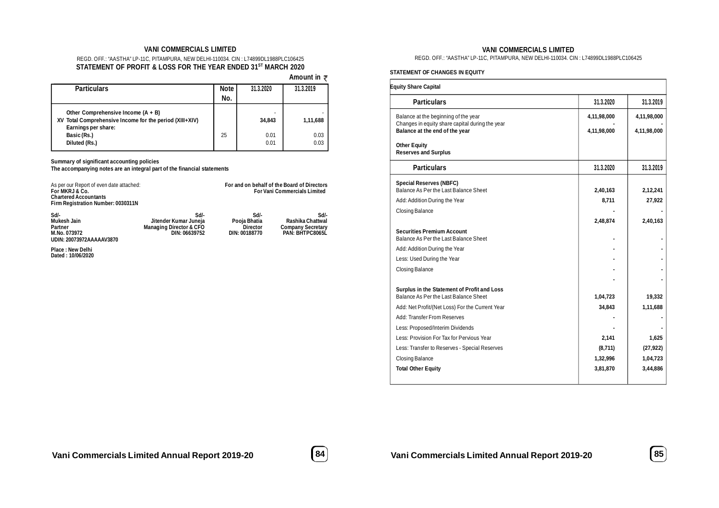#### **VANI COMMERCIALS LIMITED**

#### REGD. OFF.: "AASTHA" LP-11C, PITAMPURA, NEW DELHI-110034. CIN : L74899DL1988PLC106425 **STATEMENT OF PROFIT & LOSS FOR THE YEAR ENDED 31ST MARCH 2020**

 **Amount in** 

| <b>Particulars</b>                                                                                                     | Note | 31.3.2020                | 31.3.2019    |
|------------------------------------------------------------------------------------------------------------------------|------|--------------------------|--------------|
|                                                                                                                        | No.  |                          |              |
| Other Comprehensive Income $(A + B)$<br>XV Total Comprehensive Income for the period (XIII+XIV)<br>Earnings per share: |      | $\overline{a}$<br>34.843 | 1,11,688     |
| Basic (Rs.)<br>Diluted (Rs.)                                                                                           | 25   | 0.01<br>0.01             | 0.03<br>0.03 |

**Summary of significant accounting policies**

**The accompanying notes are an integral part of the financial statements**

| As per our Report of even date attached:<br>For MKRJ & Co.<br><b>Chartered Accountants</b><br>Firm Registration Number: 0030311N |                                                                                      | For and on behalf of the Board of Directors<br><b>For Vani Commercials Limited</b> |                                                                         |  |
|----------------------------------------------------------------------------------------------------------------------------------|--------------------------------------------------------------------------------------|------------------------------------------------------------------------------------|-------------------------------------------------------------------------|--|
| Sd/-<br><b>Mukesh Jain</b><br>Partner<br>M.No. 073972<br>UDIN: 20073972AAAAAV3870                                                | Sd/-<br>Jitender Kumar Juneja<br><b>Managing Director &amp; CFO</b><br>DIN: 06639752 | Sd/-<br>Pooja Bhatia<br><b>Director</b><br>DIN: 00188770                           | Sd/-<br>Rashika Chattwal<br><b>Company Secretary</b><br>PAN: BHTPC8065L |  |
| <b>Place: New Delhi</b><br>Dated: 10/06/2020                                                                                     |                                                                                      |                                                                                    |                                                                         |  |
|                                                                                                                                  |                                                                                      |                                                                                    |                                                                         |  |

#### **VANI COMMERCIALS LIMITED**

REGD. OFF.: "AASTHA" LP-11C, PITAMPURA, NEW DELHI-110034. CIN : L74899DL1988PLC106425

#### **STATEMENT OF CHANGES IN EQUITY**

| <b>Equity Share Capital</b>                                                             |             |             |
|-----------------------------------------------------------------------------------------|-------------|-------------|
| <b>Particulars</b>                                                                      | 31.3.2020   | 31.3.2019   |
| Balance at the beginning of the year<br>Changes in equity share capital during the year | 4,11,98,000 | 4,11,98,000 |
| Balance at the end of the year                                                          | 4,11,98,000 | 4,11,98,000 |
| <b>Other Equity</b><br><b>Reserves and Surplus</b>                                      |             |             |
| <b>Particulars</b>                                                                      | 31.3.2020   | 31.3.2019   |
| <b>Special Reserves (NBFC)</b>                                                          |             |             |
| Balance As Per the Last Balance Sheet                                                   | 2,40,163    | 2,12,241    |
| Add: Addition During the Year                                                           | 8,711       | 27,922      |
| <b>Closing Balance</b>                                                                  | 2,48,874    | 2,40,163    |
| <b>Securities Premium Account</b>                                                       |             |             |
| Balance As Per the Last Balance Sheet                                                   |             |             |
| Add: Addition During the Year                                                           |             |             |
| Less: Used During the Year                                                              |             |             |
| Closing Balance                                                                         |             |             |
|                                                                                         |             |             |
| Surplus in the Statement of Profit and Loss<br>Balance As Per the Last Balance Sheet    | 1,04,723    | 19,332      |
| Add: Net Profit/(Net Loss) For the Current Year                                         | 34,843      | 1,11,688    |
| Add: Transfer From Reserves                                                             |             |             |
| Less: Proposed/Interim Dividends                                                        |             |             |
| Less: Provision For Tax for Pervious Year                                               | 2,141       | 1,625       |
| Less: Transfer to Reserves - Special Reserves                                           | (8,711)     | (27, 922)   |
| Closing Balance                                                                         | 1,32,996    | 1,04,723    |
| <b>Total Other Equity</b>                                                               | 3,81,870    | 3,44,886    |
|                                                                                         |             |             |

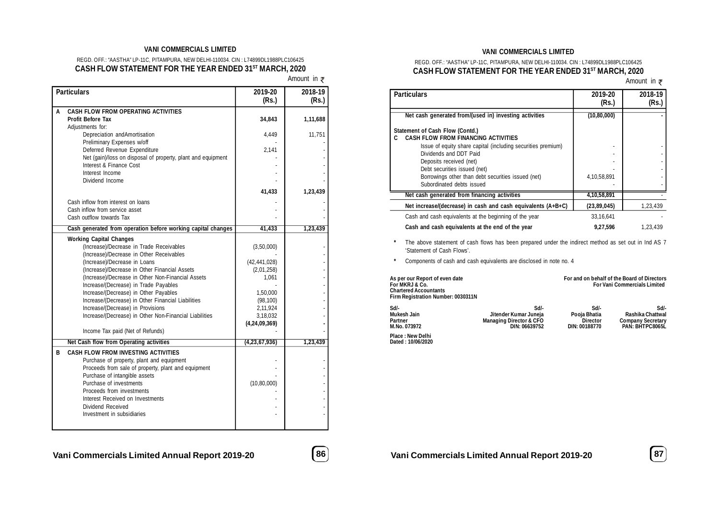#### **VANI COMMERCIALS LIMITED**

### REGD. OFF.: "AASTHA" LP-11C, PITAMPURA, NEW DELHI-110034. CIN : L74899DL1988PLC106425 **CASH FLOW STATEMENT FOR THE YEAR ENDED 31ST MARCH, 2020**

Amount in ₹

|   | <b>Particulars</b>                                                                      | 2019-20<br>(Rs.)      | 2018-19<br>(Rs.) |
|---|-----------------------------------------------------------------------------------------|-----------------------|------------------|
| A | <b>CASH FLOW FROM OPERATING ACTIVITIES</b>                                              |                       |                  |
|   | <b>Profit Before Tax</b>                                                                | 34,843                | 1,11,688         |
|   | Adjustments for:<br>Depreciation and Amortisation                                       | 4.449                 | 11,751           |
|   | Preliminary Expenses w/off                                                              |                       |                  |
|   | Deferred Revenue Expenditure                                                            | 2,141                 |                  |
|   | Net (gain)/loss on disposal of property, plant and equipment                            |                       |                  |
|   | Interest & Finance Cost                                                                 |                       |                  |
|   | Interest Income                                                                         |                       |                  |
|   | Dividend Income                                                                         |                       |                  |
|   |                                                                                         | 41,433                | 1,23,439         |
|   | Cash inflow from interest on loans                                                      |                       |                  |
|   | Cash inflow from service asset                                                          |                       |                  |
|   | Cash outflow towards Tax                                                                |                       |                  |
|   | Cash generated from operation before working capital changes                            | 41,433                | 1,23,439         |
|   | <b>Working Capital Changes</b>                                                          |                       |                  |
|   | (Increase)/Decrease in Trade Receivables                                                | (3,50,000)            |                  |
|   | (Increase)/Decrease in Other Receivables                                                |                       |                  |
|   | (Increase)/Decrease in Loans                                                            | (42, 441, 028)        |                  |
|   | (Increase)/Decrease in Other Financial Assets                                           | (2,01,258)            |                  |
|   | (Increase)/Decrease in Other Non-Financial Assets                                       | 1,061                 |                  |
|   | Increase/(Decrease) in Trade Payables                                                   |                       |                  |
|   | Increase/(Decrease) in Other Payables                                                   | 1,50,000              |                  |
|   | Increase/(Decrease) in Other Financial Liabilities<br>Increase/(Decrease) in Provisions | (98, 100)<br>2,11,924 |                  |
|   | Increase/(Decrease) in Other Non-Financial Liabilities                                  | 3,18,032              |                  |
|   |                                                                                         | (4,24,09,369)         |                  |
|   | Income Tax paid (Net of Refunds)                                                        |                       |                  |
|   | <b>Net Cash flow from Operating activities</b>                                          | (4,23,67,936)         | 1,23,439         |
| В | <b>CASH FLOW FROM INVESTING ACTIVITIES</b>                                              |                       |                  |
|   | Purchase of property, plant and equipment                                               |                       |                  |
|   | Proceeds from sale of property, plant and equipment                                     |                       |                  |
|   | Purchase of intangible assets                                                           |                       |                  |
|   | Purchase of investments                                                                 | (10, 80, 000)         |                  |
|   | Proceeds from investments                                                               |                       |                  |
|   | Interest Received on Investments                                                        |                       |                  |
|   | Dividend Received                                                                       |                       |                  |
|   | Investment in subsidiaries                                                              |                       |                  |
|   |                                                                                         |                       |                  |

#### **VANI COMMERCIALS LIMITED**

### REGD. OFF.: "AASTHA" LP-11C, PITAMPURA, NEW DELHI-110034. CIN : L74899DL1988PLC106425 **CASH FLOW STATEMENT FOR THE YEAR ENDED 31ST MARCH, 2020**

Amount in  $\overline{z}$ 

| <b>Particulars</b>                                                                 | 2019-20<br>(Rs.) | 2018-19<br>(Rs.) |
|------------------------------------------------------------------------------------|------------------|------------------|
| Net cash generated from/(used in) investing activities                             | (10, 80, 000)    |                  |
| Statement of Cash Flow (Contd.)<br>CASH FI OW FROM FINANCING ACTIVITIES            |                  |                  |
| Issue of equity share capital (including securities premium)                       |                  |                  |
| Dividends and DDT Paid<br>Deposits received (net)                                  |                  |                  |
| Debt securities issued (net)<br>Borrowings other than debt securities issued (net) | 4,10,58,891      |                  |
| Subordinated debts issued                                                          |                  |                  |
| Net cash generated from financing activities                                       | 4,10,58,891      |                  |
| Net increase/(decrease) in cash and cash equivalents $(A+B+C)$                     | (23, 89, 045)    | 1,23,439         |
| Cash and cash equivalents at the beginning of the year                             | 33.16.641        |                  |
| Cash and cash equivalents at the end of the year                                   | 9,27,596         | 1.23.439         |

**\*** The above statement of cash flows has been prepared under the indirect method as set out in Ind AS 7 'Statement of Cash Flows'.

**\*** Components of cash and cash equivalents are disclosed in note no. 4

| As per our Report of even date<br>For MKRJ & Co.<br><b>Chartered Accountants</b><br>Firm Registration Number: 0030311N | For and on behalf of the Board of Directors<br><b>For Vani Commercials Limited</b>   |                                                          |                                                                         |  |
|------------------------------------------------------------------------------------------------------------------------|--------------------------------------------------------------------------------------|----------------------------------------------------------|-------------------------------------------------------------------------|--|
| Sd/-<br>Mukesh Jain<br>Partner<br>M.No. 073972                                                                         | Sd/-<br>Jitender Kumar Juneja<br><b>Managing Director &amp; CFO</b><br>DIN: 06639752 | Sd/-<br>Pooja Bhatia<br><b>Director</b><br>DIN: 00188770 | Sd/-<br>Rashika Chattwal<br><b>Company Secretary</b><br>PAN: BHTPC8065L |  |
| Place : New Delhi<br>Dated: 10/06/2020                                                                                 |                                                                                      |                                                          |                                                                         |  |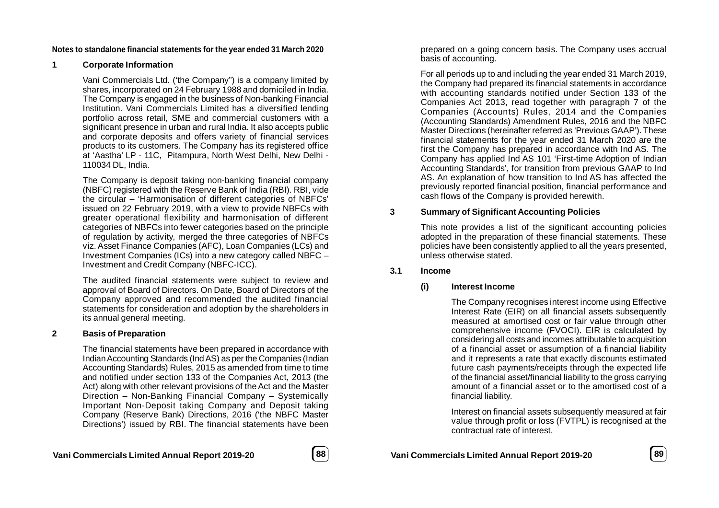### **Notes to standalone financial statements for the year ended 31 March 2020**

### **1 Corporate Information**

Vani Commercials Ltd. ('the Company") is a company limited by shares, incorporated on 24 February 1988 and domiciled in India. The Company is engaged in the business of Non-banking Financial Institution. Vani Commercials Limited has a diversified lending portfolio across retail, SME and commercial customers with a significant presence in urban and rural India. It also accepts public and corporate deposits and offers variety of financial services products to its customers. The Company has its registered office at 'Aastha' LP - 11C, Pitampura, North West Delhi, New Delhi - 110034 DL, India.

The Company is deposit taking non-banking financial company (NBFC) registered with the Reserve Bank of India (RBI). RBI, vide the circular – 'Harmonisation of different categories of NBFCs' issued on 22 February 2019, with a view to provide NBFCs with greater operational flexibility and harmonisation of different categories of NBFCs into fewer categories based on the principle of regulation by activity, merged the three categories of NBFCs viz. Asset Finance Companies (AFC), Loan Companies (LCs) and Investment Companies (ICs) into a new category called NBFC – Investment and Credit Company (NBFC-ICC).

The audited financial statements were subject to review and approval of Board of Directors. On Date, Board of Directors of the Company approved and recommended the audited financial statements for consideration and adoption by the shareholders in its annual general meeting.

### **2 Basis of Preparation**

The financial statements have been prepared in accordance with Indian Accounting Standards (Ind AS) as per the Companies (Indian Accounting Standards) Rules, 2015 as amended from time to time and notified under section 133 of the Companies Act, 2013 (the Act) along with other relevant provisions of the Act and the Master Direction – Non-Banking Financial Company – Systemically Important Non-Deposit taking Company and Deposit taking Company (Reserve Bank) Directions, 2016 ('the NBFC Master Directions') issued by RBI. The financial statements have been prepared on a going concern basis. The Company uses accrual basis of accounting.

For all periods up to and including the year ended 31 March 2019, the Company had prepared its financial statements in accordance with accounting standards notified under Section 133 of the Companies Act 2013, read together with paragraph 7 of the Companies (Accounts) Rules, 2014 and the Companies (Accounting Standards) Amendment Rules, 2016 and the NBFC Master Directions (hereinafter referred as 'Previous GAAP'). These financial statements for the year ended 31 March 2020 are the first the Company has prepared in accordance with Ind AS. The Company has applied Ind AS 101 'First-time Adoption of Indian Accounting Standards', for transition from previous GAAP to Ind AS. An explanation of how transition to Ind AS has affected the previously reported financial position, financial performance and cash flows of the Company is provided herewith.

### **3 Summary of Significant Accounting Policies**

This note provides a list of the significant accounting policies adopted in the preparation of these financial statements. These policies have been consistently applied to all the years presented, unless otherwise stated.

### **3.1 Income**

### **(i) Interest Income**

The Company recognises interest income using Effective Interest Rate (EIR) on all financial assets subsequently measured at amortised cost or fair value through other comprehensive income (FVOCI). EIR is calculated by considering all costs and incomes attributable to acquisition of a financial asset or assumption of a financial liability and it represents a rate that exactly discounts estimated future cash payments/receipts through the expected life of the financial asset/financial liability to the gross carrying amount of a financial asset or to the amortised cost of a financial liability.

Interest on financial assets subsequently measured at fair value through profit or loss (FVTPL) is recognised at the contractual rate of interest.



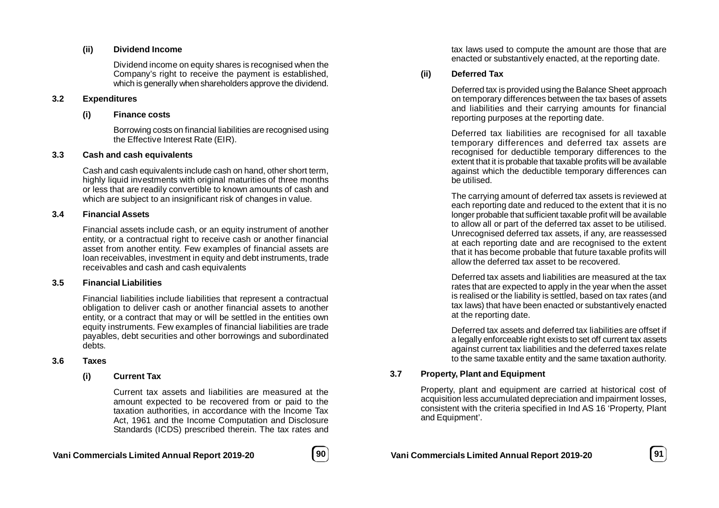### **(ii) Dividend Income**

Dividend income on equity shares is recognised when the Company's right to receive the payment is established. which is generally when shareholders approve the dividend.

### **3.2 Expenditures**

### **(i) Finance costs**

Borrowing costs on financial liabilities are recognised using the Effective Interest Rate (EIR).

### **3.3 Cash and cash equivalents**

Cash and cash equivalents include cash on hand, other short term, highly liquid investments with original maturities of three months or less that are readily convertible to known amounts of cash and which are subject to an insignificant risk of changes in value.

### **3.4 Financial Assets**

Financial assets include cash, or an equity instrument of another entity, or a contractual right to receive cash or another financial asset from another entity. Few examples of financial assets are loan receivables, investment in equity and debt instruments, trade receivables and cash and cash equivalents

### **3.5 Financial Liabilities**

Financial liabilities include liabilities that represent a contractual obligation to deliver cash or another financial assets to another entity, or a contract that may or will be settled in the entities own equity instruments. Few examples of financial liabilities are trade payables, debt securities and other borrowings and subordinated debts.

### **3.6 Taxes**

### **(i) Current Tax**

Current tax assets and liabilities are measured at the amount expected to be recovered from or paid to the taxation authorities, in accordance with the Income Tax Act, 1961 and the Income Computation and Disclosure Standards (ICDS) prescribed therein. The tax rates and

tax laws used to compute the amount are those that are enacted or substantively enacted, at the reporting date.

# **(ii) Deferred Tax**

Deferred tax is provided using the Balance Sheet approach on temporary differences between the tax bases of assets and liabilities and their carrying amounts for financial reporting purposes at the reporting date.

Deferred tax liabilities are recognised for all taxable temporary differences and deferred tax assets are recognised for deductible temporary differences to the extent that it is probable that taxable profits will be available against which the deductible temporary differences can be utilised.

The carrying amount of deferred tax assets is reviewed at each reporting date and reduced to the extent that it is no longer probable that sufficient taxable profit will be available to allow all or part of the deferred tax asset to be utilised. Unrecognised deferred tax assets, if any, are reassessed at each reporting date and are recognised to the extent that it has become probable that future taxable profits will allow the deferred tax asset to be recovered.

Deferred tax assets and liabilities are measured at the tax rates that are expected to apply in the year when the asset is realised or the liability is settled, based on tax rates (and tax laws) that have been enacted or substantively enacted at the reporting date.

Deferred tax assets and deferred tax liabilities are offset if a legally enforceable right exists to set off current tax assets against current tax liabilities and the deferred taxes relate to the same taxable entity and the same taxation authority.

### **3.7 Property, Plant and Equipment**

Property, plant and equipment are carried at historical cost of acquisition less accumulated depreciation and impairment losses, consistent with the criteria specified in Ind AS 16 'Property, Plant and Equipment'.

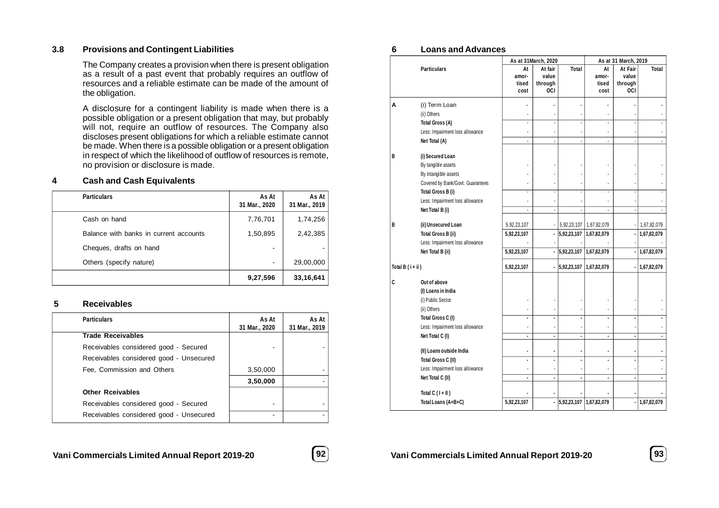### **3.8 Provisions and Contingent Liabilities**

The Company creates a provision when there is present obligation as a result of a past event that probably requires an outflow of resources and a reliable estimate can be made of the amount of the obligation.

A disclosure for a contingent liability is made when there is a possible obligation or a present obligation that may, but probably will not, require an outflow of resources. The Company also discloses present obligations for which a reliable estimate cannot be made. When there is a possible obligation or a present obligation in respect of which the likelihood of outflow of resources is remote, no provision or disclosure is made.

### **4 Cash and Cash Equivalents**

| <b>Particulars</b>                     | As At<br>31 Mar., 2020 | As At<br>31 Mar., 2019 |
|----------------------------------------|------------------------|------------------------|
| Cash on hand                           | 7,76,701               | 1,74,256               |
| Balance with banks in current accounts | 1,50,895               | 2,42,385               |
| Cheques, drafts on hand                | ۰                      |                        |
| Others (specify nature)                | ۰                      | 29,00,000              |
|                                        | 9,27,596               | 33,16,641              |

### **5 Receivables**

| <b>Particulars</b>                      | As At<br>31 Mar., 2020 | As At<br>31 Mar., 2019 |
|-----------------------------------------|------------------------|------------------------|
| <b>Trade Receivables</b>                |                        |                        |
| Receivables considered good - Secured   |                        |                        |
| Receivables considered good - Unsecured |                        |                        |
| Fee, Commission and Others              | 3,50,000               |                        |
|                                         | 3,50,000               |                        |
| <b>Other Rceivables</b>                 |                        |                        |
| Receivables considered good - Secured   |                        |                        |
| Receivables considered good - Unsecured |                        |                        |
|                                         |                        |                        |

# **Vani Commercials Limited Annual Report 2019-20 92 Vani Commercials Limited Annual Report 2019-20 93**



### **6 Loans and Advances**

|                |                                  | As at 31March, 2020          |                                    |                          |                              | As at 31 March, 2019               |             |  |  |  |
|----------------|----------------------------------|------------------------------|------------------------------------|--------------------------|------------------------------|------------------------------------|-------------|--|--|--|
|                | <b>Particulars</b>               | At<br>amor-<br>tised<br>cost | At fair<br>value<br>through<br>OCI | <b>Total</b>             | At<br>amor-<br>tised<br>cost | At Fair<br>value<br>through<br>OCI | Total       |  |  |  |
| Α              | (i) Term Loan                    |                              |                                    |                          |                              |                                    |             |  |  |  |
|                | (ii) Others                      |                              |                                    |                          |                              |                                    |             |  |  |  |
|                | <b>Total Gross (A)</b>           |                              | ÷,                                 |                          | ٠                            |                                    |             |  |  |  |
|                | Less: Impairment loss allowance  | ä,                           |                                    |                          |                              |                                    |             |  |  |  |
|                | Net Total (A)                    |                              |                                    |                          |                              |                                    |             |  |  |  |
| B              | (i) Secured Loan                 |                              |                                    |                          |                              |                                    |             |  |  |  |
|                | By tangible assets               |                              |                                    |                          |                              |                                    |             |  |  |  |
|                | By intangible assets             |                              |                                    |                          |                              |                                    |             |  |  |  |
|                | Covered by Bank/Govt. Guarantees |                              |                                    |                          |                              |                                    |             |  |  |  |
|                | Total Gross B (i)                | ÷.                           | $\overline{\phantom{a}}$           |                          | ٠                            |                                    |             |  |  |  |
|                | Less: Impairment loss allowance  |                              |                                    |                          |                              |                                    |             |  |  |  |
|                | Net Total B (i)                  | ä,                           |                                    |                          |                              |                                    |             |  |  |  |
| B              | (ii) Unsecured Loan              | 5,92,23,107                  |                                    | 5,92,23,107              | 1,67,82,079                  |                                    | 1,67,82,079 |  |  |  |
|                | <b>Total Gross B (ii)</b>        | 5,92,23,107                  | $\blacksquare$                     | 5,92,23,107  1,67,82,079 |                              |                                    | 1,67,82,079 |  |  |  |
|                | Less: Impairment loss allowance  |                              |                                    |                          |                              |                                    |             |  |  |  |
|                | Net Total B (ii)                 | 5,92,23,107                  | $\blacksquare$                     | 5,92,23,107 1,67,82,079  |                              |                                    | 1,67,82,079 |  |  |  |
| Total B (i+ii) |                                  | 5,92,23,107                  |                                    | $-$ 5,92,23,107          | 1,67,82,079                  |                                    | 1,67,82,079 |  |  |  |
| C              | Out of above                     |                              |                                    |                          |                              |                                    |             |  |  |  |
|                | (I) Loans in India               |                              |                                    |                          |                              |                                    |             |  |  |  |
|                | (i) Public Sector                |                              |                                    |                          |                              |                                    |             |  |  |  |
|                | (ii) Others                      |                              |                                    |                          |                              |                                    |             |  |  |  |
|                | Total Gross C (I)                | Ĭ.                           | $\overline{\phantom{a}}$           | $\blacksquare$           | ٠                            |                                    |             |  |  |  |
|                | Less: Impairment loss allowance  |                              |                                    |                          |                              |                                    |             |  |  |  |
|                | Net Total C (I)                  | ä,                           | $\overline{a}$                     | $\blacksquare$           | ä,                           |                                    |             |  |  |  |
|                | (II) Loans outside India         |                              |                                    |                          | $\blacksquare$               |                                    |             |  |  |  |
|                | Total Gross C (II)               |                              |                                    |                          |                              |                                    |             |  |  |  |
|                | Less: Impairment loss allowance  |                              |                                    |                          |                              |                                    |             |  |  |  |
|                | Net Total C (II)                 | ä,                           | ä,                                 | ä,                       | ä,                           |                                    |             |  |  |  |
|                | Total $C(1+II)$                  |                              |                                    |                          |                              |                                    |             |  |  |  |
|                | Total Loans (A+B+C)              | 5,92,23,107                  |                                    | 5,92,23,107 1,67,82,079  |                              |                                    | 1,67,82,079 |  |  |  |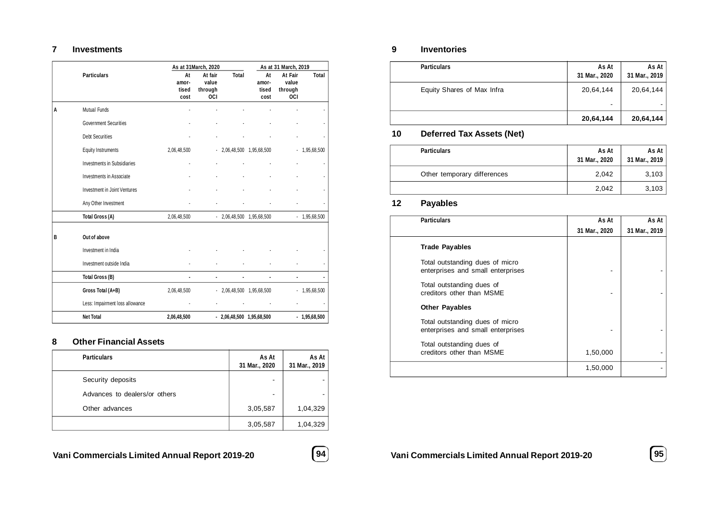## **7 Investments**

|   |                                    |               | As at 31 March, 2020 |                            | As at 31 March, 2019         |                  |                |  |
|---|------------------------------------|---------------|----------------------|----------------------------|------------------------------|------------------|----------------|--|
|   | <b>Particulars</b>                 | At<br>amor-   | At fair<br>value     | Total                      | At<br>amor-                  | At Fair<br>value | Total          |  |
|   |                                    | tised<br>cost | through<br>OCI       |                            | tised<br>cost                | through<br>OCI   |                |  |
| A | Mutual Funds                       |               |                      |                            |                              |                  |                |  |
|   | <b>Government Securities</b>       |               |                      |                            |                              |                  |                |  |
|   | <b>Debt Securities</b>             |               |                      |                            |                              |                  |                |  |
|   | <b>Equity Instruments</b>          | 2,06,48,500   |                      | $-2,06,48,500$ 1,95,68,500 |                              |                  | $-1,95,68,500$ |  |
|   | <b>Investments in Subsidiaries</b> |               |                      |                            |                              |                  |                |  |
|   | Investments in Associate           |               |                      |                            |                              |                  | ٠              |  |
|   | Investment in Joint Ventures       |               |                      |                            |                              |                  |                |  |
|   | Any Other Investment               |               |                      |                            |                              |                  |                |  |
|   | Total Gross (A)                    | 2,06,48,500   |                      |                            | $-2,06,48,500$ $1,95,68,500$ |                  | $-1,95,68,500$ |  |
| B | Out of above                       |               |                      |                            |                              |                  |                |  |
|   | Investment in India                |               |                      |                            |                              |                  |                |  |
|   | Investment outside India           |               |                      |                            |                              |                  |                |  |
|   | <b>Total Gross (B)</b>             | ä,            | ä,                   |                            | ä,                           | ٠                | ٠              |  |
|   | Gross Total (A+B)                  | 2,06,48,500   |                      | $-2,06,48,500$ 1,95,68,500 |                              |                  | $-1,95,68,500$ |  |
|   | Less: Impairment loss allowance    |               |                      |                            |                              |                  |                |  |
|   | Net Total                          | 2,06,48,500   |                      | - 2,06,48,500 1,95,68,500  |                              |                  | $-1,95,68,500$ |  |

# **8 Other Financial Assets**

| <b>Particulars</b>            | As At<br>31 Mar., 2020   | As At<br>31 Mar., 2019 |
|-------------------------------|--------------------------|------------------------|
| Security deposits             | -                        |                        |
| Advances to dealers/or others | $\overline{\phantom{a}}$ |                        |
| Other advances                | 3,05,587                 | 1,04,329               |
|                               | 3,05,587                 | 1,04,329               |



# **9 Inventories**

| <b>Particulars</b>         | As At<br>31 Mar., 2020      | As At<br>31 Mar., 2019 |
|----------------------------|-----------------------------|------------------------|
| Equity Shares of Max Infra | 20,64,144<br>$\blacksquare$ | 20,64,144              |
|                            | 20,64,144                   | 20,64,144              |

# **10 Deferred Tax Assets (Net)**

| <b>Particulars</b>          | As At<br>31 Mar., 2020 | $As$ At $ $<br>31 Mar., 2019 |
|-----------------------------|------------------------|------------------------------|
| Other temporary differences | 2.042                  | 3,103                        |
|                             | 2.042                  | 3,103                        |

# **12 Payables**

| <b>Particulars</b>                                                   | As At         | As At         |
|----------------------------------------------------------------------|---------------|---------------|
|                                                                      | 31 Mar., 2020 | 31 Mar., 2019 |
| <b>Trade Payables</b>                                                |               |               |
| Total outstanding dues of micro<br>enterprises and small enterprises |               |               |
| Total outstanding dues of<br>creditors other than MSME               |               |               |
| <b>Other Payables</b>                                                |               |               |
| Total outstanding dues of micro<br>enterprises and small enterprises |               |               |
| Total outstanding dues of<br>creditors other than MSME               | 1,50,000      |               |
|                                                                      | 1,50,000      |               |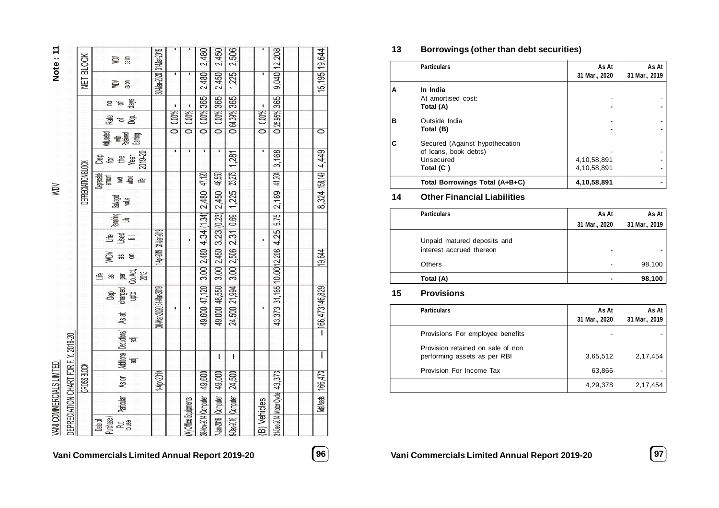|                          |                                      |                           |                                                        |                         |                      |                       | 2,480                              | 2,450                        | 2,506                      |              |                                 |  |                        |
|--------------------------|--------------------------------------|---------------------------|--------------------------------------------------------|-------------------------|----------------------|-----------------------|------------------------------------|------------------------------|----------------------------|--------------|---------------------------------|--|------------------------|
| Note:11                  |                                      |                           | as on<br>⋚                                             |                         |                      |                       |                                    |                              |                            |              |                                 |  |                        |
|                          |                                      | NET BLOCK                 | 36 ON<br>≧                                             | 30-Mar-2020 31-Mar-2019 | ٠                    |                       | 2,480                              | 2,450                        | 1,225                      |              | 9,040 12,208                    |  | 15,195 19,644          |
|                          |                                      |                           | days<br>은 'ㅎ                                           |                         | ٠                    | Ŷ.                    |                                    |                              |                            | ٠            |                                 |  |                        |
|                          |                                      |                           | <u> ਛ</u> ੋ ਙ <u>ਙੰ</u>                                |                         | 0.00%                | 0.00%                 | 0.00% 365                          | 0 0.00% 365                  | 0 64.39% 365               | 0   0.00%    | 0 25.95% 365                    |  |                        |
|                          |                                      |                           | <b>地震<br/>東京都市</b><br>Gaming                           |                         | $\overline{\bullet}$ | $\overline{\bullet}$  | $\overline{\bullet}$               |                              |                            |              |                                 |  | $\overline{\bullet}$   |
|                          |                                      |                           | 2019-20<br>ត្តូ <sub>មិ ម</sub><br>ខ្ល                 |                         |                      |                       |                                    | т                            | 1,281                      | ī            | 3,168                           |  | 8,324 158,149 4,449    |
|                          |                                      | <b>DEPRECIATION BLOCK</b> | ( <b>Jepreciable</b> )<br>amount<br>종 :<br>溫           |                         |                      |                       | 47,120                             | 46,550                       | 23,275                     |              | 41,204                          |  |                        |
| ŃМ                       |                                      |                           | Salvaged<br>value                                      |                         |                      |                       | $3.00 2,480 4.34 $ (1.34) $2,480 $ | 3.00 2,450 3.23 (0.23) 2,450 | 3.00 2,506 2.31 0.69 1,225 |              | 2,169                           |  |                        |
|                          |                                      |                           | Remaining<br>当                                         |                         |                      |                       |                                    |                              |                            |              | 5.75                            |  |                        |
|                          |                                      |                           | ≞ ತ್ತೆ ≡                                               |                         |                      | ï                     |                                    |                              |                            | ï            |                                 |  |                        |
|                          |                                      |                           | ğ<br>ඝ ස                                               | 1-Apr-2019 31-Nar-2019  |                      |                       |                                    |                              |                            |              |                                 |  | 19,644                 |
|                          |                                      |                           | 当<br>æ                                                 |                         |                      |                       |                                    |                              |                            |              |                                 |  |                        |
|                          |                                      |                           | charged   per<br>  upto   Co. Act,  <br>  2013  <br>ෂි |                         |                      |                       | 49,600 47,120                      | 49,000 46,550                | 24,500 21,994              |              | 43,373 31,165 10.00 12,208 4.25 |  |                        |
|                          |                                      |                           | As at                                                  | 30-Mar-2020 31-Mar-2019 |                      |                       |                                    |                              |                            |              |                                 |  | $- 166,473 146,829 $   |
|                          |                                      |                           | Additions/ Deductions/<br>ਫ਼                           |                         |                      |                       |                                    |                              |                            |              |                                 |  |                        |
|                          |                                      |                           | ਫ਼                                                     |                         |                      |                       |                                    | Ī                            | L                          |              |                                 |  |                        |
| VANI COMMERCIALS LIMITED | DEPRECIATION CHART FOR F. Y. 2019-20 | GROSS BLOCK               | As on                                                  | 1-Apr-2019              |                      |                       | 49,600                             | 49,000                       | 24,500                     |              |                                 |  | Total Assets   166,473 |
|                          |                                      |                           | Particular                                             |                         |                      |                       |                                    |                              |                            |              |                                 |  |                        |
|                          |                                      |                           | Purchase<br>분을<br>고음<br>Date of                        |                         |                      | (A) Office Equipments | 28-Nov-2014 Computer               | 7-Jan-2016 Computer          | 9-Dec-2016 Computer        | (B) Vehicles | 31-Dec-2014 Motor Cycle 43,373  |  |                        |

# **Vani Commercials Limited Annual Report 2019-20 96 Vani Commercials Limited Annual Report 2019-20 97**

# **13 Borrowings (other than debt securities)**

|   | <b>Particulars</b>             | As At         | As At         |
|---|--------------------------------|---------------|---------------|
|   |                                | 31 Mar., 2020 | 31 Mar., 2019 |
| A | In India                       |               |               |
|   | At amortised cost:             |               |               |
|   | Total (A)                      |               |               |
| в | Outside India                  |               |               |
|   | Total (B)                      |               |               |
| C | Secured (Against hypothecation |               |               |
|   | of loans, book debts)          |               |               |
|   | Unsecured                      | 4.10,58,891   |               |
|   | Total (C)                      | 4,10,58,891   |               |
|   | Total Borrowings Total (A+B+C) | 4,10,58,891   |               |

# **14 Other Financial Liabilities**

| <b>Particulars</b>                                      | As At         | As At         |
|---------------------------------------------------------|---------------|---------------|
|                                                         | 31 Mar., 2020 | 31 Mar., 2019 |
| Unpaid matured deposits and<br>interest accrued thereon | -             |               |
| Others                                                  | ٠             | 98,100        |
| Total (A)                                               |               | 98,100        |

# **15 Provisions**

| <b>Particulars</b>                                                | As At<br>31 Mar., 2020 | As At<br>31 Mar., 2019 |
|-------------------------------------------------------------------|------------------------|------------------------|
| Provisions For employee benefits                                  |                        |                        |
| Provision retained on sale of non<br>performing assets as per RBI | 3,65,512               | 2,17,454               |
| Provision For Income Tax                                          | 63,866                 |                        |
|                                                                   | 4,29,378               | 2,17,454               |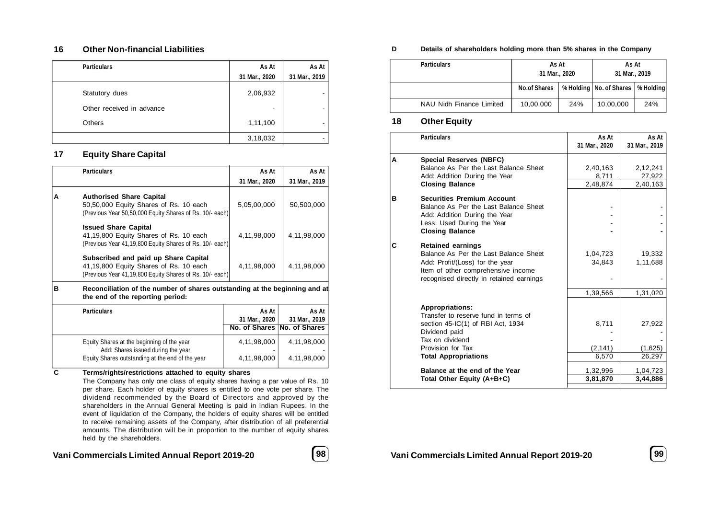### **16 Other Non-financial Liabilities**

| <b>Particulars</b>        | As At         | As At                    |
|---------------------------|---------------|--------------------------|
|                           | 31 Mar., 2020 | 31 Mar., 2019            |
| Statutory dues            | 2,06,932      |                          |
| Other received in advance | ۰             | $\overline{\phantom{a}}$ |
| Others                    | 1,11,100      |                          |
|                           | 3,18,032      |                          |

### **17 Equity Share Capital**

|   | <b>Particulars</b>                                                                                                                         | As At                  | As At                  |
|---|--------------------------------------------------------------------------------------------------------------------------------------------|------------------------|------------------------|
|   |                                                                                                                                            | 31 Mar., 2020          | 31 Mar., 2019          |
| A | <b>Authorised Share Capital</b><br>50,50,000 Equity Shares of Rs. 10 each<br>(Previous Year 50,50,000 Equity Shares of Rs. 10/- each)      | 5,05,00,000            | 50,500,000             |
|   | <b>Issued Share Capital</b><br>41,19,800 Equity Shares of Rs. 10 each<br>(Previous Year 41,19,800 Equity Shares of Rs. 10/- each)          | 4,11,98,000            | 4,11,98,000            |
|   | Subscribed and paid up Share Capital<br>41,19,800 Equity Shares of Rs. 10 each<br>(Previous Year 41,19,800 Equity Shares of Rs. 10/- each) | 4,11,98,000            | 4,11,98,000            |
| в | Reconciliation of the number of shares outstanding at the beginning and at<br>the end of the reporting period:                             |                        |                        |
|   | <b>Particulars</b>                                                                                                                         | As At<br>31 Mar., 2020 | As At<br>31 Mar., 2019 |
|   |                                                                                                                                            | No. of Shares          | No. of Shares          |
|   | Equity Shares at the beginning of the year<br>Add: Shares issued during the year                                                           | 4,11,98,000            | 4,11,98,000            |
|   | Equity Shares outstanding at the end of the year                                                                                           | 4,11,98,000            | 4,11,98,000            |
| C | Terms/rights/restrictions attached to equity shares                                                                                        |                        |                        |

The Company has only one class of equity shares having a par value of Rs. 10 per share. Each holder of equity shares is entitled to one vote per share. The dividend recommended by the Board of Directors and approved by the shareholders in the Annual General Meeting is paid in Indian Rupees. In the event of liquidation of the Company, the holders of equity shares will be entitled to receive remaining assets of the Company, after distribution of all preferential amounts. The distribution will be in proportion to the number of equity shares held by the shareholders.

**Vani Commercials Limited Annual Report 2019-20** 

| I<br>۰.<br>۰.<br>۰.<br>×<br>×<br>٠<br>- |  |
|-----------------------------------------|--|
|                                         |  |

#### **D Details of shareholders holding more than 5% shares in the Company**

| <b>Particulars</b>       | As At<br>31 Mar., 2020 |     |                           |            | As At<br>31 Mar., 2019 |  |
|--------------------------|------------------------|-----|---------------------------|------------|------------------------|--|
|                          | <b>No.of Shares</b>    |     | % Holding   No. of Shares | ∣% Holding |                        |  |
| NAU Nidh Finance Limited | 10,00,000              | 24% | 10,00,000                 | 24%        |                        |  |

### **18 Other Equity**

| <b>Particulars</b>                                                                                                                                                                          | As At<br>31 Mar., 2020                 | As At<br>31 Mar., 2019                  |
|---------------------------------------------------------------------------------------------------------------------------------------------------------------------------------------------|----------------------------------------|-----------------------------------------|
| <b>Special Reserves (NBFC)</b><br>А<br>Balance As Per the Last Balance Sheet<br>Add: Addition During the Year<br><b>Closing Balance</b>                                                     | 2,40,163<br>8,711<br>2,48,874          | 2,12,241<br>27,922<br>2,40,163          |
| в<br><b>Securities Premium Account</b><br>Balance As Per the Last Balance Sheet<br>Add: Addition During the Year<br>Less: Used During the Year<br><b>Closing Balance</b>                    |                                        |                                         |
| C<br><b>Retained earnings</b><br>Balance As Per the Last Balance Sheet<br>Add: Profit/(Loss) for the year<br>Item of other comprehensive income<br>recognised directly in retained earnings | 1,04,723<br>34,843                     | 19,332<br>1,11,688                      |
| <b>Appropriations:</b><br>Transfer to reserve fund in terms of<br>section 45-IC(1) of RBI Act, 1934<br>Dividend paid<br>Tax on dividend<br>Provision for Tax<br><b>Total Appropriations</b> | 1,39,566<br>8,711<br>(2, 141)<br>6,570 | 1,31,020<br>27,922<br>(1,625)<br>26,297 |
| Balance at the end of the Year<br>Total Other Equity (A+B+C)                                                                                                                                | 1,32,996<br>3,81,870                   | 1,04,723<br>3,44,886                    |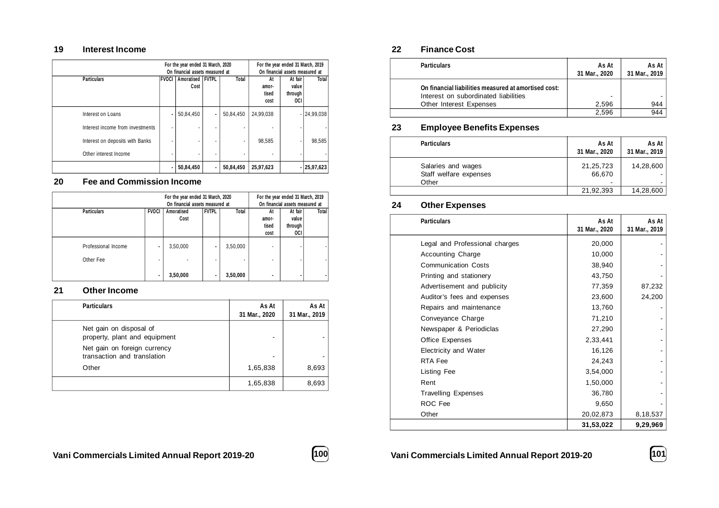### **19 Interest Income**

|                                  | For the year ended 31 March, 2020<br>On financial assets measured at |                          |                |              | For the year ended 31 March, 2019 | On financial assets measured at    |              |
|----------------------------------|----------------------------------------------------------------------|--------------------------|----------------|--------------|-----------------------------------|------------------------------------|--------------|
| <b>Particulars</b>               | <b>FVOCI</b>                                                         | Amoratised FVTPL<br>Cost |                | <b>Total</b> | At<br>amor-<br>tised<br>cost      | At fair<br>value<br>through<br>0CI | Total        |
| Interest on Loans                | ٠                                                                    | 50,84,450                | ٠              | 50,84,450    | 24,99,038                         |                                    | 24,99,038    |
| Interest income from investments |                                                                      |                          |                |              |                                   |                                    |              |
| Interest on deposits with Banks  |                                                                      |                          |                | ٠            | 98,585                            |                                    | 98,585       |
| Other interest Income            |                                                                      |                          | $\blacksquare$ |              |                                   |                                    |              |
|                                  |                                                                      | 50,84,450                | $\blacksquare$ | 50,84,450    | 25,97,623                         |                                    | $-25,97,623$ |

### **20 Fee and Commission Income**

| For the year ended 31 March, 2020<br>On financial assets measured at |              |                    | For the year ended 31 March, 2019 | On financial assets measured at      |                              |                                           |       |
|----------------------------------------------------------------------|--------------|--------------------|-----------------------------------|--------------------------------------|------------------------------|-------------------------------------------|-------|
| <b>Particulars</b>                                                   | <b>FVOCI</b> | Amoratised<br>Cost | FVTPL                             | <b>Total</b>                         | At<br>amor-<br>tised<br>cost | At fair<br>value<br>through<br><b>OCI</b> | Total |
| Professional Income<br>Other Fee                                     |              | 3,50,000           | ۰<br>$\blacksquare$               | 3,50,000<br>$\overline{\phantom{a}}$ | $\overline{\phantom{0}}$     |                                           |       |
|                                                                      |              | 3,50,000           | ۰                                 | 3,50,000                             |                              |                                           |       |

# **21 Other Income**

| <b>Particulars</b>                                          | As At<br>31 Mar., 2020 | As At<br>31 Mar., 2019 |
|-------------------------------------------------------------|------------------------|------------------------|
| Net gain on disposal of<br>property, plant and equipment    | -                      |                        |
| Net gain on foreign currency<br>transaction and translation | -                      |                        |
| Other                                                       | 1,65,838               | 8,693                  |
|                                                             | 1,65,838               | 8,693                  |

# **22 Finance Cost**

| <b>Particulars</b>                                                                           | As At<br>31 Mar., 2020 | As At<br>31 Mar., 2019 |
|----------------------------------------------------------------------------------------------|------------------------|------------------------|
| On financial liabilities measured at amortised cost:<br>Interest on subordinated liabilities | -                      |                        |
| Other Interest Expenses                                                                      | 2.596                  | 944                    |
|                                                                                              | 2.596                  | 944                    |

# **23 Employee Benefits Expenses**

| <b>Particulars</b>                           | As At<br>31 Mar., 2020 | As At I<br>31 Mar., 2019 |
|----------------------------------------------|------------------------|--------------------------|
| Salaries and wages<br>Staff welfare expenses | 21, 25, 723<br>66.670  | 14,28,600                |
| Other                                        |                        |                          |
|                                              | 21,92,393              | 14,28,600                |

# **24 Other Expenses**

| <b>Particulars</b>             | As At<br>31 Mar., 2020 | As At<br>31 Mar., 2019 |
|--------------------------------|------------------------|------------------------|
| Legal and Professional charges | 20,000                 |                        |
| <b>Accounting Charge</b>       | 10,000                 |                        |
| <b>Communication Costs</b>     | 38,940                 |                        |
| Printing and stationery        | 43,750                 |                        |
| Advertisement and publicity    | 77,359                 | 87,232                 |
| Auditor's fees and expenses    | 23,600                 | 24,200                 |
| Repairs and maintenance        | 13,760                 |                        |
| Conveyance Charge              | 71,210                 |                        |
| Newspaper & Periodiclas        | 27,290                 |                        |
| Office Expenses                | 2,33,441               |                        |
| Electricity and Water          | 16,126                 |                        |
| RTA Fee                        | 24,243                 |                        |
| Listing Fee                    | 3,54,000               |                        |
| Rent                           | 1,50,000               |                        |
| <b>Travelling Expenses</b>     | 36,780                 |                        |
| ROC Fee                        | 9,650                  |                        |
| Other                          | 20,02,873              | 8,18,537               |
|                                | 31,53,022              | 9,29,969               |